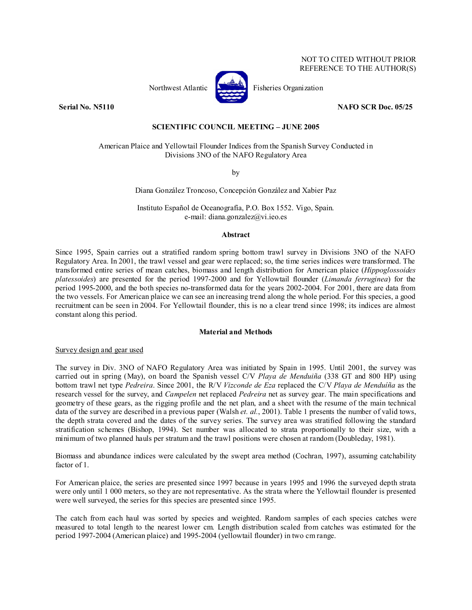### NOT TO CITED WITHOUT PRIOR REFERENCE TO THE AUTHOR(S)



Northwest Atlantic **Atlantic** Fisheries Organization

**Serial No. N5110 NAFO SCR Doc. 05/25** 

# **SCIENTIFIC COUNCIL MEETING – JUNE 2005**

# American Plaice and Yellowtail Flounder Indices from the Spanish Survey Conducted in Divisions 3NO of the NAFO Regulatory Area

by

Diana González Troncoso, Concepción González and Xabier Paz

Instituto Español de Oceanografía, P.O. Box 1552. Vigo, Spain. e-mail: diana.gonzalez@vi.ieo.es

#### **Abstract**

Since 1995, Spain carries out a stratified random spring bottom trawl survey in Divisions 3NO of the NAFO Regulatory Area. In 2001, the trawl vessel and gear were replaced; so, the time series indices were transformed. The transformed entire series of mean catches, biomass and length distribution for American plaice (*Hippoglossoides platessoides*) are presented for the period 1997-2000 and for Yellowtail flounder (*Limanda ferruginea*) for the period 1995-2000, and the both species no-transformed data for the years 2002-2004. For 2001, there are data from the two vessels. For American plaice we can see an increasing trend along the whole period. For this species, a good recruitment can be seen in 2004. For Yellowtail flounder, this is no a clear trend since 1998; its indices are almost constant along this period.

### **Material and Methods**

## Survey design and gear used

The survey in Div. 3NO of NAFO Regulatory Area was initiated by Spain in 1995. Until 2001, the survey was carried out in spring (May), on board the Spanish vessel C/V *Playa de Menduiña* (338 GT and 800 HP) using bottom trawl net type *Pedreira*. Since 2001, the R/V *Vizconde de Eza* replaced the C/V *Playa de Menduíña* as the research vessel for the survey, and *Campelen* net replaced *Pedreira* net as survey gear. The main specifications and geometry of these gears, as the rigging profile and the net plan, and a sheet with the resume of the main technical data of the survey are described in a previous paper (Walsh *et. al.*, 2001). Table 1 presents the number of valid tows, the depth strata covered and the dates of the survey series. The survey area was stratified following the standard stratification schemes (Bishop, 1994). Set number was allocated to strata proportionally to their size, with a minimum of two planned hauls per stratum and the trawl positions were chosen at random (Doubleday, 1981).

Biomass and abundance indices were calculated by the swept area method (Cochran, 1997), assuming catchability factor of 1.

For American plaice, the series are presented since 1997 because in years 1995 and 1996 the surveyed depth strata were only until 1 000 meters, so they are not representative. As the strata where the Yellowtail flounder is presented were well surveyed, the series for this species are presented since 1995.

The catch from each haul was sorted by species and weighted. Random samples of each species catches were measured to total length to the nearest lower cm. Length distribution scaled from catches was estimated for the period 1997-2004 (American plaice) and 1995-2004 (yellowtail flounder) in two cm range.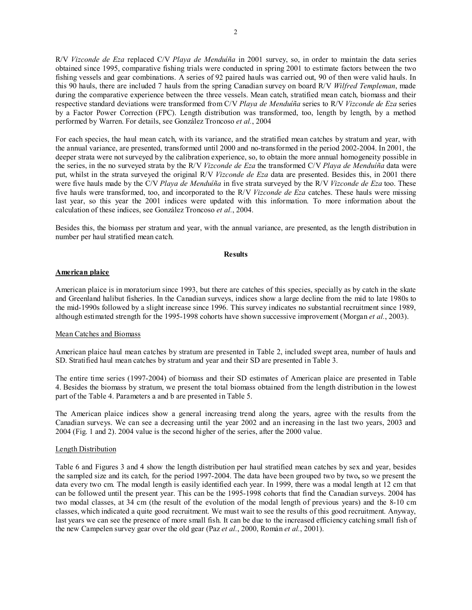R/V *Vizconde de Eza* replaced C/V *Playa de Menduíña* in 2001 survey, so, in order to maintain the data series obtained since 1995, comparative fishing trials were conducted in spring 2001 to estimate factors between the two fishing vessels and gear combinations. A series of 92 paired hauls was carried out, 90 of then were valid hauls. In this 90 hauls, there are included 7 hauls from the spring Canadian survey on board R/V *Wilfred Templeman*, made during the comparative experience between the three vessels. Mean catch, stratified mean catch, biomass and their respective standard deviations were transformed from C/V *Playa de Menduíña* series to R/V *Vizconde de Eza* series by a Factor Power Correction (FPC). Length distribution was transformed, too, length by length, by a method performed by Warren. For details, see González Troncoso *et al.*, 2004

For each species, the haul mean catch, with its variance, and the stratified mean catches by stratum and year, with the annual variance, are presented, transformed until 2000 and no-transformed in the period 2002-2004. In 2001, the deeper strata were not surveyed by the calibration experience, so, to obtain the more annual homogeneity possible in the series, in the no surveyed strata by the R/V *Vizconde de Eza* the transformed C/V *Playa de Menduíña* data were put, whilst in the strata surveyed the original R/V *Vizconde de Eza* data are presented. Besides this, in 2001 there were five hauls made by the C/V *Playa de Menduíña* in five strata surveyed by the R/V *Vizconde de Eza* too. These five hauls were transformed, too, and incorporated to the R/V *Vizconde de Eza* catches. These hauls were missing last year, so this year the 2001 indices were updated with this information. To more information about the calculation of these indices, see González Troncoso *et al.*, 2004.

Besides this, the biomass per stratum and year, with the annual variance, are presented, as the length distribution in number per haul stratified mean catch.

#### **Results**

#### **American plaice**

American plaice is in moratorium since 1993, but there are catches of this species, specially as by catch in the skate and Greenland halibut fisheries. In the Canadian surveys, indices show a large decline from the mid to late 1980s to the mid-1990s followed by a slight increase since 1996. This survey indicates no substantial recruitment since 1989, although estimated strength for the 1995-1998 cohorts have shown successive improvement (Morgan *et al.*, 2003).

### Mean Catches and Biomass

American plaice haul mean catches by stratum are presented in Table 2, included swept area, number of hauls and SD. Stratified haul mean catches by stratum and year and their SD are presented in Table 3.

The entire time series (1997-2004) of biomass and their SD estimates of American plaice are presented in Table 4. Besides the biomass by stratum, we present the total biomass obtained from the length distribution in the lowest part of the Table 4. Parameters a and b are presented in Table 5.

The American plaice indices show a general increasing trend along the years, agree with the results from the Canadian surveys. We can see a decreasing until the year 2002 and an increasing in the last two years, 2003 and 2004 (Fig. 1 and 2). 2004 value is the second higher of the series, after the 2000 value.

#### Length Distribution

Table 6 and Figures 3 and 4 show the length distribution per haul stratified mean catches by sex and year, besides the sampled size and its catch, for the period 1997-2004. The data have been grouped two by two**,** so we present the data every two cm. The modal length is easily identified each year. In 1999, there was a modal length at 12 cm that can be followed until the present year. This can be the 1995-1998 cohorts that find the Canadian surveys. 2004 has two modal classes, at 34 cm (the result of the evolution of the modal length of previous years) and the 8-10 cm classes, which indicated a quite good recruitment. We must wait to see the results of this good recruitment. Anyway, last years we can see the presence of more small fish. It can be due to the increased efficiency catching small fish of the new Campelen survey gear over the old gear (Paz *et al.*, 2000, Román *et al.*, 2001).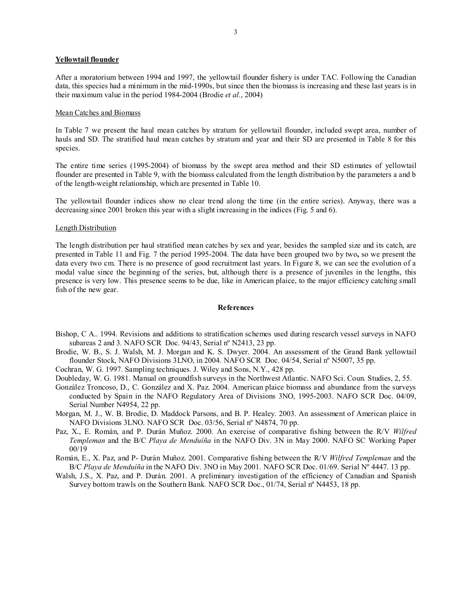### **Yellowtail flounder**

After a moratorium between 1994 and 1997, the yellowtail flounder fishery is under TAC. Following the Canadian data, this species had a minimum in the mid-1990s, but since then the biomass is increasing and these last years is in their maximum value in the period 1984-2004 (Brodie *et al.*, 2004)

#### Mean Catches and Biomass

In Table 7 we present the haul mean catches by stratum for yellowtail flounder, included swept area, number of hauls and SD. The stratified haul mean catches by stratum and year and their SD are presented in Table 8 for this species.

The entire time series (1995-2004) of biomass by the swept area method and their SD estimates of yellowtail flounder are presented in Table 9, with the biomass calculated from the length distribution by the parameters a and b of the length-weight relationship, which are presented in Table 10.

The yellowtail flounder indices show no clear trend along the time (in the entire series). Anyway, there was a decreasing since 2001 broken this year with a slight increasing in the indices (Fig. 5 and 6).

### Length Distribution

The length distribution per haul stratified mean catches by sex and year, besides the sampled size and its catch, are presented in Table 11 and Fig. 7 the period 1995-2004. The data have been grouped two by two**,** so we present the data every two cm. There is no presence of good recruitment last years. In Figure 8, we can see the evolution of a modal value since the beginning of the series, but, although there is a presence of juveniles in the lengths, this presence is very low. This presence seems to be due, like in American plaice, to the major efficiency catching small fish of the new gear.

#### **References**

- Bishop, C A.. 1994. Revisions and additions to stratification schemes used during research vessel surveys in NAFO subareas 2 and 3*.* NAFO SCR Doc. 94/43, Serial nº N2413, 23 pp.
- Brodie, W. B., S. J. Walsh, M. J. Morgan and K. S. Dwyer. 2004. An assessment of the Grand Bank yellowtail flounder Stock, NAFO Divisions 3LNO, in 2004. NAFO SCR Doc. 04/54, Serial nº N5007, 35 pp.
- Cochran, W. G. 1997. Sampling techniques. J. Wiley and Sons, N.Y., 428 pp.
- Doubleday, W. G. 1981. Manual on groundfish surveys in the Northwest Atlantic. NAFO Sci. Coun. Studies, 2, 55.
- González Troncoso, D., C. González and X. Paz. 2004. American plaice biomass and abundance from the surveys conducted by Spain in the NAFO Regulatory Area of Divisions 3NO, 1995-2003. NAFO SCR Doc. 04/09, Serial Number N4954, 22 pp.
- Morgan, M. J., W. B. Brodie, D. Maddock Parsons, and B. P. Healey. 2003. An assessment of American plaice in NAFO Divisions 3LNO. NAFO SCR Doc. 03/56, Serial nº N4874, 70 pp.
- Paz, X., E. Román, and P. Durán Muñoz. 2000. An exercise of comparative fishing between the R/V *Wilfred Templeman* and the B/C *Playa de Menduíña* in the NAFO Div. 3N in May 2000. NAFO SC Working Paper 00/19
- Román, E., X. Paz, and P- Durán Muñoz. 2001. Comparative fishing between the R/V *Wilfred Templeman* and the B/C *Playa de Menduíña* in the NAFO Div. 3NO in May 2001. NAFO SCR Doc. 01/69. Serial Nº 4447. 13 pp.
- Walsh, J.S., X. Paz, and P. Durán. 2001. A preliminary investigation of the efficiency of Canadian and Spanish Survey bottom trawls on the Southern Bank. NAFO SCR Doc., 01/74, Serial n° N4453, 18 pp.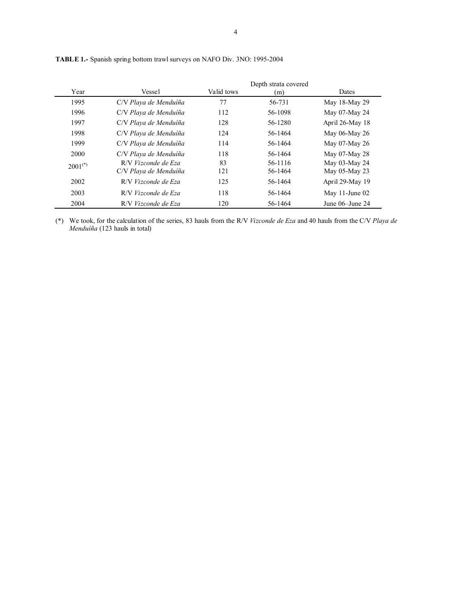| Year         | Vessel                                       | Valid tows | Depth strata covered<br>(m) | Dates                          |
|--------------|----------------------------------------------|------------|-----------------------------|--------------------------------|
| 1995         | C/V Playa de Menduíña                        | 77         | 56-731                      | May 18-May 29                  |
| 1996         | C/V Playa de Menduíña                        | 112        | 56-1098                     | May 07-May 24                  |
| 1997         | C/V Playa de Menduíña                        | 128        | 56-1280                     | April 26-May 18                |
| 1998         | C/V Playa de Menduíña                        | 124        | 56-1464                     | May 06-May 26                  |
| 1999         | C/V Playa de Menduíña                        | 114        | 56-1464                     | May 07-May 26                  |
| 2000         | C/V Playa de Menduíña                        | 118        | 56-1464                     | May 07-May 28                  |
| $2001^{(*)}$ | R/V Vizconde de Eza<br>C/V Playa de Menduíña | 83<br>121  | 56-1116<br>56-1464          | May 03-May 24<br>May 05-May 23 |
| 2002         | R/V Vizconde de Eza                          | 125        | 56-1464                     | April 29-May 19                |
| 2003         | R/V Vizconde de Eza                          | 118        | 56-1464                     | May 11-June 02                 |
| 2004         | R/V Vizconde de Eza                          | 120        | 56-1464                     | June $06$ -June $24$           |

**TABLE 1.-** Spanish spring bottom trawl surveys on NAFO Div. 3NO: 1995-2004

(\*) We took, for the calculation of the series, 83 hauls from the R/V *Vizconde de Eza* and 40 hauls from the C/V *Playa de Menduíña* (123 hauls in total)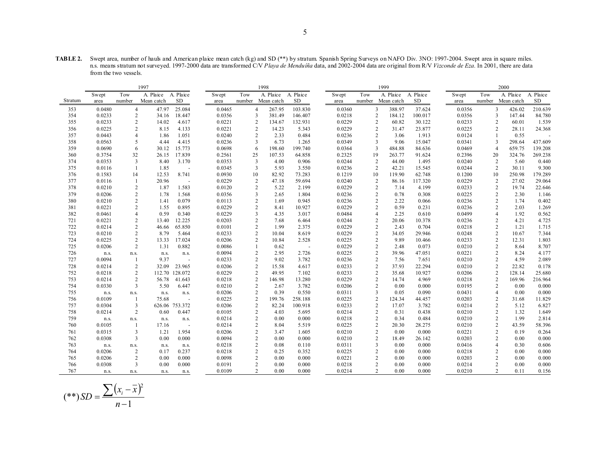**TABLE 2.** Swept area, number of hauls and American plaice mean catch (kg) and SD (\*\*) by stratum. Spanish Spring Surveys on NAFO Div. 3NO: 1997-2004. Swept area in square miles. n.s. means stratum not surveyed. 1997-2000 data are transformed C/V *Playa de Menduíña* data, and 2002-2004 data are original from R/V *Vizconde de Eza*. In 2001, there are data from the two vessels.

|         | 1997<br>1998 |                         |            |                |        |                | 1999              |                          |        |     | 2000                     |           |        |                |                   |           |
|---------|--------------|-------------------------|------------|----------------|--------|----------------|-------------------|--------------------------|--------|-----|--------------------------|-----------|--------|----------------|-------------------|-----------|
|         | Swept        | Tow                     | A. Plaice  | A. Plaice      | Swept  | Tow            | A. Plaice         | A. Plaice                | Swept  | Tow | A. Plaice                | A. Plaice | Swept  | Tow            | A. Plaice         | A. Plaice |
| Stratum | area         | number                  | Mean catch | <b>SD</b>      | area   |                | number Mean catch | <b>SD</b>                | area   |     | number Mean catch        | <b>SD</b> | area   |                | number Mean catch | <b>SD</b> |
| 353     | 0.0480       | $\overline{4}$          | 47.97      | 25.084         | 0.0465 | $\overline{4}$ | 267.95            | 103.830                  | 0.0360 |     | 3<br>388.97              | 37.624    | 0.0356 | 3              | 426.02            | 210.639   |
| 354     | 0.0233       | $\overline{c}$          | 34.16      | 18.447         | 0.0356 | 3              | 381.49            | 146.407                  | 0.0218 |     | $\overline{c}$<br>184.12 | 100.017   | 0.0356 | 3              | 147.44            | 84.780    |
| 355     | 0.0233       | $\overline{c}$          | 14.02      | 4.617          | 0.0221 | 2              | 134.67            | 132.931                  | 0.0229 |     | $\overline{2}$<br>60.82  | 30.122    | 0.0233 | 2              | 60.01             | 1.539     |
| 356     | 0.0225       | 2                       | 8.15       | 4.133          | 0.0221 | $\overline{2}$ | 14.23             | 5.343                    | 0.0229 |     | 2<br>31.47               | 23.877    | 0.0225 | $\overline{c}$ | 28.11             | 24.368    |
| 357     | 0.0443       | $\overline{4}$          | 1.86       | 1.051          | 0.0240 | 2              | 2.33              | 0.484                    | 0.0236 |     | $\overline{c}$<br>3.06   | 1.913     | 0.0124 | $\overline{1}$ | 0.55              |           |
| 358     | 0.0563       | 5                       | 4.44       | 4.415          | 0.0236 | 3              | 6.73              | 1.265                    | 0.0349 |     | 3<br>9.06                | 15.047    | 0.0341 | 3              | 298.64            | 437.609   |
| 359     | 0.0690       | 6                       | 30.12      | 15.773         | 0.0698 | 6              | 198.60            | 199.740                  | 0.0364 |     | 3<br>484.88              | 84.636    | 0.0469 | $\overline{4}$ | 659.75            | 139.208   |
| 360     | 0.3754       | 32                      | 26.15      | 17.839         | 0.2561 | 25             | 107.53            | 64.858                   | 0.2325 | 19  | 263.77                   | 91.624    | 0.2396 | 20             | 324.76            | 269.238   |
| 374     | 0.0353       | 3                       | 8.40       | 3.170          | 0.0353 | $\overline{3}$ | 4.00              | 0.906                    | 0.0244 |     | $\overline{c}$<br>44.00  | 1.495     | 0.0240 | $\overline{c}$ | 5.60              | 0.440     |
| 375     | 0.0116       | $\mathbf{1}$            | 1.85       | $\sim$         | 0.0345 | 3              | 5.93              | 3.550                    | 0.0236 |     | 2<br>42.21               | 15.545    | 0.0244 | 2              | 30.11             | 9.300     |
| 376     | 0.1583       | 14                      | 12.53      | 8.741          | 0.0930 | 10             | 82.92             | 73.283                   | 0.1219 | 10  | 119.90                   | 62.748    | 0.1200 | 10             | 250.98            | 179.289   |
| 377     | 0.0116       | -1                      | 20.96      | $\sim$         | 0.0229 | $\overline{c}$ | 47.18             | 59.694                   | 0.0240 |     | 2<br>86.16               | 117.320   | 0.0229 | 2              | 27.02             | 29.064    |
| 378     | 0.0210       | $\overline{c}$          | 1.87       | 1.583          | 0.0120 | 2              | 5.22              | 2.199                    | 0.0229 |     | $\overline{c}$<br>7.14   | 4.199     | 0.0233 | $\overline{c}$ | 19.74             | 22.646    |
| 379     | 0.0206       | $\sqrt{2}$              | 1.78       | 1.568          | 0.0356 | 3              | 2.65              | 1.804                    | 0.0236 |     | $\overline{c}$<br>0.78   | 0.308     | 0.0225 | $\overline{c}$ | 2.30              | 1.146     |
| 380     | 0.0210       | $\overline{c}$          | 1.41       | 0.079          | 0.0113 | 2              | 1.69              | 0.945                    | 0.0236 |     | 2<br>2.22                | 0.066     | 0.0236 | 2              | 1.74              | 0.402     |
| 381     | 0.0221       | $\overline{c}$          | 1.55       | 0.895          | 0.0229 | $\overline{2}$ | 8.41              | 10.927                   | 0.0229 |     | $\overline{2}$<br>0.59   | 0.231     | 0.0236 | $\overline{c}$ | 2.03              | 1.269     |
| 382     | 0.0461       | $\overline{4}$          | 0.59       | 0.340          | 0.0229 | 3              | 4.35              | 3.017                    | 0.0484 |     | $\overline{4}$<br>2.25   | 0.610     | 0.0499 | $\overline{4}$ | 1.92              | 0.562     |
| 721     | 0.0221       | $\overline{c}$          | 13.40      | 12.225         | 0.0203 | 2              | 7.68              | 6.464                    | 0.0244 |     | $\overline{c}$<br>20.06  | 10.378    | 0.0236 | 2              | 4.21              | 4.725     |
| 722     | 0.0214       | $\sqrt{2}$              | 46.66      | 65.850         | 0.0101 | 2              | 1.99              | 2.375                    | 0.0229 |     | $\overline{c}$<br>2.43   | 0.704     | 0.0218 | 2              | 1.21              | 1.715     |
| 723     | 0.0210       | $\overline{c}$          | 8.79       | 5.464          | 0.0233 | 2              | 10.04             | 8.619                    | 0.0229 |     | $\overline{c}$<br>34.05  | 29.946    | 0.0248 | $\overline{c}$ | 10.67             | 7.344     |
| 724     | 0.0225       | $\overline{c}$          | 13.33      | 17.024         | 0.0206 | 2              | 10.84             | 2.528                    | 0.0225 |     | $\overline{c}$<br>9.89   | 10.466    | 0.0233 | 2              | 12.31             | 1.803     |
| 725     | 0.0206       | $\overline{c}$          | 1.31       | 0.882          | 0.0086 |                | 0.62              | $\overline{\phantom{a}}$ | 0.0229 |     | $\overline{c}$<br>2.48   | 0.073     | 0.0210 | $\overline{2}$ | 8.64              | 8.707     |
| 726     | n.s.         | n.s.                    | n.s.       | n.s.           | 0.0094 | 2              | 2.95              | 2.726                    | 0.0225 |     | $\overline{c}$<br>39.96  | 47.051    | 0.0221 | 2              | 8.24              | 4.177     |
| 727     | 0.0094       | 1                       | 9.37       | $\sim$         | 0.0233 | 2              | 9.02              | 3.782                    | 0.0236 |     | 2<br>7.56                | 7.651     | 0.0210 | 2              | 4.59              | 2.089     |
| 728     | 0.0214       | 2                       | 32.09      | 23.965         | 0.0206 | 2              | 15.58             | 4.617                    | 0.0233 |     | $\overline{c}$<br>37.93  | 22.294    | 0.0210 | $\overline{2}$ | 22.82             | 0.178     |
| 752     | 0.0218       | $\overline{c}$          | 112.70     | 128.072        | 0.0229 | $\overline{c}$ | 49.95             | 7.102                    | 0.0233 |     | $\overline{c}$<br>35.68  | 10.927    | 0.0206 | $\overline{c}$ | 128.14            | 25.680    |
| 753     | 0.0214       | $\overline{c}$          | 56.78      | 41.643         | 0.0218 | $\overline{2}$ | 146.98            | 13.280                   | 0.0229 |     | $\overline{c}$<br>14.74  | 4.969     | 0.0218 | $\overline{c}$ | 169.96            | 216.964   |
| 754     | 0.0330       | 3                       | 5.50       | 6.447          | 0.0210 | 2              | 2.67              | 3.782                    | 0.0206 |     | 2<br>0.00                | 0.000     | 0.0195 | 2              | 0.00              | 0.000     |
| 755     | n.s.         | n.s.                    | n.s.       | n.s.           | 0.0206 | $\overline{c}$ | 0.39              | 0.550                    | 0.0311 |     | 3<br>0.05                | 0.090     | 0.0431 | $\overline{4}$ | 0.00              | 0.000     |
| 756     | 0.0109       | -1                      | 75.68      | $\sim$         | 0.0225 |                | 199.76            | 258.188                  | 0.0225 |     | $\overline{2}$<br>124.34 | 44.457    | 0.0203 | $\overline{2}$ | 31.68             | 11.829    |
| 757     | 0.0304       | 3                       |            | 626.06 753.372 | 0.0206 | 2              | 82.24             | 100.918                  | 0.0233 |     | $\overline{c}$<br>17.07  | 3.782     | 0.0214 | 2              | 5.12              | 6.827     |
| 758     | 0.0214       | 2                       | 0.60       | 0.447          | 0.0105 | $\overline{2}$ | 4.03              | 5.695                    | 0.0214 |     | $\overline{c}$<br>0.31   | 0.438     | 0.0210 | $\overline{2}$ | 1.32              | 1.649     |
| 759     | n.s.         | n.s.                    | n.s.       | n.s.           | 0.0214 | 2              | 0.00              | 0.000                    | 0.0218 |     | 2<br>0.34                | 0.484     | 0.0210 | 2              | 1.99              | 2.814     |
| 760     | 0.0105       | $\overline{1}$          | 17.16      | $\sim$         | 0.0214 | 2              | 8.04              | 5.519                    | 0.0225 |     | $\sqrt{2}$<br>20.30      | 28.275    | 0.0210 | 2              | 43.59             | 58.396    |
| 761     | 0.0315       | 3                       | 1.21       | 1.954          | 0.0206 | 2              | 3.47              | 1.605                    | 0.0210 |     | $\overline{2}$<br>0.00   | 0.000     | 0.0221 | $\overline{2}$ | 0.19              | 0.264     |
| 762     | 0.0308       | 3                       | 0.00       | 0.000          | 0.0094 | 2              | 0.00              | 0.000                    | 0.0210 |     | $\overline{c}$<br>18.49  | 26.142    | 0.0203 | 2              | 0.00              | 0.000     |
| 763     | n.s.         | n.s.                    | n.s.       | n.s.           | 0.0218 | 2              | 0.08              | 0.110                    | 0.0311 |     | 3<br>0.00                | 0.000     | 0.0416 | $\overline{4}$ | 0.30              | 0.606     |
| 764     | 0.0206       | $\overline{c}$          | 0.17       | 0.237          | 0.0218 | 2              | 0.25              | 0.352                    | 0.0225 |     | 2<br>0.00                | 0.000     | 0.0218 | 2              | 0.00              | 0.000     |
| 765     | 0.0206       | $\overline{c}$          | 0.00       | 0.000          | 0.0098 | 2              | 0.00              | 0.000                    | 0.0221 |     | $\overline{c}$<br>0.00   | 0.000     | 0.0203 | 2              | 0.00              | 0.000     |
| 766     | 0.0308       | $\overline{\mathbf{3}}$ | 0.00       | 0.000          | 0.0191 | 2              | 0.00              | 0.000                    | 0.0218 |     | $\overline{c}$<br>0.00   | 0.000     | 0.0214 |                | 0.00              | 0.000     |
| 767     | n.s.         | n.s.                    | n.s.       | n.s.           | 0.0109 | $\mathcal{D}$  | 0.00              | 0.000                    | 0.0214 |     | $\mathfrak{D}$<br>0.00   | 0.000     | 0.0210 | $\mathcal{L}$  | 0.11              | 0.156     |

$$
(**) SD = \frac{\sum (x_i - \overline{x})^2}{n - 1}
$$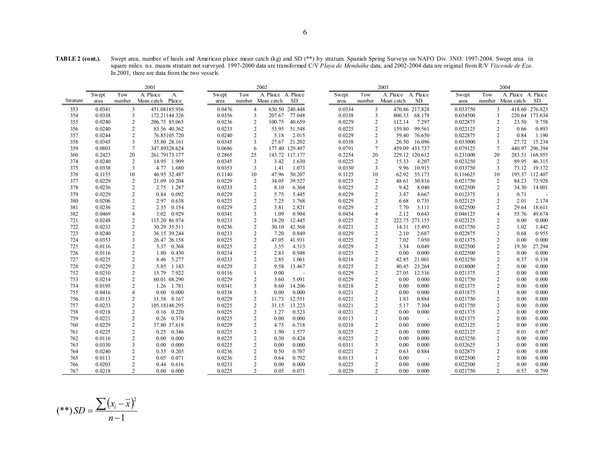**TABLE 2 (cont.).** Swept area, number of hauls and American plaice mean catch (kg) and SD (\*\*) by stratum. Spanish Spring Surveys on NAFO Div. 3NO: 1997-2004. Swept area in square miles. n.s. means stratum not surveyed. 1997-2000 data are transformed C/V *Playa de Menduíña* data, and 2002-2004 data are original from R/V *Vizconde de Eza*. In 2001, there are data from the two vessels.

| A. Plaice<br>Tow<br>A Plaice A Plaice<br>Tow<br>A Plaice A Plaice<br>Tow<br>A Plaice A Plaice<br>Swept<br>Tow<br>A.<br>Swept<br>Swept<br>Swept<br>SD<br>Stratum<br>number<br>Mean catch Plaice<br>number Mean catch<br><b>SD</b><br>number<br>Mean catch<br>number Mean catch<br>SD<br>area<br>area<br>area<br>area<br>3<br>0.0476<br>0.0334<br>3<br>470.86 217.828<br>0.033750<br>0.0341<br>451.08185.936<br>4<br>630.50 240.448<br>3<br>418.60 276.823<br>353<br>354<br>0.0338<br>3<br>172.21144.326<br>0.0356<br>3<br>77.048<br>0.0338<br>3<br>806.33<br>68.178<br>0.034500<br>3<br>220.64 173.634<br>207.67<br>$\overline{2}$<br>0.0236<br>$\overline{c}$<br>0.0229<br>0.022875<br>2<br>355<br>0.0240<br>206.75 85.065<br>100.75<br>40.659<br>2<br>112.14<br>7.297<br>23.50<br>9.758<br>$\overline{2}$<br>0.0233<br>99.561<br>0.022125<br>0.893<br>0.0240<br>83.56 40.362<br>2<br>53.95<br>51.548<br>0.0225<br>2<br>159.80<br>2<br>0.66<br>356<br>$\overline{2}$<br>0.0240<br>$\overline{2}$<br>2.015<br>0.0229<br>0.022875<br>0.84<br>1.190<br>357<br>0.0244<br>76.85105.720<br>5.18<br>2<br>59.40<br>76.650<br>2<br>3<br>0.0345<br>21.202<br>0.033000<br>358<br>0.0345<br>35.80 28.161<br>3<br>27.67<br>0.0338<br>3<br>16.096<br>3<br>27.72<br>15.234<br>26.50<br>177.40 129.497<br>296.394<br>359<br>$\tau$<br>347.89328.624<br>0.0686<br>0.0791<br>$\overline{7}$<br>459.09 433.737<br>0.079125<br>440.97<br>0.0803<br>7<br>6<br>360<br>0.2423<br>20<br>261.79173.177<br>0.2865<br>25<br>143.72 117.177<br>0.2254<br>20<br>229.12 120.612<br>0.231000<br>20<br>283.51<br>168.955<br>$\overline{2}$<br>0.0345<br>3<br>0.0225<br>0.023250<br>374<br>0.0240<br>14.95 1.909<br>3.42<br>1.630<br>2<br>15.33<br>4.207<br>2<br>89.95<br>46.315<br>3<br>0.0353<br>3<br>1.073<br>0.0330<br>3<br>9.96<br>10.915<br>0.033750<br>73.12<br>19.172<br>375<br>0.0338<br>4.77 1.680<br>1.41<br>3<br>376<br>10<br>46.95 32.487<br>0.1140<br>47.96<br>50.207<br>0.1125<br>62.92<br>55.173<br>0.116625<br>195.37 112.407<br>0.1155<br>10<br>10<br>10<br>0.0229<br>$\overline{c}$<br>39.527<br>30.816<br>0.021750<br>73.928<br>377<br>0.0229<br>2<br>21.09 10.204<br>34.05<br>0.0225<br>2<br>48.61<br>2<br>84.23<br>$\overline{2}$<br>0.0233<br>$\overline{2}$<br>6.364<br>2<br>0.022500<br>$\overline{2}$<br>378<br>0.0236<br>1.287<br>8.10<br>0.0225<br>9.42<br>8.040<br>34.30<br>14.001<br>2.75<br>$\overline{2}$<br>0.0229<br>379<br>0.0229<br>0.84<br>0.092<br>$\overline{c}$<br>5.445<br>0.0229<br>$\overline{c}$<br>3.47<br>4.667<br>0.012375<br>0.71<br>5.75<br>$\mathbf{1}$<br>$\sim$<br>$\overline{2}$<br>0.638<br>0.0225<br>1.768<br>0.0229<br>0.735<br>0.022125<br>2.01<br>2.174<br>380<br>0.0206<br>2.97<br>2<br>7.25<br>2<br>6.68<br>2<br>$\overline{2}$<br>0.0229<br>$\overline{2}$<br>0.0236<br>2.35<br>0.154<br>3.81<br>2.821<br>0.0229<br>2<br>7.70<br>3.111<br>0.022500<br>2<br>29.64<br>18.611<br>381<br>$\overline{4}$<br>3.02 0.929<br>0.0341<br>0.904<br>2.12<br>0.643<br>0.046125<br>$\overline{4}$<br>49.674<br>382<br>0.0469<br>3<br>1.09<br>0.0454<br>$\overline{4}$<br>55.76<br>$\overline{2}$<br>0.0233<br>721<br>0.0248<br>115.20 86.974<br>2<br>18.20<br>12.445<br>0.0225<br>2<br>222.75 273.155<br>0.022125<br>2<br>0.00<br>0.000<br>$\overline{2}$<br>0.0236<br>722<br>0.0233<br>30.29 35.511<br>$\overline{c}$<br>42.568<br>0.0221<br>2<br>14.31<br>15.493<br>0.021750<br>$\overline{c}$<br>1.02<br>1.442<br>30.10<br>2<br>36.15 39.244<br>0.0233<br>$\overline{2}$<br>0.849<br>0.0229<br>$\overline{2}$<br>0.022875<br>$\overline{c}$<br>0.955<br>723<br>0.0240<br>7.20<br>2.10<br>2.687<br>0.68<br>724<br>3<br>26.47 26.158<br>0.0225<br>$\overline{c}$<br>41.931<br>0.0225<br>$\overline{c}$<br>7.02<br>7.050<br>0.021375<br>2<br>0.00<br>0.000<br>0.0353<br>47.05<br>$\overline{2}$<br>0.0225<br>$\overline{2}$<br>4.313<br>0.0229<br>$\overline{c}$<br>0.049<br>0.022500<br>$\overline{c}$<br>27.294<br>725<br>0.0116<br>3.37 0.368<br>3.55<br>3.34<br>19.30<br>$\overline{2}$<br>0.0214<br>$\overline{c}$<br>$\overline{2}$<br>2<br>726<br>0.430<br>2.83<br>0.948<br>0.0225<br>0.00<br>0.000<br>0.022500<br>0.00<br>0.000<br>0.0116<br>1.80<br>$\overline{2}$<br>727<br>0.0225<br>0.0233<br>$\overline{2}$<br>0.0218<br>21.001<br>0.023250<br>$\overline{c}$<br>0.338<br>5.277<br>2.85<br>1.061<br>2<br>42.85<br>0.37<br>8.46<br>$\overline{2}$<br>0.0229<br>23.264<br>0.018000<br>728<br>0.0229<br>5.85<br>1.143<br>$\overline{2}$<br>9.58<br>13.467<br>0.0225<br>2<br>40.45<br>2<br>0.00<br>0.000<br>$\overline{2}$<br>$\overline{c}$<br>2<br>7.922<br>0.0116<br>$\overline{1}$<br>0.00<br>0.0229<br>12.516<br>0.021375<br>0.000<br>752<br>0.0210<br>15.79<br>27.05<br>0.00<br>$\sim$<br>$\overline{2}$<br>60.01 68.290<br>0.0229<br>$\overline{c}$<br>0.0229<br>$\overline{c}$<br>0.00<br>0.000<br>0.021750<br>$\overline{c}$<br>0.000<br>753<br>0.0214<br>3.60<br>5.091<br>0.00<br>754<br>0.0195<br>2<br>1.781<br>0.0341<br>$\overline{\mathbf{3}}$<br>14.206<br>0.0218<br>$\overline{2}$<br>0.00<br>0.000<br>0.021375<br>$\overline{2}$<br>0.00<br>0.000<br>1.26<br>8.60<br>$\overline{4}$<br>0.000<br>0.0338<br>3<br>0.000<br>0.0221<br>$\overline{2}$<br>0.000<br>0.031875<br>3<br>0.000<br>755<br>0.0416<br>0.00<br>0.00<br>0.00<br>0.00<br>$\overline{2}$<br>0.0229<br>$\overline{c}$<br>11.58 8.167<br>2<br>12.551<br>0.0221<br>0.884<br>0.021750<br>2<br>0.00<br>0.000<br>756<br>0.0113<br>11.73<br>1.83<br>$\overline{2}$<br>105.18148.295<br>0.0225<br>$\overline{2}$<br>13.223<br>$\overline{2}$<br>7.304<br>$\overline{2}$<br>0.000<br>757<br>0.0233<br>31.15<br>0.0221<br>5.17<br>0.021750<br>0.00<br>$\overline{2}$<br>$0.16$ 0.220<br>0.0225<br>$\overline{c}$<br>0.523<br>0.0221<br>$\overline{2}$<br>0.00<br>0.000<br>0.021375<br>$\overline{c}$<br>0.000<br>758<br>0.0218<br>1.27<br>0.00<br>2<br>759<br>0.0221<br>$0.26$ 0.374<br>0.0225<br>$\overline{2}$<br>0.00<br>0.000<br>0.0113<br>0.00<br>0.021375<br>$\overline{c}$<br>0.00<br>0.000<br>$\sim$<br>$\overline{2}$<br>0.0229<br>$\overline{c}$<br>$\overline{c}$<br>$\overline{c}$<br>0.000<br>760<br>0.0229<br>37.80 37.618<br>4.75<br>6.718<br>0.0218<br>0.00<br>0.000<br>0.022125<br>0.00<br>$\overline{2}$<br>0.0225<br>$\overline{2}$<br>$\overline{c}$<br>0.0225<br>1.577<br>0.0225<br>$\overline{c}$<br>0.000<br>0.022125<br>0.007<br>761<br>0.25<br>0.346<br>1.90<br>0.00<br>0.01<br>$\overline{2}$<br>0.000<br>0.0225<br>$\overline{c}$<br>0.424<br>0.0225<br>$\overline{2}$<br>0.023250<br>$\overline{2}$<br>762<br>0.0116<br>0.00<br>0.30<br>0.00<br>0.000<br>0.00<br>0.000<br>3<br>0.0225<br>0.0330<br>0.000<br>2<br>0.00<br>0.000<br>0.0311<br>3<br>0.00<br>0.000<br>0.032625<br>3<br>0.00<br>0.000<br>763<br>0.00<br>$\overline{2}$<br>0.205<br>0.0236<br>$\overline{2}$<br>0.884<br>0.022875<br>$\overline{c}$<br>0.000<br>764<br>0.0240<br>0.35<br>0.50<br>0.707<br>0.0221<br>$\overline{c}$<br>0.63<br>0.00<br>$\overline{2}$<br>0.0236<br>$\overline{c}$<br>0.022500<br>$\overline{c}$<br>765<br>0.0113<br>0.071<br>0.792<br>0.0113<br>0.00<br>0.00<br>0.000<br>0.05<br>0.64<br>$\sim$<br>$\overline{2}$<br>0.0233<br>$\overline{2}$<br>0.022500<br>$\overline{c}$<br>0.0203<br>0.616<br>0.00<br>0.000<br>0.0225<br>$\overline{2}$<br>0.00<br>0.000<br>0.00<br>0.000<br>766<br>0.44<br>$\mathfrak{D}$<br>0.0225<br>$\mathcal{L}$<br>0.0229<br>0.799<br>767<br>0.0218<br>0.00<br>0.000<br>0.05<br>0.071<br>$\mathfrak{D}$<br>0.00<br>0.000<br>0.021750<br>$\mathcal{D}$<br>0.57 | 2001 |  |  | 2002<br>2003 |  |  |  | 2004 |  |  |  |  |  |
|----------------------------------------------------------------------------------------------------------------------------------------------------------------------------------------------------------------------------------------------------------------------------------------------------------------------------------------------------------------------------------------------------------------------------------------------------------------------------------------------------------------------------------------------------------------------------------------------------------------------------------------------------------------------------------------------------------------------------------------------------------------------------------------------------------------------------------------------------------------------------------------------------------------------------------------------------------------------------------------------------------------------------------------------------------------------------------------------------------------------------------------------------------------------------------------------------------------------------------------------------------------------------------------------------------------------------------------------------------------------------------------------------------------------------------------------------------------------------------------------------------------------------------------------------------------------------------------------------------------------------------------------------------------------------------------------------------------------------------------------------------------------------------------------------------------------------------------------------------------------------------------------------------------------------------------------------------------------------------------------------------------------------------------------------------------------------------------------------------------------------------------------------------------------------------------------------------------------------------------------------------------------------------------------------------------------------------------------------------------------------------------------------------------------------------------------------------------------------------------------------------------------------------------------------------------------------------------------------------------------------------------------------------------------------------------------------------------------------------------------------------------------------------------------------------------------------------------------------------------------------------------------------------------------------------------------------------------------------------------------------------------------------------------------------------------------------------------------------------------------------------------------------------------------------------------------------------------------------------------------------------------------------------------------------------------------------------------------------------------------------------------------------------------------------------------------------------------------------------------------------------------------------------------------------------------------------------------------------------------------------------------------------------------------------------------------------------------------------------------------------------------------------------------------------------------------------------------------------------------------------------------------------------------------------------------------------------------------------------------------------------------------------------------------------------------------------------------------------------------------------------------------------------------------------------------------------------------------------------------------------------------------------------------------------------------------------------------------------------------------------------------------------------------------------------------------------------------------------------------------------------------------------------------------------------------------------------------------------------------------------------------------------------------------------------------------------------------------------------------------------------------------------------------------------------------------------------------------------------------------------------------------------------------------------------------------------------------------------------------------------------------------------------------------------------------------------------------------------------------------------------------------------------------------------------------------------------------------------------------------------------------------------------------------------------------------------------------------------------------------------------------------------------------------------------------------------------------------------------------------------------------------------------------------------------------------------------------------------------------------------------------------------------------------------------------------------------------------------------------------------------------------------------------------------------------------------------------------------------------------------------------------------------------------------------------------------------------------------------------------------------------------------------------------------------------------------------------------------------------------------------------------------------------------------------------------------------------------------------------------------------------------------------------------------------------------------------------------------------------------------------------------------------------------------------------------------------------------------------------------------------------------------------------------------------------------------------------------------------------------------------------------------------------------------------------------------------------------------------------------------------------------------------------------------------------------------------------------------------------------------------------------------------------------------------------------------------------------------------------------------------------------------------------------------------------------------------------------------------------------------------------------------------------------------------------------------------------------------------------------------------------------------------------------------------------------------------------------------------------------------------------------------------------------------------------------------------------------------------------------------------|------|--|--|--------------|--|--|--|------|--|--|--|--|--|
|                                                                                                                                                                                                                                                                                                                                                                                                                                                                                                                                                                                                                                                                                                                                                                                                                                                                                                                                                                                                                                                                                                                                                                                                                                                                                                                                                                                                                                                                                                                                                                                                                                                                                                                                                                                                                                                                                                                                                                                                                                                                                                                                                                                                                                                                                                                                                                                                                                                                                                                                                                                                                                                                                                                                                                                                                                                                                                                                                                                                                                                                                                                                                                                                                                                                                                                                                                                                                                                                                                                                                                                                                                                                                                                                                                                                                                                                                                                                                                                                                                                                                                                                                                                                                                                                                                                                                                                                                                                                                                                                                                                                                                                                                                                                                                                                                                                                                                                                                                                                                                                                                                                                                                                                                                                                                                                                                                                                                                                                                                                                                                                                                                                                                                                                                                                                                                                                                                                                                                                                                                                                                                                                                                                                                                                                                                                                                                                                                                                                                                                                                                                                                                                                                                                                                                                                                                                                                                                                                                                                                                                                                                                                                                                                                                                                                                                                                                                                                                                                                                          |      |  |  |              |  |  |  |      |  |  |  |  |  |
|                                                                                                                                                                                                                                                                                                                                                                                                                                                                                                                                                                                                                                                                                                                                                                                                                                                                                                                                                                                                                                                                                                                                                                                                                                                                                                                                                                                                                                                                                                                                                                                                                                                                                                                                                                                                                                                                                                                                                                                                                                                                                                                                                                                                                                                                                                                                                                                                                                                                                                                                                                                                                                                                                                                                                                                                                                                                                                                                                                                                                                                                                                                                                                                                                                                                                                                                                                                                                                                                                                                                                                                                                                                                                                                                                                                                                                                                                                                                                                                                                                                                                                                                                                                                                                                                                                                                                                                                                                                                                                                                                                                                                                                                                                                                                                                                                                                                                                                                                                                                                                                                                                                                                                                                                                                                                                                                                                                                                                                                                                                                                                                                                                                                                                                                                                                                                                                                                                                                                                                                                                                                                                                                                                                                                                                                                                                                                                                                                                                                                                                                                                                                                                                                                                                                                                                                                                                                                                                                                                                                                                                                                                                                                                                                                                                                                                                                                                                                                                                                                                          |      |  |  |              |  |  |  |      |  |  |  |  |  |
|                                                                                                                                                                                                                                                                                                                                                                                                                                                                                                                                                                                                                                                                                                                                                                                                                                                                                                                                                                                                                                                                                                                                                                                                                                                                                                                                                                                                                                                                                                                                                                                                                                                                                                                                                                                                                                                                                                                                                                                                                                                                                                                                                                                                                                                                                                                                                                                                                                                                                                                                                                                                                                                                                                                                                                                                                                                                                                                                                                                                                                                                                                                                                                                                                                                                                                                                                                                                                                                                                                                                                                                                                                                                                                                                                                                                                                                                                                                                                                                                                                                                                                                                                                                                                                                                                                                                                                                                                                                                                                                                                                                                                                                                                                                                                                                                                                                                                                                                                                                                                                                                                                                                                                                                                                                                                                                                                                                                                                                                                                                                                                                                                                                                                                                                                                                                                                                                                                                                                                                                                                                                                                                                                                                                                                                                                                                                                                                                                                                                                                                                                                                                                                                                                                                                                                                                                                                                                                                                                                                                                                                                                                                                                                                                                                                                                                                                                                                                                                                                                                          |      |  |  |              |  |  |  |      |  |  |  |  |  |
|                                                                                                                                                                                                                                                                                                                                                                                                                                                                                                                                                                                                                                                                                                                                                                                                                                                                                                                                                                                                                                                                                                                                                                                                                                                                                                                                                                                                                                                                                                                                                                                                                                                                                                                                                                                                                                                                                                                                                                                                                                                                                                                                                                                                                                                                                                                                                                                                                                                                                                                                                                                                                                                                                                                                                                                                                                                                                                                                                                                                                                                                                                                                                                                                                                                                                                                                                                                                                                                                                                                                                                                                                                                                                                                                                                                                                                                                                                                                                                                                                                                                                                                                                                                                                                                                                                                                                                                                                                                                                                                                                                                                                                                                                                                                                                                                                                                                                                                                                                                                                                                                                                                                                                                                                                                                                                                                                                                                                                                                                                                                                                                                                                                                                                                                                                                                                                                                                                                                                                                                                                                                                                                                                                                                                                                                                                                                                                                                                                                                                                                                                                                                                                                                                                                                                                                                                                                                                                                                                                                                                                                                                                                                                                                                                                                                                                                                                                                                                                                                                                          |      |  |  |              |  |  |  |      |  |  |  |  |  |
|                                                                                                                                                                                                                                                                                                                                                                                                                                                                                                                                                                                                                                                                                                                                                                                                                                                                                                                                                                                                                                                                                                                                                                                                                                                                                                                                                                                                                                                                                                                                                                                                                                                                                                                                                                                                                                                                                                                                                                                                                                                                                                                                                                                                                                                                                                                                                                                                                                                                                                                                                                                                                                                                                                                                                                                                                                                                                                                                                                                                                                                                                                                                                                                                                                                                                                                                                                                                                                                                                                                                                                                                                                                                                                                                                                                                                                                                                                                                                                                                                                                                                                                                                                                                                                                                                                                                                                                                                                                                                                                                                                                                                                                                                                                                                                                                                                                                                                                                                                                                                                                                                                                                                                                                                                                                                                                                                                                                                                                                                                                                                                                                                                                                                                                                                                                                                                                                                                                                                                                                                                                                                                                                                                                                                                                                                                                                                                                                                                                                                                                                                                                                                                                                                                                                                                                                                                                                                                                                                                                                                                                                                                                                                                                                                                                                                                                                                                                                                                                                                                          |      |  |  |              |  |  |  |      |  |  |  |  |  |
|                                                                                                                                                                                                                                                                                                                                                                                                                                                                                                                                                                                                                                                                                                                                                                                                                                                                                                                                                                                                                                                                                                                                                                                                                                                                                                                                                                                                                                                                                                                                                                                                                                                                                                                                                                                                                                                                                                                                                                                                                                                                                                                                                                                                                                                                                                                                                                                                                                                                                                                                                                                                                                                                                                                                                                                                                                                                                                                                                                                                                                                                                                                                                                                                                                                                                                                                                                                                                                                                                                                                                                                                                                                                                                                                                                                                                                                                                                                                                                                                                                                                                                                                                                                                                                                                                                                                                                                                                                                                                                                                                                                                                                                                                                                                                                                                                                                                                                                                                                                                                                                                                                                                                                                                                                                                                                                                                                                                                                                                                                                                                                                                                                                                                                                                                                                                                                                                                                                                                                                                                                                                                                                                                                                                                                                                                                                                                                                                                                                                                                                                                                                                                                                                                                                                                                                                                                                                                                                                                                                                                                                                                                                                                                                                                                                                                                                                                                                                                                                                                                          |      |  |  |              |  |  |  |      |  |  |  |  |  |
|                                                                                                                                                                                                                                                                                                                                                                                                                                                                                                                                                                                                                                                                                                                                                                                                                                                                                                                                                                                                                                                                                                                                                                                                                                                                                                                                                                                                                                                                                                                                                                                                                                                                                                                                                                                                                                                                                                                                                                                                                                                                                                                                                                                                                                                                                                                                                                                                                                                                                                                                                                                                                                                                                                                                                                                                                                                                                                                                                                                                                                                                                                                                                                                                                                                                                                                                                                                                                                                                                                                                                                                                                                                                                                                                                                                                                                                                                                                                                                                                                                                                                                                                                                                                                                                                                                                                                                                                                                                                                                                                                                                                                                                                                                                                                                                                                                                                                                                                                                                                                                                                                                                                                                                                                                                                                                                                                                                                                                                                                                                                                                                                                                                                                                                                                                                                                                                                                                                                                                                                                                                                                                                                                                                                                                                                                                                                                                                                                                                                                                                                                                                                                                                                                                                                                                                                                                                                                                                                                                                                                                                                                                                                                                                                                                                                                                                                                                                                                                                                                                          |      |  |  |              |  |  |  |      |  |  |  |  |  |
|                                                                                                                                                                                                                                                                                                                                                                                                                                                                                                                                                                                                                                                                                                                                                                                                                                                                                                                                                                                                                                                                                                                                                                                                                                                                                                                                                                                                                                                                                                                                                                                                                                                                                                                                                                                                                                                                                                                                                                                                                                                                                                                                                                                                                                                                                                                                                                                                                                                                                                                                                                                                                                                                                                                                                                                                                                                                                                                                                                                                                                                                                                                                                                                                                                                                                                                                                                                                                                                                                                                                                                                                                                                                                                                                                                                                                                                                                                                                                                                                                                                                                                                                                                                                                                                                                                                                                                                                                                                                                                                                                                                                                                                                                                                                                                                                                                                                                                                                                                                                                                                                                                                                                                                                                                                                                                                                                                                                                                                                                                                                                                                                                                                                                                                                                                                                                                                                                                                                                                                                                                                                                                                                                                                                                                                                                                                                                                                                                                                                                                                                                                                                                                                                                                                                                                                                                                                                                                                                                                                                                                                                                                                                                                                                                                                                                                                                                                                                                                                                                                          |      |  |  |              |  |  |  |      |  |  |  |  |  |
|                                                                                                                                                                                                                                                                                                                                                                                                                                                                                                                                                                                                                                                                                                                                                                                                                                                                                                                                                                                                                                                                                                                                                                                                                                                                                                                                                                                                                                                                                                                                                                                                                                                                                                                                                                                                                                                                                                                                                                                                                                                                                                                                                                                                                                                                                                                                                                                                                                                                                                                                                                                                                                                                                                                                                                                                                                                                                                                                                                                                                                                                                                                                                                                                                                                                                                                                                                                                                                                                                                                                                                                                                                                                                                                                                                                                                                                                                                                                                                                                                                                                                                                                                                                                                                                                                                                                                                                                                                                                                                                                                                                                                                                                                                                                                                                                                                                                                                                                                                                                                                                                                                                                                                                                                                                                                                                                                                                                                                                                                                                                                                                                                                                                                                                                                                                                                                                                                                                                                                                                                                                                                                                                                                                                                                                                                                                                                                                                                                                                                                                                                                                                                                                                                                                                                                                                                                                                                                                                                                                                                                                                                                                                                                                                                                                                                                                                                                                                                                                                                                          |      |  |  |              |  |  |  |      |  |  |  |  |  |
|                                                                                                                                                                                                                                                                                                                                                                                                                                                                                                                                                                                                                                                                                                                                                                                                                                                                                                                                                                                                                                                                                                                                                                                                                                                                                                                                                                                                                                                                                                                                                                                                                                                                                                                                                                                                                                                                                                                                                                                                                                                                                                                                                                                                                                                                                                                                                                                                                                                                                                                                                                                                                                                                                                                                                                                                                                                                                                                                                                                                                                                                                                                                                                                                                                                                                                                                                                                                                                                                                                                                                                                                                                                                                                                                                                                                                                                                                                                                                                                                                                                                                                                                                                                                                                                                                                                                                                                                                                                                                                                                                                                                                                                                                                                                                                                                                                                                                                                                                                                                                                                                                                                                                                                                                                                                                                                                                                                                                                                                                                                                                                                                                                                                                                                                                                                                                                                                                                                                                                                                                                                                                                                                                                                                                                                                                                                                                                                                                                                                                                                                                                                                                                                                                                                                                                                                                                                                                                                                                                                                                                                                                                                                                                                                                                                                                                                                                                                                                                                                                                          |      |  |  |              |  |  |  |      |  |  |  |  |  |
|                                                                                                                                                                                                                                                                                                                                                                                                                                                                                                                                                                                                                                                                                                                                                                                                                                                                                                                                                                                                                                                                                                                                                                                                                                                                                                                                                                                                                                                                                                                                                                                                                                                                                                                                                                                                                                                                                                                                                                                                                                                                                                                                                                                                                                                                                                                                                                                                                                                                                                                                                                                                                                                                                                                                                                                                                                                                                                                                                                                                                                                                                                                                                                                                                                                                                                                                                                                                                                                                                                                                                                                                                                                                                                                                                                                                                                                                                                                                                                                                                                                                                                                                                                                                                                                                                                                                                                                                                                                                                                                                                                                                                                                                                                                                                                                                                                                                                                                                                                                                                                                                                                                                                                                                                                                                                                                                                                                                                                                                                                                                                                                                                                                                                                                                                                                                                                                                                                                                                                                                                                                                                                                                                                                                                                                                                                                                                                                                                                                                                                                                                                                                                                                                                                                                                                                                                                                                                                                                                                                                                                                                                                                                                                                                                                                                                                                                                                                                                                                                                                          |      |  |  |              |  |  |  |      |  |  |  |  |  |
|                                                                                                                                                                                                                                                                                                                                                                                                                                                                                                                                                                                                                                                                                                                                                                                                                                                                                                                                                                                                                                                                                                                                                                                                                                                                                                                                                                                                                                                                                                                                                                                                                                                                                                                                                                                                                                                                                                                                                                                                                                                                                                                                                                                                                                                                                                                                                                                                                                                                                                                                                                                                                                                                                                                                                                                                                                                                                                                                                                                                                                                                                                                                                                                                                                                                                                                                                                                                                                                                                                                                                                                                                                                                                                                                                                                                                                                                                                                                                                                                                                                                                                                                                                                                                                                                                                                                                                                                                                                                                                                                                                                                                                                                                                                                                                                                                                                                                                                                                                                                                                                                                                                                                                                                                                                                                                                                                                                                                                                                                                                                                                                                                                                                                                                                                                                                                                                                                                                                                                                                                                                                                                                                                                                                                                                                                                                                                                                                                                                                                                                                                                                                                                                                                                                                                                                                                                                                                                                                                                                                                                                                                                                                                                                                                                                                                                                                                                                                                                                                                                          |      |  |  |              |  |  |  |      |  |  |  |  |  |
|                                                                                                                                                                                                                                                                                                                                                                                                                                                                                                                                                                                                                                                                                                                                                                                                                                                                                                                                                                                                                                                                                                                                                                                                                                                                                                                                                                                                                                                                                                                                                                                                                                                                                                                                                                                                                                                                                                                                                                                                                                                                                                                                                                                                                                                                                                                                                                                                                                                                                                                                                                                                                                                                                                                                                                                                                                                                                                                                                                                                                                                                                                                                                                                                                                                                                                                                                                                                                                                                                                                                                                                                                                                                                                                                                                                                                                                                                                                                                                                                                                                                                                                                                                                                                                                                                                                                                                                                                                                                                                                                                                                                                                                                                                                                                                                                                                                                                                                                                                                                                                                                                                                                                                                                                                                                                                                                                                                                                                                                                                                                                                                                                                                                                                                                                                                                                                                                                                                                                                                                                                                                                                                                                                                                                                                                                                                                                                                                                                                                                                                                                                                                                                                                                                                                                                                                                                                                                                                                                                                                                                                                                                                                                                                                                                                                                                                                                                                                                                                                                                          |      |  |  |              |  |  |  |      |  |  |  |  |  |
|                                                                                                                                                                                                                                                                                                                                                                                                                                                                                                                                                                                                                                                                                                                                                                                                                                                                                                                                                                                                                                                                                                                                                                                                                                                                                                                                                                                                                                                                                                                                                                                                                                                                                                                                                                                                                                                                                                                                                                                                                                                                                                                                                                                                                                                                                                                                                                                                                                                                                                                                                                                                                                                                                                                                                                                                                                                                                                                                                                                                                                                                                                                                                                                                                                                                                                                                                                                                                                                                                                                                                                                                                                                                                                                                                                                                                                                                                                                                                                                                                                                                                                                                                                                                                                                                                                                                                                                                                                                                                                                                                                                                                                                                                                                                                                                                                                                                                                                                                                                                                                                                                                                                                                                                                                                                                                                                                                                                                                                                                                                                                                                                                                                                                                                                                                                                                                                                                                                                                                                                                                                                                                                                                                                                                                                                                                                                                                                                                                                                                                                                                                                                                                                                                                                                                                                                                                                                                                                                                                                                                                                                                                                                                                                                                                                                                                                                                                                                                                                                                                          |      |  |  |              |  |  |  |      |  |  |  |  |  |
|                                                                                                                                                                                                                                                                                                                                                                                                                                                                                                                                                                                                                                                                                                                                                                                                                                                                                                                                                                                                                                                                                                                                                                                                                                                                                                                                                                                                                                                                                                                                                                                                                                                                                                                                                                                                                                                                                                                                                                                                                                                                                                                                                                                                                                                                                                                                                                                                                                                                                                                                                                                                                                                                                                                                                                                                                                                                                                                                                                                                                                                                                                                                                                                                                                                                                                                                                                                                                                                                                                                                                                                                                                                                                                                                                                                                                                                                                                                                                                                                                                                                                                                                                                                                                                                                                                                                                                                                                                                                                                                                                                                                                                                                                                                                                                                                                                                                                                                                                                                                                                                                                                                                                                                                                                                                                                                                                                                                                                                                                                                                                                                                                                                                                                                                                                                                                                                                                                                                                                                                                                                                                                                                                                                                                                                                                                                                                                                                                                                                                                                                                                                                                                                                                                                                                                                                                                                                                                                                                                                                                                                                                                                                                                                                                                                                                                                                                                                                                                                                                                          |      |  |  |              |  |  |  |      |  |  |  |  |  |
|                                                                                                                                                                                                                                                                                                                                                                                                                                                                                                                                                                                                                                                                                                                                                                                                                                                                                                                                                                                                                                                                                                                                                                                                                                                                                                                                                                                                                                                                                                                                                                                                                                                                                                                                                                                                                                                                                                                                                                                                                                                                                                                                                                                                                                                                                                                                                                                                                                                                                                                                                                                                                                                                                                                                                                                                                                                                                                                                                                                                                                                                                                                                                                                                                                                                                                                                                                                                                                                                                                                                                                                                                                                                                                                                                                                                                                                                                                                                                                                                                                                                                                                                                                                                                                                                                                                                                                                                                                                                                                                                                                                                                                                                                                                                                                                                                                                                                                                                                                                                                                                                                                                                                                                                                                                                                                                                                                                                                                                                                                                                                                                                                                                                                                                                                                                                                                                                                                                                                                                                                                                                                                                                                                                                                                                                                                                                                                                                                                                                                                                                                                                                                                                                                                                                                                                                                                                                                                                                                                                                                                                                                                                                                                                                                                                                                                                                                                                                                                                                                                          |      |  |  |              |  |  |  |      |  |  |  |  |  |
|                                                                                                                                                                                                                                                                                                                                                                                                                                                                                                                                                                                                                                                                                                                                                                                                                                                                                                                                                                                                                                                                                                                                                                                                                                                                                                                                                                                                                                                                                                                                                                                                                                                                                                                                                                                                                                                                                                                                                                                                                                                                                                                                                                                                                                                                                                                                                                                                                                                                                                                                                                                                                                                                                                                                                                                                                                                                                                                                                                                                                                                                                                                                                                                                                                                                                                                                                                                                                                                                                                                                                                                                                                                                                                                                                                                                                                                                                                                                                                                                                                                                                                                                                                                                                                                                                                                                                                                                                                                                                                                                                                                                                                                                                                                                                                                                                                                                                                                                                                                                                                                                                                                                                                                                                                                                                                                                                                                                                                                                                                                                                                                                                                                                                                                                                                                                                                                                                                                                                                                                                                                                                                                                                                                                                                                                                                                                                                                                                                                                                                                                                                                                                                                                                                                                                                                                                                                                                                                                                                                                                                                                                                                                                                                                                                                                                                                                                                                                                                                                                                          |      |  |  |              |  |  |  |      |  |  |  |  |  |
|                                                                                                                                                                                                                                                                                                                                                                                                                                                                                                                                                                                                                                                                                                                                                                                                                                                                                                                                                                                                                                                                                                                                                                                                                                                                                                                                                                                                                                                                                                                                                                                                                                                                                                                                                                                                                                                                                                                                                                                                                                                                                                                                                                                                                                                                                                                                                                                                                                                                                                                                                                                                                                                                                                                                                                                                                                                                                                                                                                                                                                                                                                                                                                                                                                                                                                                                                                                                                                                                                                                                                                                                                                                                                                                                                                                                                                                                                                                                                                                                                                                                                                                                                                                                                                                                                                                                                                                                                                                                                                                                                                                                                                                                                                                                                                                                                                                                                                                                                                                                                                                                                                                                                                                                                                                                                                                                                                                                                                                                                                                                                                                                                                                                                                                                                                                                                                                                                                                                                                                                                                                                                                                                                                                                                                                                                                                                                                                                                                                                                                                                                                                                                                                                                                                                                                                                                                                                                                                                                                                                                                                                                                                                                                                                                                                                                                                                                                                                                                                                                                          |      |  |  |              |  |  |  |      |  |  |  |  |  |
|                                                                                                                                                                                                                                                                                                                                                                                                                                                                                                                                                                                                                                                                                                                                                                                                                                                                                                                                                                                                                                                                                                                                                                                                                                                                                                                                                                                                                                                                                                                                                                                                                                                                                                                                                                                                                                                                                                                                                                                                                                                                                                                                                                                                                                                                                                                                                                                                                                                                                                                                                                                                                                                                                                                                                                                                                                                                                                                                                                                                                                                                                                                                                                                                                                                                                                                                                                                                                                                                                                                                                                                                                                                                                                                                                                                                                                                                                                                                                                                                                                                                                                                                                                                                                                                                                                                                                                                                                                                                                                                                                                                                                                                                                                                                                                                                                                                                                                                                                                                                                                                                                                                                                                                                                                                                                                                                                                                                                                                                                                                                                                                                                                                                                                                                                                                                                                                                                                                                                                                                                                                                                                                                                                                                                                                                                                                                                                                                                                                                                                                                                                                                                                                                                                                                                                                                                                                                                                                                                                                                                                                                                                                                                                                                                                                                                                                                                                                                                                                                                                          |      |  |  |              |  |  |  |      |  |  |  |  |  |
|                                                                                                                                                                                                                                                                                                                                                                                                                                                                                                                                                                                                                                                                                                                                                                                                                                                                                                                                                                                                                                                                                                                                                                                                                                                                                                                                                                                                                                                                                                                                                                                                                                                                                                                                                                                                                                                                                                                                                                                                                                                                                                                                                                                                                                                                                                                                                                                                                                                                                                                                                                                                                                                                                                                                                                                                                                                                                                                                                                                                                                                                                                                                                                                                                                                                                                                                                                                                                                                                                                                                                                                                                                                                                                                                                                                                                                                                                                                                                                                                                                                                                                                                                                                                                                                                                                                                                                                                                                                                                                                                                                                                                                                                                                                                                                                                                                                                                                                                                                                                                                                                                                                                                                                                                                                                                                                                                                                                                                                                                                                                                                                                                                                                                                                                                                                                                                                                                                                                                                                                                                                                                                                                                                                                                                                                                                                                                                                                                                                                                                                                                                                                                                                                                                                                                                                                                                                                                                                                                                                                                                                                                                                                                                                                                                                                                                                                                                                                                                                                                                          |      |  |  |              |  |  |  |      |  |  |  |  |  |
|                                                                                                                                                                                                                                                                                                                                                                                                                                                                                                                                                                                                                                                                                                                                                                                                                                                                                                                                                                                                                                                                                                                                                                                                                                                                                                                                                                                                                                                                                                                                                                                                                                                                                                                                                                                                                                                                                                                                                                                                                                                                                                                                                                                                                                                                                                                                                                                                                                                                                                                                                                                                                                                                                                                                                                                                                                                                                                                                                                                                                                                                                                                                                                                                                                                                                                                                                                                                                                                                                                                                                                                                                                                                                                                                                                                                                                                                                                                                                                                                                                                                                                                                                                                                                                                                                                                                                                                                                                                                                                                                                                                                                                                                                                                                                                                                                                                                                                                                                                                                                                                                                                                                                                                                                                                                                                                                                                                                                                                                                                                                                                                                                                                                                                                                                                                                                                                                                                                                                                                                                                                                                                                                                                                                                                                                                                                                                                                                                                                                                                                                                                                                                                                                                                                                                                                                                                                                                                                                                                                                                                                                                                                                                                                                                                                                                                                                                                                                                                                                                                          |      |  |  |              |  |  |  |      |  |  |  |  |  |
|                                                                                                                                                                                                                                                                                                                                                                                                                                                                                                                                                                                                                                                                                                                                                                                                                                                                                                                                                                                                                                                                                                                                                                                                                                                                                                                                                                                                                                                                                                                                                                                                                                                                                                                                                                                                                                                                                                                                                                                                                                                                                                                                                                                                                                                                                                                                                                                                                                                                                                                                                                                                                                                                                                                                                                                                                                                                                                                                                                                                                                                                                                                                                                                                                                                                                                                                                                                                                                                                                                                                                                                                                                                                                                                                                                                                                                                                                                                                                                                                                                                                                                                                                                                                                                                                                                                                                                                                                                                                                                                                                                                                                                                                                                                                                                                                                                                                                                                                                                                                                                                                                                                                                                                                                                                                                                                                                                                                                                                                                                                                                                                                                                                                                                                                                                                                                                                                                                                                                                                                                                                                                                                                                                                                                                                                                                                                                                                                                                                                                                                                                                                                                                                                                                                                                                                                                                                                                                                                                                                                                                                                                                                                                                                                                                                                                                                                                                                                                                                                                                          |      |  |  |              |  |  |  |      |  |  |  |  |  |
|                                                                                                                                                                                                                                                                                                                                                                                                                                                                                                                                                                                                                                                                                                                                                                                                                                                                                                                                                                                                                                                                                                                                                                                                                                                                                                                                                                                                                                                                                                                                                                                                                                                                                                                                                                                                                                                                                                                                                                                                                                                                                                                                                                                                                                                                                                                                                                                                                                                                                                                                                                                                                                                                                                                                                                                                                                                                                                                                                                                                                                                                                                                                                                                                                                                                                                                                                                                                                                                                                                                                                                                                                                                                                                                                                                                                                                                                                                                                                                                                                                                                                                                                                                                                                                                                                                                                                                                                                                                                                                                                                                                                                                                                                                                                                                                                                                                                                                                                                                                                                                                                                                                                                                                                                                                                                                                                                                                                                                                                                                                                                                                                                                                                                                                                                                                                                                                                                                                                                                                                                                                                                                                                                                                                                                                                                                                                                                                                                                                                                                                                                                                                                                                                                                                                                                                                                                                                                                                                                                                                                                                                                                                                                                                                                                                                                                                                                                                                                                                                                                          |      |  |  |              |  |  |  |      |  |  |  |  |  |
|                                                                                                                                                                                                                                                                                                                                                                                                                                                                                                                                                                                                                                                                                                                                                                                                                                                                                                                                                                                                                                                                                                                                                                                                                                                                                                                                                                                                                                                                                                                                                                                                                                                                                                                                                                                                                                                                                                                                                                                                                                                                                                                                                                                                                                                                                                                                                                                                                                                                                                                                                                                                                                                                                                                                                                                                                                                                                                                                                                                                                                                                                                                                                                                                                                                                                                                                                                                                                                                                                                                                                                                                                                                                                                                                                                                                                                                                                                                                                                                                                                                                                                                                                                                                                                                                                                                                                                                                                                                                                                                                                                                                                                                                                                                                                                                                                                                                                                                                                                                                                                                                                                                                                                                                                                                                                                                                                                                                                                                                                                                                                                                                                                                                                                                                                                                                                                                                                                                                                                                                                                                                                                                                                                                                                                                                                                                                                                                                                                                                                                                                                                                                                                                                                                                                                                                                                                                                                                                                                                                                                                                                                                                                                                                                                                                                                                                                                                                                                                                                                                          |      |  |  |              |  |  |  |      |  |  |  |  |  |
|                                                                                                                                                                                                                                                                                                                                                                                                                                                                                                                                                                                                                                                                                                                                                                                                                                                                                                                                                                                                                                                                                                                                                                                                                                                                                                                                                                                                                                                                                                                                                                                                                                                                                                                                                                                                                                                                                                                                                                                                                                                                                                                                                                                                                                                                                                                                                                                                                                                                                                                                                                                                                                                                                                                                                                                                                                                                                                                                                                                                                                                                                                                                                                                                                                                                                                                                                                                                                                                                                                                                                                                                                                                                                                                                                                                                                                                                                                                                                                                                                                                                                                                                                                                                                                                                                                                                                                                                                                                                                                                                                                                                                                                                                                                                                                                                                                                                                                                                                                                                                                                                                                                                                                                                                                                                                                                                                                                                                                                                                                                                                                                                                                                                                                                                                                                                                                                                                                                                                                                                                                                                                                                                                                                                                                                                                                                                                                                                                                                                                                                                                                                                                                                                                                                                                                                                                                                                                                                                                                                                                                                                                                                                                                                                                                                                                                                                                                                                                                                                                                          |      |  |  |              |  |  |  |      |  |  |  |  |  |
|                                                                                                                                                                                                                                                                                                                                                                                                                                                                                                                                                                                                                                                                                                                                                                                                                                                                                                                                                                                                                                                                                                                                                                                                                                                                                                                                                                                                                                                                                                                                                                                                                                                                                                                                                                                                                                                                                                                                                                                                                                                                                                                                                                                                                                                                                                                                                                                                                                                                                                                                                                                                                                                                                                                                                                                                                                                                                                                                                                                                                                                                                                                                                                                                                                                                                                                                                                                                                                                                                                                                                                                                                                                                                                                                                                                                                                                                                                                                                                                                                                                                                                                                                                                                                                                                                                                                                                                                                                                                                                                                                                                                                                                                                                                                                                                                                                                                                                                                                                                                                                                                                                                                                                                                                                                                                                                                                                                                                                                                                                                                                                                                                                                                                                                                                                                                                                                                                                                                                                                                                                                                                                                                                                                                                                                                                                                                                                                                                                                                                                                                                                                                                                                                                                                                                                                                                                                                                                                                                                                                                                                                                                                                                                                                                                                                                                                                                                                                                                                                                                          |      |  |  |              |  |  |  |      |  |  |  |  |  |
|                                                                                                                                                                                                                                                                                                                                                                                                                                                                                                                                                                                                                                                                                                                                                                                                                                                                                                                                                                                                                                                                                                                                                                                                                                                                                                                                                                                                                                                                                                                                                                                                                                                                                                                                                                                                                                                                                                                                                                                                                                                                                                                                                                                                                                                                                                                                                                                                                                                                                                                                                                                                                                                                                                                                                                                                                                                                                                                                                                                                                                                                                                                                                                                                                                                                                                                                                                                                                                                                                                                                                                                                                                                                                                                                                                                                                                                                                                                                                                                                                                                                                                                                                                                                                                                                                                                                                                                                                                                                                                                                                                                                                                                                                                                                                                                                                                                                                                                                                                                                                                                                                                                                                                                                                                                                                                                                                                                                                                                                                                                                                                                                                                                                                                                                                                                                                                                                                                                                                                                                                                                                                                                                                                                                                                                                                                                                                                                                                                                                                                                                                                                                                                                                                                                                                                                                                                                                                                                                                                                                                                                                                                                                                                                                                                                                                                                                                                                                                                                                                                          |      |  |  |              |  |  |  |      |  |  |  |  |  |
|                                                                                                                                                                                                                                                                                                                                                                                                                                                                                                                                                                                                                                                                                                                                                                                                                                                                                                                                                                                                                                                                                                                                                                                                                                                                                                                                                                                                                                                                                                                                                                                                                                                                                                                                                                                                                                                                                                                                                                                                                                                                                                                                                                                                                                                                                                                                                                                                                                                                                                                                                                                                                                                                                                                                                                                                                                                                                                                                                                                                                                                                                                                                                                                                                                                                                                                                                                                                                                                                                                                                                                                                                                                                                                                                                                                                                                                                                                                                                                                                                                                                                                                                                                                                                                                                                                                                                                                                                                                                                                                                                                                                                                                                                                                                                                                                                                                                                                                                                                                                                                                                                                                                                                                                                                                                                                                                                                                                                                                                                                                                                                                                                                                                                                                                                                                                                                                                                                                                                                                                                                                                                                                                                                                                                                                                                                                                                                                                                                                                                                                                                                                                                                                                                                                                                                                                                                                                                                                                                                                                                                                                                                                                                                                                                                                                                                                                                                                                                                                                                                          |      |  |  |              |  |  |  |      |  |  |  |  |  |
|                                                                                                                                                                                                                                                                                                                                                                                                                                                                                                                                                                                                                                                                                                                                                                                                                                                                                                                                                                                                                                                                                                                                                                                                                                                                                                                                                                                                                                                                                                                                                                                                                                                                                                                                                                                                                                                                                                                                                                                                                                                                                                                                                                                                                                                                                                                                                                                                                                                                                                                                                                                                                                                                                                                                                                                                                                                                                                                                                                                                                                                                                                                                                                                                                                                                                                                                                                                                                                                                                                                                                                                                                                                                                                                                                                                                                                                                                                                                                                                                                                                                                                                                                                                                                                                                                                                                                                                                                                                                                                                                                                                                                                                                                                                                                                                                                                                                                                                                                                                                                                                                                                                                                                                                                                                                                                                                                                                                                                                                                                                                                                                                                                                                                                                                                                                                                                                                                                                                                                                                                                                                                                                                                                                                                                                                                                                                                                                                                                                                                                                                                                                                                                                                                                                                                                                                                                                                                                                                                                                                                                                                                                                                                                                                                                                                                                                                                                                                                                                                                                          |      |  |  |              |  |  |  |      |  |  |  |  |  |
|                                                                                                                                                                                                                                                                                                                                                                                                                                                                                                                                                                                                                                                                                                                                                                                                                                                                                                                                                                                                                                                                                                                                                                                                                                                                                                                                                                                                                                                                                                                                                                                                                                                                                                                                                                                                                                                                                                                                                                                                                                                                                                                                                                                                                                                                                                                                                                                                                                                                                                                                                                                                                                                                                                                                                                                                                                                                                                                                                                                                                                                                                                                                                                                                                                                                                                                                                                                                                                                                                                                                                                                                                                                                                                                                                                                                                                                                                                                                                                                                                                                                                                                                                                                                                                                                                                                                                                                                                                                                                                                                                                                                                                                                                                                                                                                                                                                                                                                                                                                                                                                                                                                                                                                                                                                                                                                                                                                                                                                                                                                                                                                                                                                                                                                                                                                                                                                                                                                                                                                                                                                                                                                                                                                                                                                                                                                                                                                                                                                                                                                                                                                                                                                                                                                                                                                                                                                                                                                                                                                                                                                                                                                                                                                                                                                                                                                                                                                                                                                                                                          |      |  |  |              |  |  |  |      |  |  |  |  |  |
|                                                                                                                                                                                                                                                                                                                                                                                                                                                                                                                                                                                                                                                                                                                                                                                                                                                                                                                                                                                                                                                                                                                                                                                                                                                                                                                                                                                                                                                                                                                                                                                                                                                                                                                                                                                                                                                                                                                                                                                                                                                                                                                                                                                                                                                                                                                                                                                                                                                                                                                                                                                                                                                                                                                                                                                                                                                                                                                                                                                                                                                                                                                                                                                                                                                                                                                                                                                                                                                                                                                                                                                                                                                                                                                                                                                                                                                                                                                                                                                                                                                                                                                                                                                                                                                                                                                                                                                                                                                                                                                                                                                                                                                                                                                                                                                                                                                                                                                                                                                                                                                                                                                                                                                                                                                                                                                                                                                                                                                                                                                                                                                                                                                                                                                                                                                                                                                                                                                                                                                                                                                                                                                                                                                                                                                                                                                                                                                                                                                                                                                                                                                                                                                                                                                                                                                                                                                                                                                                                                                                                                                                                                                                                                                                                                                                                                                                                                                                                                                                                                          |      |  |  |              |  |  |  |      |  |  |  |  |  |
|                                                                                                                                                                                                                                                                                                                                                                                                                                                                                                                                                                                                                                                                                                                                                                                                                                                                                                                                                                                                                                                                                                                                                                                                                                                                                                                                                                                                                                                                                                                                                                                                                                                                                                                                                                                                                                                                                                                                                                                                                                                                                                                                                                                                                                                                                                                                                                                                                                                                                                                                                                                                                                                                                                                                                                                                                                                                                                                                                                                                                                                                                                                                                                                                                                                                                                                                                                                                                                                                                                                                                                                                                                                                                                                                                                                                                                                                                                                                                                                                                                                                                                                                                                                                                                                                                                                                                                                                                                                                                                                                                                                                                                                                                                                                                                                                                                                                                                                                                                                                                                                                                                                                                                                                                                                                                                                                                                                                                                                                                                                                                                                                                                                                                                                                                                                                                                                                                                                                                                                                                                                                                                                                                                                                                                                                                                                                                                                                                                                                                                                                                                                                                                                                                                                                                                                                                                                                                                                                                                                                                                                                                                                                                                                                                                                                                                                                                                                                                                                                                                          |      |  |  |              |  |  |  |      |  |  |  |  |  |
|                                                                                                                                                                                                                                                                                                                                                                                                                                                                                                                                                                                                                                                                                                                                                                                                                                                                                                                                                                                                                                                                                                                                                                                                                                                                                                                                                                                                                                                                                                                                                                                                                                                                                                                                                                                                                                                                                                                                                                                                                                                                                                                                                                                                                                                                                                                                                                                                                                                                                                                                                                                                                                                                                                                                                                                                                                                                                                                                                                                                                                                                                                                                                                                                                                                                                                                                                                                                                                                                                                                                                                                                                                                                                                                                                                                                                                                                                                                                                                                                                                                                                                                                                                                                                                                                                                                                                                                                                                                                                                                                                                                                                                                                                                                                                                                                                                                                                                                                                                                                                                                                                                                                                                                                                                                                                                                                                                                                                                                                                                                                                                                                                                                                                                                                                                                                                                                                                                                                                                                                                                                                                                                                                                                                                                                                                                                                                                                                                                                                                                                                                                                                                                                                                                                                                                                                                                                                                                                                                                                                                                                                                                                                                                                                                                                                                                                                                                                                                                                                                                          |      |  |  |              |  |  |  |      |  |  |  |  |  |
|                                                                                                                                                                                                                                                                                                                                                                                                                                                                                                                                                                                                                                                                                                                                                                                                                                                                                                                                                                                                                                                                                                                                                                                                                                                                                                                                                                                                                                                                                                                                                                                                                                                                                                                                                                                                                                                                                                                                                                                                                                                                                                                                                                                                                                                                                                                                                                                                                                                                                                                                                                                                                                                                                                                                                                                                                                                                                                                                                                                                                                                                                                                                                                                                                                                                                                                                                                                                                                                                                                                                                                                                                                                                                                                                                                                                                                                                                                                                                                                                                                                                                                                                                                                                                                                                                                                                                                                                                                                                                                                                                                                                                                                                                                                                                                                                                                                                                                                                                                                                                                                                                                                                                                                                                                                                                                                                                                                                                                                                                                                                                                                                                                                                                                                                                                                                                                                                                                                                                                                                                                                                                                                                                                                                                                                                                                                                                                                                                                                                                                                                                                                                                                                                                                                                                                                                                                                                                                                                                                                                                                                                                                                                                                                                                                                                                                                                                                                                                                                                                                          |      |  |  |              |  |  |  |      |  |  |  |  |  |
|                                                                                                                                                                                                                                                                                                                                                                                                                                                                                                                                                                                                                                                                                                                                                                                                                                                                                                                                                                                                                                                                                                                                                                                                                                                                                                                                                                                                                                                                                                                                                                                                                                                                                                                                                                                                                                                                                                                                                                                                                                                                                                                                                                                                                                                                                                                                                                                                                                                                                                                                                                                                                                                                                                                                                                                                                                                                                                                                                                                                                                                                                                                                                                                                                                                                                                                                                                                                                                                                                                                                                                                                                                                                                                                                                                                                                                                                                                                                                                                                                                                                                                                                                                                                                                                                                                                                                                                                                                                                                                                                                                                                                                                                                                                                                                                                                                                                                                                                                                                                                                                                                                                                                                                                                                                                                                                                                                                                                                                                                                                                                                                                                                                                                                                                                                                                                                                                                                                                                                                                                                                                                                                                                                                                                                                                                                                                                                                                                                                                                                                                                                                                                                                                                                                                                                                                                                                                                                                                                                                                                                                                                                                                                                                                                                                                                                                                                                                                                                                                                                          |      |  |  |              |  |  |  |      |  |  |  |  |  |
|                                                                                                                                                                                                                                                                                                                                                                                                                                                                                                                                                                                                                                                                                                                                                                                                                                                                                                                                                                                                                                                                                                                                                                                                                                                                                                                                                                                                                                                                                                                                                                                                                                                                                                                                                                                                                                                                                                                                                                                                                                                                                                                                                                                                                                                                                                                                                                                                                                                                                                                                                                                                                                                                                                                                                                                                                                                                                                                                                                                                                                                                                                                                                                                                                                                                                                                                                                                                                                                                                                                                                                                                                                                                                                                                                                                                                                                                                                                                                                                                                                                                                                                                                                                                                                                                                                                                                                                                                                                                                                                                                                                                                                                                                                                                                                                                                                                                                                                                                                                                                                                                                                                                                                                                                                                                                                                                                                                                                                                                                                                                                                                                                                                                                                                                                                                                                                                                                                                                                                                                                                                                                                                                                                                                                                                                                                                                                                                                                                                                                                                                                                                                                                                                                                                                                                                                                                                                                                                                                                                                                                                                                                                                                                                                                                                                                                                                                                                                                                                                                                          |      |  |  |              |  |  |  |      |  |  |  |  |  |
|                                                                                                                                                                                                                                                                                                                                                                                                                                                                                                                                                                                                                                                                                                                                                                                                                                                                                                                                                                                                                                                                                                                                                                                                                                                                                                                                                                                                                                                                                                                                                                                                                                                                                                                                                                                                                                                                                                                                                                                                                                                                                                                                                                                                                                                                                                                                                                                                                                                                                                                                                                                                                                                                                                                                                                                                                                                                                                                                                                                                                                                                                                                                                                                                                                                                                                                                                                                                                                                                                                                                                                                                                                                                                                                                                                                                                                                                                                                                                                                                                                                                                                                                                                                                                                                                                                                                                                                                                                                                                                                                                                                                                                                                                                                                                                                                                                                                                                                                                                                                                                                                                                                                                                                                                                                                                                                                                                                                                                                                                                                                                                                                                                                                                                                                                                                                                                                                                                                                                                                                                                                                                                                                                                                                                                                                                                                                                                                                                                                                                                                                                                                                                                                                                                                                                                                                                                                                                                                                                                                                                                                                                                                                                                                                                                                                                                                                                                                                                                                                                                          |      |  |  |              |  |  |  |      |  |  |  |  |  |
|                                                                                                                                                                                                                                                                                                                                                                                                                                                                                                                                                                                                                                                                                                                                                                                                                                                                                                                                                                                                                                                                                                                                                                                                                                                                                                                                                                                                                                                                                                                                                                                                                                                                                                                                                                                                                                                                                                                                                                                                                                                                                                                                                                                                                                                                                                                                                                                                                                                                                                                                                                                                                                                                                                                                                                                                                                                                                                                                                                                                                                                                                                                                                                                                                                                                                                                                                                                                                                                                                                                                                                                                                                                                                                                                                                                                                                                                                                                                                                                                                                                                                                                                                                                                                                                                                                                                                                                                                                                                                                                                                                                                                                                                                                                                                                                                                                                                                                                                                                                                                                                                                                                                                                                                                                                                                                                                                                                                                                                                                                                                                                                                                                                                                                                                                                                                                                                                                                                                                                                                                                                                                                                                                                                                                                                                                                                                                                                                                                                                                                                                                                                                                                                                                                                                                                                                                                                                                                                                                                                                                                                                                                                                                                                                                                                                                                                                                                                                                                                                                                          |      |  |  |              |  |  |  |      |  |  |  |  |  |
|                                                                                                                                                                                                                                                                                                                                                                                                                                                                                                                                                                                                                                                                                                                                                                                                                                                                                                                                                                                                                                                                                                                                                                                                                                                                                                                                                                                                                                                                                                                                                                                                                                                                                                                                                                                                                                                                                                                                                                                                                                                                                                                                                                                                                                                                                                                                                                                                                                                                                                                                                                                                                                                                                                                                                                                                                                                                                                                                                                                                                                                                                                                                                                                                                                                                                                                                                                                                                                                                                                                                                                                                                                                                                                                                                                                                                                                                                                                                                                                                                                                                                                                                                                                                                                                                                                                                                                                                                                                                                                                                                                                                                                                                                                                                                                                                                                                                                                                                                                                                                                                                                                                                                                                                                                                                                                                                                                                                                                                                                                                                                                                                                                                                                                                                                                                                                                                                                                                                                                                                                                                                                                                                                                                                                                                                                                                                                                                                                                                                                                                                                                                                                                                                                                                                                                                                                                                                                                                                                                                                                                                                                                                                                                                                                                                                                                                                                                                                                                                                                                          |      |  |  |              |  |  |  |      |  |  |  |  |  |
|                                                                                                                                                                                                                                                                                                                                                                                                                                                                                                                                                                                                                                                                                                                                                                                                                                                                                                                                                                                                                                                                                                                                                                                                                                                                                                                                                                                                                                                                                                                                                                                                                                                                                                                                                                                                                                                                                                                                                                                                                                                                                                                                                                                                                                                                                                                                                                                                                                                                                                                                                                                                                                                                                                                                                                                                                                                                                                                                                                                                                                                                                                                                                                                                                                                                                                                                                                                                                                                                                                                                                                                                                                                                                                                                                                                                                                                                                                                                                                                                                                                                                                                                                                                                                                                                                                                                                                                                                                                                                                                                                                                                                                                                                                                                                                                                                                                                                                                                                                                                                                                                                                                                                                                                                                                                                                                                                                                                                                                                                                                                                                                                                                                                                                                                                                                                                                                                                                                                                                                                                                                                                                                                                                                                                                                                                                                                                                                                                                                                                                                                                                                                                                                                                                                                                                                                                                                                                                                                                                                                                                                                                                                                                                                                                                                                                                                                                                                                                                                                                                          |      |  |  |              |  |  |  |      |  |  |  |  |  |
|                                                                                                                                                                                                                                                                                                                                                                                                                                                                                                                                                                                                                                                                                                                                                                                                                                                                                                                                                                                                                                                                                                                                                                                                                                                                                                                                                                                                                                                                                                                                                                                                                                                                                                                                                                                                                                                                                                                                                                                                                                                                                                                                                                                                                                                                                                                                                                                                                                                                                                                                                                                                                                                                                                                                                                                                                                                                                                                                                                                                                                                                                                                                                                                                                                                                                                                                                                                                                                                                                                                                                                                                                                                                                                                                                                                                                                                                                                                                                                                                                                                                                                                                                                                                                                                                                                                                                                                                                                                                                                                                                                                                                                                                                                                                                                                                                                                                                                                                                                                                                                                                                                                                                                                                                                                                                                                                                                                                                                                                                                                                                                                                                                                                                                                                                                                                                                                                                                                                                                                                                                                                                                                                                                                                                                                                                                                                                                                                                                                                                                                                                                                                                                                                                                                                                                                                                                                                                                                                                                                                                                                                                                                                                                                                                                                                                                                                                                                                                                                                                                          |      |  |  |              |  |  |  |      |  |  |  |  |  |
|                                                                                                                                                                                                                                                                                                                                                                                                                                                                                                                                                                                                                                                                                                                                                                                                                                                                                                                                                                                                                                                                                                                                                                                                                                                                                                                                                                                                                                                                                                                                                                                                                                                                                                                                                                                                                                                                                                                                                                                                                                                                                                                                                                                                                                                                                                                                                                                                                                                                                                                                                                                                                                                                                                                                                                                                                                                                                                                                                                                                                                                                                                                                                                                                                                                                                                                                                                                                                                                                                                                                                                                                                                                                                                                                                                                                                                                                                                                                                                                                                                                                                                                                                                                                                                                                                                                                                                                                                                                                                                                                                                                                                                                                                                                                                                                                                                                                                                                                                                                                                                                                                                                                                                                                                                                                                                                                                                                                                                                                                                                                                                                                                                                                                                                                                                                                                                                                                                                                                                                                                                                                                                                                                                                                                                                                                                                                                                                                                                                                                                                                                                                                                                                                                                                                                                                                                                                                                                                                                                                                                                                                                                                                                                                                                                                                                                                                                                                                                                                                                                          |      |  |  |              |  |  |  |      |  |  |  |  |  |

$$
(**) SD = \frac{\sum (x_i - \overline{x})^2}{n - 1}
$$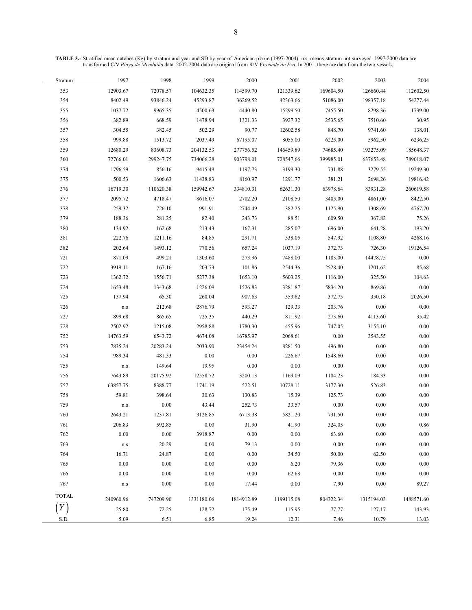**TABLE 3.-** Stratified mean catches (Kg) by stratum and year and SD by year of American plaice (1997-2004). n.s. means stratum not surveyed. 1997-2000 data are transformed C/V *Playa de Menduíña* data. 2002-2004 data are original from R/V *Vizconde de Eza*. In 2001, there are data from the two vessels.

| Stratum      | 1997                        | 1998      | 1999       | 2000       | 2001       | 2002      | 2003       | 2004       |
|--------------|-----------------------------|-----------|------------|------------|------------|-----------|------------|------------|
| 353          | 12903.67                    | 72078.57  | 104632.35  | 114599.70  | 121339.62  | 169604.50 | 126660.44  | 112602.50  |
| 354          | 8402.49                     | 93846.24  | 45293.87   | 36269.52   | 42363.66   | 51086.00  | 198357.18  | 54277.44   |
| 355          | 1037.72                     | 9965.35   | 4500.63    | 4440.80    | 15299.50   | 7455.50   | 8298.36    | 1739.00    |
| 356          | 382.89                      | 668.59    | 1478.94    | 1321.33    | 3927.32    | 2535.65   | 7510.60    | 30.95      |
| 357          | 304.55                      | 382.45    | 502.29     | 90.77      | 12602.58   | 848.70    | 9741.60    | 138.01     |
| 358          | 999.88                      | 1513.72   | 2037.49    | 67195.07   | 8055.00    | 6225.00   | 5962.50    | 6236.25    |
| 359          | 12680.29                    | 83608.73  | 204132.53  | 277756.52  | 146459.89  | 74685.40  | 193275.09  | 185648.37  |
| 360          | 72766.01                    | 299247.75 | 734066.28  | 903798.01  | 728547.66  | 399985.01 | 637653.48  | 789018.07  |
| 374          | 1796.59                     | 856.16    | 9415.49    | 1197.73    | 3199.30    | 731.88    | 3279.55    | 19249.30   |
| 375          | 500.53                      | 1606.63   | 11438.83   | 8160.97    | 1291.77    | 381.21    | 2698.26    | 19816.42   |
| 376          | 16719.30                    | 110620.38 | 159942.67  | 334810.31  | 62631.30   | 63978.64  | 83931.28   | 260619.58  |
| 377          | 2095.72                     | 4718.47   | 8616.07    | 2702.20    | 2108.50    | 3405.00   | 4861.00    | 8422.50    |
| 378          | 259.32                      | 726.10    | 991.91     | 2744.49    | 382.25     | 1125.90   | 1308.69    | 4767.70    |
| 379          | 188.36                      | 281.25    | 82.40      | 243.73     | 88.51      | 609.50    | 367.82     | 75.26      |
| 380          | 134.92                      | 162.68    | 213.43     | 167.31     | 285.07     | 696.00    | 641.28     | 193.20     |
| 381          | 222.76                      | 1211.16   | 84.85      | 291.71     | 338.05     | 547.92    | 1108.80    | 4268.16    |
| 382          | 202.64                      | 1493.12   | 770.56     | 657.24     | 1037.19    | 372.73    | 726.30     | 19126.54   |
| 721          | 871.09                      | 499.21    | 1303.60    | 273.96     | 7488.00    | 1183.00   | 14478.75   | 0.00       |
| 722          | 3919.11                     | 167.16    | 203.73     | 101.86     | 2544.36    | 2528.40   | 1201.62    | 85.68      |
| 723          | 1362.72                     | 1556.71   | 5277.38    | 1653.10    | 5603.25    | 1116.00   | 325.50     | 104.63     |
| 724          | 1653.48                     | 1343.68   | 1226.09    | 1526.83    | 3281.87    | 5834.20   | 869.86     | 0.00       |
| 725          | 137.94                      | 65.30     | 260.04     | 907.63     | 353.82     | 372.75    | 350.18     | 2026.50    |
| 726          | $\mathop{\rm n.s}\nolimits$ | 212.68    | 2876.79    | 593.27     | 129.33     | 203.76    | 0.00       | 0.00       |
| 727          | 899.68                      | 865.65    | 725.35     | 440.29     | 811.92     | 273.60    | 4113.60    | 35.42      |
| 728          | 2502.92                     | 1215.08   | 2958.88    | 1780.30    | 455.96     | 747.05    | 3155.10    | 0.00       |
| 752          | 14763.59                    | 6543.72   | 4674.08    | 16785.97   | 2068.61    | 0.00      | 3543.55    | 0.00       |
| 753          | 7835.24                     | 20283.24  | 2033.90    | 23454.24   | 8281.50    | 496.80    | 0.00       | $0.00\,$   |
| 754          | 989.34                      | 481.33    | 0.00       | 0.00       | 226.67     | 1548.60   | 0.00       | $0.00\,$   |
| 755          | $\mathop{\rm n.s}\nolimits$ | 149.64    | 19.95      | 0.00       | 0.00       | $0.00\,$  | 0.00       | $0.00\,$   |
| 756          | 7643.89                     | 20175.92  | 12558.72   | 3200.13    | 1169.09    | 1184.23   | 184.33     | 0.00       |
| 757          | 63857.75                    | 8388.77   | 1741.19    | 522.51     | 10728.11   | 3177.30   | 526.83     | $0.00\,$   |
| 758          | 59.81                       | 398.64    | 30.63      | 130.83     | 15.39      | 125.73    | $0.00\,$   | $0.00\,$   |
| 759          | $\mathbf{n}.\mathbf{s}$     | 0.00      | 43.44      | 252.73     | 33.57      | $0.00\,$  | $0.00\,$   | $0.00\,$   |
| 760          | 2643.21                     | 1237.81   | 3126.85    | 6713.38    | 5821.20    | 731.50    | 0.00       | 0.00       |
| 761          | 206.83                      | 592.85    | $0.00\,$   | 31.90      | 41.90      | 324.05    | 0.00       | 0.86       |
| 762          | 0.00                        | 0.00      | 3918.87    | $0.00\,$   | $0.00\,$   | 63.60     | $0.00\,$   | 0.00       |
| 763          | $\mathop{\rm n.s}\nolimits$ | 20.29     | 0.00       | 79.13      | 0.00       | 0.00      | 0.00       | 0.00       |
| 764          | 16.71                       | 24.87     | 0.00       | 0.00       | 34.50      | 50.00     | 62.50      | 0.00       |
| 765          | 0.00                        | 0.00      | 0.00       | 0.00       | 6.20       | 79.36     | $0.00\,$   | 0.00       |
| 766          | 0.00                        | 0.00      | 0.00       | 0.00       | 62.68      | $0.00\,$  | $0.00\,$   | 0.00       |
| 767          | n.s                         | 0.00      | 0.00       | 17.44      | 0.00       | 7.90      | 0.00       | 89.27      |
| <b>TOTAL</b> | 240960.96                   | 747209.90 | 1331180.06 | 1814912.89 | 1199115.08 | 804322.34 | 1315194.03 | 1488571.60 |
|              | 25.80                       | 72.25     | 128.72     | 175.49     | 115.95     | 77.77     | 127.17     | 143.93     |
| S.D.         | 5.09                        | 6.51      | 6.85       | 19.24      | 12.31      | 7.46      | 10.79      | 13.03      |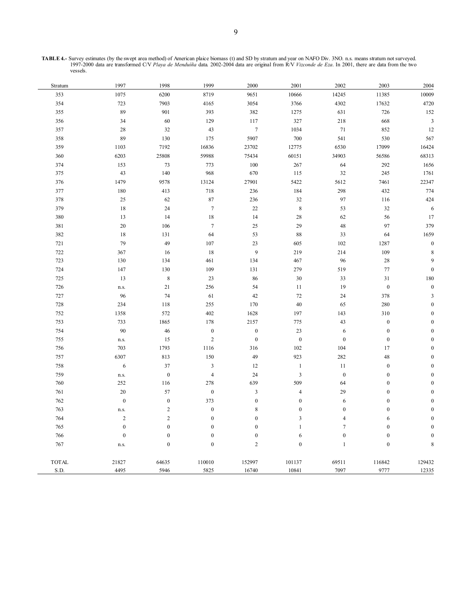| <b>TABLE 4.-</b> Survey estimates (by the swept area method) of American plaice biomass (t) and SD by stratum and year on NAFO Div. 3NO. n.s. means stratum not surveyed. |
|---------------------------------------------------------------------------------------------------------------------------------------------------------------------------|
| 1997-2000 data are transformed C/V Playa de Menduíña data 2002-2004 data are original from R/V Vizconde de Eza. In 2001, there are data from the two                      |
| vessels.                                                                                                                                                                  |

| Stratum      | 1997             | 1998             | 1999                    | 2000             | 2001                    | 2002             | 2003             | 2004                    |
|--------------|------------------|------------------|-------------------------|------------------|-------------------------|------------------|------------------|-------------------------|
| 353          | 1075             | 6200             | 8719                    | 9651             | 10666                   | 14245            | 11385            | 10009                   |
| 354          | 723              | 7903             | 4165                    | 3054             | 3766                    | 4302             | 17632            | 4720                    |
| 355          | 89               | 901              | 393                     | 382              | 1275                    | 631              | 726              | 152                     |
| 356          | 34               | 60               | 129                     | 117              | 327                     | 218              | 668              | $\sqrt{3}$              |
| 357          | 28               | 32               | 43                      | $\boldsymbol{7}$ | 1034                    | $71\,$           | 852              | 12                      |
| 358          | 89               | 130              | 175                     | 5907             | 700                     | 541              | 530              | 567                     |
| 359          | 1103             | 7192             | 16836                   | 23702            | 12775                   | 6530             | 17099            | 16424                   |
| 360          | 6203             | 25808            | 59988                   | 75434            | 60151                   | 34903            | 56586            | 68313                   |
| 374          | 153              | 73               | 773                     | 100              | 267                     | 64               | 292              | 1656                    |
| 375          | 43               | 140              | 968                     | 670              | 115                     | $32\,$           | 245              | 1761                    |
| 376          | 1479             | 9578             | 13124                   | 27901            | 5422                    | 5612             | 7461             | 22347                   |
| 377          | 180              | 413              | 718                     | 236              | 184                     | 298              | 432              | 774                     |
| 378          | 25               | 62               | 87                      | 236              | $32\,$                  | 97               | 116              | 424                     |
| 379          | $18\,$           | 24               | $\boldsymbol{7}$        | 22               | $\,$ 8 $\,$             | 53               | $32\,$           | $\boldsymbol{6}$        |
| 380          | 13               | 14               | 18                      | 14               | 28                      | 62               | 56               | 17                      |
| 381          | $20\,$           | 106              | $\tau$                  | 25               | 29                      | 48               | 97               | 379                     |
| 382          | 18               | 131              | 64                      | 53               | 88                      | 33               | 64               | 1659                    |
| 721          | 79               | 49               | 107                     | 23               | 605                     | 102              | 1287             | $\boldsymbol{0}$        |
| 722          | 367              | 16               | 18                      | 9                | 219                     | 214              | 109              | 8                       |
| 723          | 130              | 134              | 461                     | 134              | 467                     | 96               | 28               | 9                       |
| 724          | 147              | 130              | 109                     | 131              | 279                     | 519              | $77\,$           | $\boldsymbol{0}$        |
| 725          | 13               | $\,$ 8 $\,$      | 23                      | 86               | 30                      | 33               | 31               | 180                     |
| 726          | n.s.             | 21               | 256                     | 54               | 11                      | 19               | $\boldsymbol{0}$ | $\boldsymbol{0}$        |
| 727          | 96               | 74               | 61                      | 42               | $72\,$                  | 24               | 378              | $\overline{\mathbf{3}}$ |
| 728          | 234              | 118              | 255                     | 170              | 40                      | 65               | 280              | $\boldsymbol{0}$        |
| 752          | 1358             | 572              | 402                     | 1628             | 197                     | 143              | 310              | $\mathbf{0}$            |
| 753          | 733              | 1865             | 178                     | 2157             | 775                     | 43               | $\boldsymbol{0}$ | $\overline{0}$          |
| 754          | 90               | 46               | $\boldsymbol{0}$        | $\boldsymbol{0}$ | $23\,$                  | $\sqrt{6}$       | $\boldsymbol{0}$ | $\overline{0}$          |
| 755          | n.s.             | 15               | $\sqrt{2}$              | $\boldsymbol{0}$ | $\boldsymbol{0}$        | $\boldsymbol{0}$ | $\boldsymbol{0}$ | $\mathbf{0}$            |
| 756          | 703              | 1793             | 1116                    | 316              | 102                     | 104              | 17               | $\boldsymbol{0}$        |
| 757          | 6307             | 813              | 150                     | 49               | 923                     | 282              | 48               | $\mathbf{0}$            |
| 758          | $\sqrt{6}$       | $37\,$           | $\overline{\mathbf{3}}$ | 12               | $\mathbf{1}$            | 11               | $\boldsymbol{0}$ | $\overline{0}$          |
| 759          | n.s.             | $\mathbf{0}$     | $\overline{4}$          | 24               | $\overline{\mathbf{3}}$ | $\boldsymbol{0}$ | $\boldsymbol{0}$ | $\overline{0}$          |
| 760          | 252              | 116              | 278                     | 639              | 509                     | 64               | $\boldsymbol{0}$ | $\boldsymbol{0}$        |
| 761          | $20\,$           | 57               | $\boldsymbol{0}$        | $\mathfrak z$    | $\sqrt{4}$              | 29               | $\boldsymbol{0}$ | $\boldsymbol{0}$        |
| 762          | $\boldsymbol{0}$ | $\boldsymbol{0}$ | 373                     | $\boldsymbol{0}$ | $\boldsymbol{0}$        | $\sqrt{6}$       | $\boldsymbol{0}$ | $\mathbf{0}$            |
| 763          | n.s.             | $\overline{2}$   | $\boldsymbol{0}$        | $\,8\,$          | $\boldsymbol{0}$        | $\boldsymbol{0}$ | $\boldsymbol{0}$ | $\overline{0}$          |
| 764          | $\overline{c}$   | $\overline{2}$   | $\boldsymbol{0}$        | $\boldsymbol{0}$ | $\mathfrak{Z}$          | $\overline{4}$   | 6                | $\boldsymbol{0}$        |
| 765          | $\boldsymbol{0}$ | $\boldsymbol{0}$ | $\boldsymbol{0}$        | $\boldsymbol{0}$ | $\mathbf{1}$            | $\tau$           | $\boldsymbol{0}$ | $\overline{0}$          |
| 766          | $\boldsymbol{0}$ | $\boldsymbol{0}$ | $\boldsymbol{0}$        | $\boldsymbol{0}$ | $\sqrt{6}$              | $\boldsymbol{0}$ | $\boldsymbol{0}$ | $\mathbf{0}$            |
| 767          | n.s.             | $\mathbf{0}$     | $\boldsymbol{0}$        | $\overline{2}$   | $\mathbf{0}$            | $\mathbf{1}$     | $\boldsymbol{0}$ | 8                       |
| <b>TOTAL</b> | 21827            | 64635            | 110010                  | 152997           | 101137                  | 69511            | 116842           | 129432                  |
| S.D.         | 4495             | 5946             | 5825                    | 16740            | 10841                   | 7097             | 9777             | 12335                   |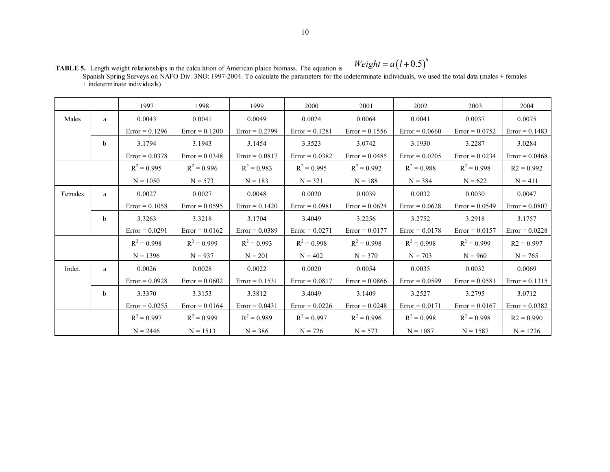**TABLE 5.** Length weight relationships in the calculation of American plaice biomass. The equation is  $Weight = a(l+0.5)^{b}$ 

|                                | Spanish Spring Surveys on NAFO Div. 3NO: 1997-2004. To calculate the parameters for the indeterminate individuals, we used the total data (males + females |  |
|--------------------------------|------------------------------------------------------------------------------------------------------------------------------------------------------------|--|
| $+$ indeterminate individuals) |                                                                                                                                                            |  |

|         |   | 1997             | 1998             | 1999             | 2000             | 2001             | 2002             | 2003             | 2004             |
|---------|---|------------------|------------------|------------------|------------------|------------------|------------------|------------------|------------------|
| Males   | a | 0.0043           | 0.0041           | 0.0049           | 0.0024           | 0.0064           | 0.0041           | 0.0037           | 0.0075           |
|         |   | $Error = 0.1296$ | $Error = 0.1200$ | $Error = 0.2799$ | $Error = 0.1281$ | $Error = 0.1556$ | $Error = 0.0660$ | $Error = 0.0752$ | $Error = 0.1483$ |
|         | b | 3.1794           | 3.1943           | 3.1454           | 3.3523           | 3.0742           | 3.1930           | 3.2287           | 3.0284           |
|         |   | $Error = 0.0378$ | $Error = 0.0348$ | $Error = 0.0817$ | $Error = 0.0382$ | $Error = 0.0485$ | $Error = 0.0205$ | $Error = 0.0234$ | $Error = 0.0468$ |
|         |   | $R^2 = 0.995$    | $R^2 = 0.996$    | $R^2 = 0.983$    | $R^2 = 0.995$    | $R^2 = 0.992$    | $R^2 = 0.988$    | $R^2 = 0.998$    | $R2 = 0.992$     |
|         |   | $N = 1050$       | $N = 573$        | $N = 183$        | $N = 321$        | $N = 188$        | $N = 384$        | $N = 622$        | $N = 411$        |
| Females | a | 0.0027           | 0.0027           | 0.0048           | 0.0020           | 0.0039           | 0.0032           | 0.0030           | 0.0047           |
|         |   | $Error = 0.1058$ | $Error = 0.0595$ | $Error = 0.1420$ | $Error = 0.0981$ | $Error = 0.0624$ | $Error = 0.0628$ | $Error = 0.0549$ | $Error = 0.0807$ |
|         | b | 3.3263           | 3.3218           | 3.1704           | 3.4049           | 3.2256           | 3.2752           | 3.2918           | 3.1757           |
|         |   | $Error = 0.0291$ | $Error = 0.0162$ | $Error = 0.0389$ | $Error = 0.0271$ | $Error = 0.0177$ | $Error = 0.0178$ | $Error = 0.0157$ | $Error = 0.0228$ |
|         |   | $R^2 = 0.998$    | $R^2 = 0.999$    | $R^2 = 0.993$    | $R^2 = 0.998$    | $R^2 = 0.998$    | $R^2 = 0.998$    | $R^2 = 0.999$    | $R2 = 0.997$     |
|         |   | $N = 1396$       | $N = 937$        | $N = 201$        | $N = 402$        | $N = 370$        | $N = 703$        | $N = 960$        | $N = 765$        |
| Indet.  | a | 0.0026           | 0.0028           | 0.0022           | 0.0020           | 0.0054           | 0.0035           | 0.0032           | 0.0069           |
|         |   | $Error = 0.0928$ | $Error = 0.0602$ | $Error = 0.1531$ | $Error = 0.0817$ | $Error = 0.0866$ | $Error = 0.0599$ | $Error = 0.0581$ | $Error = 0.1315$ |
|         | b | 3.3370           | 3.3153           | 3.3812           | 3.4049           | 3.1409           | 3.2527           | 3.2795           | 3.0712           |
|         |   | $Error = 0.0255$ | $Error = 0.0164$ | $Error = 0.0431$ | $Error = 0.0226$ | $Error = 0.0248$ | $Error = 0.0171$ | $Error = 0.0167$ | $Error = 0.0382$ |
|         |   | $R^2 = 0.997$    | $R^2 = 0.999$    | $R^2 = 0.989$    | $R^2 = 0.997$    | $R^2 = 0.996$    | $R^2 = 0.998$    | $R^2 = 0.998$    | $R2 = 0.990$     |
|         |   | $N = 2446$       | $N = 1513$       | $N = 386$        | $N = 726$        | $N = 573$        | $N = 1087$       | $N = 1587$       | $N = 1226$       |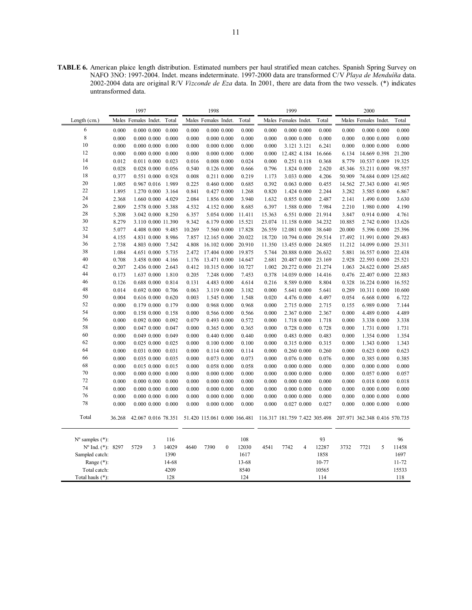**TABLE 6.** American plaice length distribution. Estimated numbers per haul stratified mean catches. Spanish Spring Survey on NAFO 3NO: 1997-2004. Indet. means indeterminate. 1997-2000 data are transformed C/V *Playa de Menduíña* data. 2002-2004 data are original R/V *Vizconde de Eza* data. In 2001, there are data from the two vessels. (\*) indicates untransformed data.

|                             |        | 1997                 |   |                         |        | 1998                 |                 |        |                                                            | 1999                 |                 |                     |                               | 2000                 |             |                      |
|-----------------------------|--------|----------------------|---|-------------------------|--------|----------------------|-----------------|--------|------------------------------------------------------------|----------------------|-----------------|---------------------|-------------------------------|----------------------|-------------|----------------------|
| Length $(cm.)$              |        | Males Females Indet. |   | Total                   |        | Males Females Indet. |                 | Total  |                                                            | Males Females Indet. |                 | Total               |                               | Males Females Indet. |             | Total                |
| 6                           | 0.000  | $0.000$ $0.000$      |   | 0.000                   | 0.000  |                      | 0.00000.000     | 0.000  | 0.000                                                      |                      | 0.00000.000     | 0.000               | 0.000                         | $0.000$ $0.000$      |             | 0.000                |
| $\,$ 8 $\,$                 | 0.000  | $0.000$ $0.000$      |   | 0.000                   | 0.000  |                      | 0.00000.000     | 0.000  | 0.000                                                      |                      | $0.000$ $0.000$ | 0.000               | 0.000                         | $0.000$ $0.000$      |             | 0.000                |
| 10                          | 0.000  | $0.000$ $0.000$      |   | 0.000                   | 0.000  | 0.00000.000          |                 | 0.000  | 0.000                                                      | 3.121 3.121          |                 | 6.241               | 0.000                         | 0.00000.000          |             | 0.000                |
| 12                          | 0.000  | $0.000$ $0.000$      |   | 0.000                   | 0.000  |                      | 0.00000.000     | 0.000  | 0.000                                                      | 12.482 4.184         |                 | 16.666              | 6.134                         | 14.669 0.398         |             | 21.200               |
| 14                          | 0.012  | 0.011 0.000          |   | 0.023                   | 0.016  | $0.008$ $0.000$      |                 | 0.024  | 0.000                                                      | 0.251 0.118          |                 | 0.368               | 8.779                         | 10.537 0.009         |             | 19.325               |
| 16                          | 0.028  | $0.028$ $0.000$      |   | 0.056                   | 0.540  |                      | 0.126 0.000     | 0.666  | 0.796                                                      |                      | 1.824 0.000     | 2.620               | 45.346                        | 53.211 0.000         |             | 98.557               |
| 18                          | 0.377  | 0.551 0.000          |   | 0.928                   | 0.008  | 0.211 0.000          |                 | 0.219  | 1.173                                                      | 3.033 0.000          |                 | 4.206               | 50.909                        |                      |             | 74.684 0.009 125.602 |
| 20                          | 1.005  | 0.967 0.016          |   | 1.989                   | 0.225  |                      | 0.460 0.000     | 0.685  | 0.392                                                      | $0.063$ $0.000$      |                 | 0.455               | 14.562                        | 27.343 0.000         |             | 41.905               |
| 22                          | 1.895  | 1.270 0.000          |   | 3.164                   | 0.841  | 0.427 0.000          |                 | 1.268  | 0.820                                                      | 1.424 0.000          |                 | 2.244               | 3.282                         | 3.585 0.000          |             | 6.867                |
| 24                          | 2.368  | 1.660 0.000          |   | 4.029                   | 2.084  |                      | 1.856 0.000     | 3.940  | 1.632                                                      | 0.855 0.000          |                 | 2.487               | 2.141                         | 1.490 0.000          |             | 3.630                |
| 26                          | 2.809  | 2.578 0.000          |   | 5.388                   | 4.532  |                      | 4.152 0.000     | 8.685  | 6.397                                                      |                      | 1.588 0.000     | 7.984               | 2.210                         | 1.980 0.000          |             | 4.190                |
| 28                          | 5.208  |                      |   | 3.042 0.000 8.250       | 6.357  |                      | 5.054 0.000     | 11.411 | 15.363                                                     |                      | 6.551 0.000     | 21.914              | 3.847                         | 0.914 0.000          |             | 4.761                |
| 30                          | 8.279  |                      |   | 3.110 0.000 11.390      | 9.342  |                      | 6.179 0.000     | 15.521 | 23.074                                                     | 11.158 0.000         |                 | 34.232              | 10.885                        |                      | 2.742 0.000 | 13.626               |
| 32                          | 5.077  |                      |   | 4.408 0.000 9.485       | 10.269 |                      | 7.560 0.000     | 17.828 | 26.559                                                     | 12.081 0.000         |                 | 38.640              | 20.000                        |                      | 5.396 0.000 | 25.396               |
| 34                          | 4.155  | 4.831 0.000          |   | 8.986                   | 7.857  | 12.165 0.000         |                 | 20.022 | 18.720                                                     | 10.794 0.000         |                 | 29.514              | 17.492                        | 11.991 0.000         |             | 29.483               |
| 36                          | 2.738  |                      |   | 4.803 0.000 7.542       | 4.808  | 16.102 0.000         |                 | 20.910 | 11.350                                                     | 13.455 0.000         |                 | 24.805              | 11.212                        | 14.099 0.000         |             | 25.311               |
| 38                          | 1.084  | 4.651 0.000          |   | 5.735                   | 2.472  | 17.404 0.000         |                 | 19.875 | 5.744                                                      | 20.888 0.000         |                 | 26.632              | 5.881                         | 16.557 0.000         |             | 22.438               |
| 40                          | 0.708  | 3.458 0.000          |   | 4.166                   | 1.176  | 13.471 0.000         |                 | 14.647 | 2.681                                                      | 20.487 0.000         |                 | 23.169              | 2.928                         | 22.593 0.000         |             | 25.521               |
| 42                          | 0.207  | 2.436 0.000          |   | 2.643                   | 0.412  | 10.315 0.000         |                 | 10.727 | 1.002                                                      |                      |                 | 20.272 0.000 21.274 | 1.063                         | 24.622 0.000         |             | 25.685               |
| 44                          | 0.173  | 1.637 0.000          |   | 1.810                   | 0.205  |                      | 7.248 0.000     | 7.453  | 0.378                                                      | 14.039 0.000         |                 | 14.416              | 0.476                         | 22.407 0.000         |             | 22.883               |
| 46                          | 0.126  | 0.688 0.000          |   | 0.814                   | 0.131  |                      | 4.483 0.000     | 4.614  | 0.216                                                      | 8.589 0.000          |                 | 8.804               | 0.328                         | 16.224 0.000         |             | 16.552               |
| 48                          | 0.014  | 0.692 0.000          |   | 0.706                   | 0.063  |                      | 3.119 0.000     | 3.182  | 0.000                                                      | 5.641 0.000          |                 | 5.641               | 0.289                         | 10.311 0.000         |             | 10.600               |
| 50                          | 0.004  | 0.616 0.000          |   | 0.620                   | 0.003  |                      | 1.545 0.000     | 1.548  | 0.020                                                      | 4.476 0.000          |                 | 4.497               | 0.054                         | 6.668 0.000          |             | 6.722                |
| 52                          | 0.000  | 0.179 0.000          |   | 0.179                   | 0.000  |                      | 0.968 0.000     | 0.968  | 0.000                                                      | 2.715 0.000          |                 | 2.715               | 0.155                         | 6.989 0.000          |             | 7.144                |
| 54                          | 0.000  | 0.158 0.000          |   | 0.158                   | 0.000  |                      | 0.566 0.000     | 0.566  | 0.000                                                      | 2.367 0.000          |                 | 2.367               | 0.000                         | 4.489 0.000          |             | 4.489                |
| 56                          | 0.000  | $0.092$ $0.000$      |   | 0.092                   | 0.079  |                      | 0.493 0.000     | 0.572  | 0.000                                                      |                      | 1.718 0.000     | 1.718               | 0.000                         | 3.338 0.000          |             | 3.338                |
| 58                          | 0.000  | 0.047 0.000          |   | 0.047                   | 0.000  |                      | 0.365 0.000     | 0.365  | 0.000                                                      | 0.728 0.000          |                 | 0.728               | 0.000                         | 1.731 0.000          |             | 1.731                |
| 60                          | 0.000  | 0.049 0.000          |   | 0.049                   | 0.000  |                      | 0.440 0.000     | 0.440  | 0.000                                                      | 0.483 0.000          |                 | 0.483               | 0.000                         | 1.354 0.000          |             | 1.354                |
| 62                          | 0.000  | $0.025$ $0.000$      |   | 0.025                   | 0.000  |                      | 0.100 0.000     | 0.100  | 0.000                                                      | 0.315 0.000          |                 | 0.315               | 0.000                         | 1.343 0.000          |             | 1.343                |
| 64                          | 0.000  | 0.031 0.000          |   | 0.031                   | 0.000  |                      | 0.114 0.000     | 0.114  | 0.000                                                      | 0.260 0.000          |                 | 0.260               | 0.000                         | 0.623 0.000          |             | 0.623                |
| 66                          | 0.000  | 0.035 0.000          |   | 0.035                   | 0.000  |                      | 0.073 0.000     | 0.073  | 0.000                                                      | 0.076 0.000          |                 | 0.076               | 0.000                         | 0.385 0.000          |             | 0.385                |
| 68                          | 0.000  | 0.015 0.000          |   | 0.015                   | 0.000  |                      | 0.058 0.000     | 0.058  | 0.000                                                      | $0.000$ $0.000$      |                 | 0.000               | 0.000                         | $0.000$ $0.000$      |             | 0.000                |
| 70                          | 0.000  | $0.000$ $0.000$      |   | 0.000                   | 0.000  |                      | $0.000$ $0.000$ | 0.000  | 0.000                                                      | $0.000$ $0.000$      |                 | 0.000               | 0.000                         | 0.057 0.000          |             | 0.057                |
| 72                          | 0.000  | $0.000$ $0.000$      |   | 0.000                   | 0.000  |                      | 0.00000.000     | 0.000  | 0.000                                                      | $0.000$ $0.000$      |                 | 0.000               | 0.000                         | 0.018 0.000          |             | 0.018                |
| 74                          | 0.000  | $0.000$ $0.000$      |   | 0.000                   | 0.000  |                      | 0.00000.000     | 0.000  | 0.000                                                      | 0.00000.000          |                 | 0.000               | 0.000                         | $0.000\ 0.000$       |             | 0.000                |
| 76                          | 0.000  | $0.000$ $0.000$      |   | 0.000                   | 0.000  |                      | 0.00000.000     | 0.000  | 0.000                                                      | 0.00000.000          |                 | 0.000               | 0.000                         | $0.000\ 0.000$       |             | 0.000                |
| 78                          | 0.000  |                      |   | $0.000$ $0.000$ $0.000$ | 0.000  | 0.00000.000          |                 | 0.000  | 0.000                                                      |                      | 0.027 0.000     | 0.027               | 0.000                         | $0.000\ 0.000$       |             | 0.000                |
| Total                       | 36.268 |                      |   | 42.067 0.016 78.351     |        |                      |                 |        | 51.420 115.061 0.000 166.481 116.317 181.759 7.422 305.498 |                      |                 |                     | 207.971 362.348 0.416 570.735 |                      |             |                      |
| $N^{\circ}$ samples $(*)$ : |        |                      |   | 116                     |        |                      |                 | 108    |                                                            |                      |                 | 93                  |                               |                      |             | 96                   |
| Nº Ind. (*): 8297           |        | 5729                 | 3 | 14029                   | 4640   | 7390                 | $\mathbf{0}$    | 12030  | 4541                                                       | 7742                 | $\overline{4}$  | 12287               | 3732                          | 7721                 | 5           | 11458                |
| Sampled catch:              |        |                      |   | 1390                    |        |                      |                 | 1617   |                                                            |                      |                 | 1858                |                               |                      |             | 1697                 |
| Range $(*)$ :               |        |                      |   | 14-68                   |        |                      |                 | 13-68  |                                                            |                      |                 | 10-77               |                               |                      |             | 11-72                |
| Total catch:                |        |                      |   | 4209                    |        |                      |                 | 8540   |                                                            |                      |                 | 10565               |                               |                      |             | 15533                |
| Total hauls (*):            |        |                      |   | 128                     |        |                      |                 | 124    |                                                            |                      |                 | 114                 |                               |                      |             | 118                  |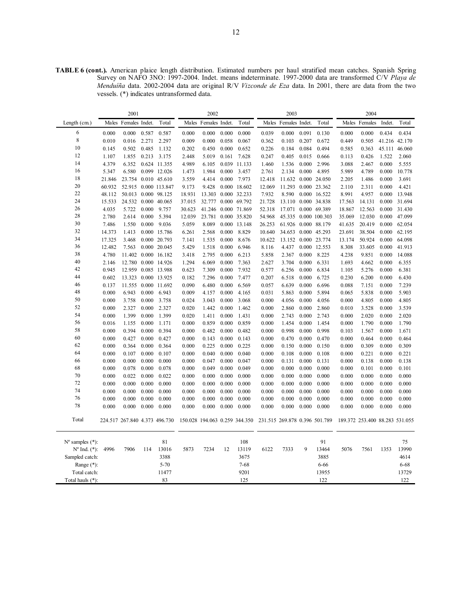**TABLE 6 (cont.).** American plaice length distribution. Estimated numbers per haul stratified mean catches. Spanish Spring Survey on NAFO 3NO: 1997-2004. Indet. means indeterminate. 1997-2000 data are transformed C/V *Playa de Menduíña* data. 2002-2004 data are original R/V *Vizconde de Eza* data. In 2001, there are data from the two vessels. (\*) indicates untransformed data.

|                             |                | 2001                          |                |                      |                | 2002           |                |                               |                | 2003                          |                |                |                | 2004                           |                |                |
|-----------------------------|----------------|-------------------------------|----------------|----------------------|----------------|----------------|----------------|-------------------------------|----------------|-------------------------------|----------------|----------------|----------------|--------------------------------|----------------|----------------|
| Length $(cm.)$              | Males          | Females Indet.                |                | Total                | Males          | Females Indet. |                | Total                         | Males          | Females Indet.                |                | Total          |                | Males Females                  | Indet.         | Total          |
| 6                           | 0.000          | 0.000                         | 0.587          | 0.587                | 0.000          | 0.000          | 0.000          | 0.000                         | 0.039          | 0.000                         | 0.091          | 0.130          | 0.000          | 0.000                          | 0.434          | 0.434          |
| $\,$ 8 $\,$                 | 0.010          | 0.016                         | 2.271          | 2.297                | 0.009          | 0.000          | 0.058          | 0.067                         | 0.362          | 0.103                         | 0.207          | 0.672          | 0.449          | 0.505                          |                | 41.216 42.170  |
| 10                          | 0.145          | 0.502                         | 0.485          | 1.132                | 0.202          | 0.450          | 0.000          | 0.652                         | 0.226          | 0.184                         | 0.084          | 0.494          | 0.585          | 0.363                          |                | 45.111 46.060  |
| 12                          | 1.107          | 1.855                         | 0.213          | 3.175                | 2.448          | 5.019          | 0.161          | 7.628                         | 0.247          | 0.405                         | 0.015          | 0.666          | 0.113          | 0.426                          | 1.522          | 2.060          |
| 14                          | 4.379          | 6.352                         |                | 0.624 11.355         | 4.989          | 6.105          | 0.039          | 11.133                        | 1.460          | 1.536                         | 0.000          | 2.996          | 3.088          | 2.467                          | 0.000          | 5.555          |
| 16                          | 5.347          | 6.580                         |                | 0.099 12.026         | 1.473          | 1.984          | 0.000          | 3.457                         | 2.761          | 2.134                         | 0.000          | 4.895          | 5.989          | 4.789                          | 0.000          | 10.778         |
| 18                          | 21.846         |                               |                | 23.754 0.010 45.610  | 3.559          | 4.414          | 0.000          | 7.973                         | 12.418         | 11.632                        |                | 0.000 24.050   | 2.205          | 1.486                          | 0.000          | 3.691          |
| 20                          | 60.932         |                               |                | 52.915 0.000 113.847 | 9.173          | 9.428          |                | 0.000 18.602                  | 12.069         | 11.293                        |                | 0.000 23.362   | 2.110          | 2.311                          | 0.000          | 4.421          |
| 22                          | 48.112         |                               |                | 50.013 0.000 98.125  | 18.931         | 13.303         |                | 0.000 32.233                  | 7.932          | 8.590                         |                | 0.000 16.522   | 8.991          | 4.957                          | 0.000          | 13.948         |
| 24                          | 15.533         | 24.532 0.000 40.065           |                |                      | 37.015         | 32.777         |                | 0.000 69.792                  | 21.728         | 13.110                        |                | 0.000 34.838   | 17.563         | 14.131                         | 0.000          | 31.694         |
| 26                          | 4.035          | 5.722                         | 0.000          | 9.757                | 30.623         | 41.246         |                | 0.000 71.869                  | 52.318         | 17.071                        |                | 0.000 69.389   | 18.867         | 12.563                         | 0.000          | 31.430         |
| 28                          | 2.780          | 2.614                         | 0.000          | 5.394                | 12.039         | 23.781         |                | 0.000 35.820                  | 54.968         | 45.335                        |                | 0.000 100.303  | 35.069         | 12.030                         | 0.000          | 47.099         |
| 30                          | 7.486          | 1.550                         | 0.000          | 9.036                | 5.059          | 8.089          | 0.000          | 13.148                        | 26.253         | 61.926                        |                | 0.000 88.179   | 41.635         | 20.419                         | 0.000          | 62.054         |
| 32                          | 14.373         | 1.413                         |                | 0.000 15.786         | 6.261          | 2.568          | 0.000          | 8.829                         | 10.640         | 34.653                        |                | 0.000 45.293   | 23.691         | 38.504                         | 0.000          | 62.195         |
| 34                          | 17.325         | 3.468                         | 0.000          | 20.793               | 7.141          | 1.535          | 0.000          | 8.676                         | 10.622         | 13.152                        |                | 0.000 23.774   | 13.174         | 50.924                         | 0.000          | 64.098         |
| 36                          | 12.482         | 7.563                         |                | 0.000 20.045         | 5.429          | 1.518          | 0.000          | 6.946                         | 8.116          | 4.437                         |                | 0.000 12.553   | 8.308          | 33.605                         | 0.000          | 41.913         |
| 38                          | 4.780          | 11.402                        |                | 0.000 16.182         | 3.418          | 2.795          | 0.000          | 6.213                         | 5.858          | 2.367                         | 0.000          | 8.225          | 4.238          | 9.851                          | 0.000          | 14.088         |
| 40                          | 2.146          | 12.780                        |                | 0.000 14.926         | 1.294          | 6.069          | 0.000          | 7.363                         | 2.627          | 3.704                         | 0.000          | 6.331          | 1.693          | 4.662                          | 0.000          | 6.355          |
| 42                          | 0.945          | 12.959                        |                | 0.085 13.988         | 0.623          | 7.309          | 0.000          | 7.932                         | 0.577          | 6.256                         | 0.000          | 6.834          | 1.105          | 5.276                          | 0.000          | 6.381          |
| 44                          | 0.602          |                               |                | 13.323 0.000 13.925  | 0.182          | 7.296          | 0.000          | 7.477                         | 0.207          | 6.518                         | 0.000          | 6.725          | 0.230          | 6.200                          | 0.000          | 6.430          |
| 46                          | 0.137          | 11.555                        |                | 0.000 11.692         | 0.090          | 6.480          | 0.000          | 6.569                         | 0.057          | 6.639                         | 0.000          | 6.696          | 0.088          | 7.151                          | 0.000          | 7.239          |
| 48                          | 0.000          | 6.943                         | 0.000          | 6.943                | 0.009          | 4.157          | 0.000          | 4.165                         | 0.031          | 5.863                         | 0.000          | 5.894          | 0.065          | 5.838                          | 0.000          | 5.903          |
| 50                          | 0.000          | 3.758                         | 0.000          | 3.758                | 0.024          | 3.043          | 0.000          | 3.068                         | 0.000          | 4.056                         | 0.000          | 4.056          | 0.000          | 4.805                          | 0.000          | 4.805          |
| 52                          | 0.000          | 2.327                         | 0.000          | 2.327                | 0.020          | 1.442          | 0.000          | 1.462                         | 0.000          | 2.860                         | 0.000          | 2.860          | 0.010          | 3.528                          | 0.000          | 3.539          |
| 54                          | 0.000          | 1.399                         | 0.000          | 1.399                | 0.020          | 1.411          | 0.000          | 1.431                         | 0.000          | 2.743                         | 0.000          | 2.743          | 0.000          | 2.020                          | 0.000          | 2.020          |
| 56                          | 0.016          | 1.155                         | 0.000          | 1.171                | 0.000          | 0.859          | 0.000          | 0.859                         | 0.000          | 1.454                         | 0.000          | 1.454          | 0.000          | 1.790                          | 0.000          | 1.790          |
| 58                          | 0.000          | 0.394                         | 0.000          | 0.394                | 0.000          | 0.482          | 0.000          | 0.482                         | 0.000          | 0.998                         | 0.000          | 0.998          | 0.103          | 1.567                          | 0.000          | 1.671          |
| 60<br>62                    | 0.000          | 0.427                         | 0.000          | 0.427                | 0.000          | 0.143          | 0.000          | 0.143                         | 0.000          | 0.470                         | 0.000          | 0.470          | 0.000          | 0.464                          | 0.000          | 0.464          |
| 64                          | 0.000          | 0.364                         | 0.000          | 0.364                | 0.000          | 0.225          | 0.000          | 0.225                         | 0.000          | 0.150                         | 0.000          | 0.150          | 0.000          | 0.309                          | 0.000          | 0.309          |
| 66                          | 0.000          | 0.107                         | 0.000          | 0.107                | 0.000          | 0.040          | 0.000          | 0.040                         | 0.000          | 0.108                         | 0.000          | 0.108          | 0.000          | 0.221                          | 0.000          | 0.221          |
| 68                          | 0.000          | 0.000                         | 0.000          | 0.000<br>0.078       | 0.000          | 0.047<br>0.049 | 0.000<br>0.000 | 0.047<br>0.049                | 0.000          | 0.131                         | 0.000<br>0.000 | 0.131<br>0.000 | 0.000          | 0.138                          | 0.000          | 0.138          |
| 70                          | 0.000          | 0.078                         | 0.000<br>0.000 |                      | 0.000<br>0.000 | 0.000          | 0.000          |                               | 0.000          | 0.000                         | 0.000          | 0.000          | 0.000          | 0.101                          | 0.000          | 0.101<br>0.000 |
| 72                          | 0.000<br>0.000 | 0.022<br>0.000                | 0.000          | 0.022<br>0.000       | 0.000          | 0.000          | 0.000          | 0.000<br>0.000                | 0.000<br>0.000 | 0.000<br>0.000                | 0.000          | 0.000          | 0.000<br>0.000 | 0.000<br>0.000                 | 0.000<br>0.000 | 0.000          |
| 74                          | 0.000          | 0.000                         | 0.000          | 0.000                |                | 0.000          |                | 0.000                         | 0.000          |                               | 0.000          | 0.000          |                |                                | 0.000          | 0.000          |
| 76                          | 0.000          | 0.000                         | 0.000          | 0.000                | 0.000<br>0.000 | 0.000          | 0.000<br>0.000 | 0.000                         | 0.000          | 0.000<br>0.000                | 0.000          | 0.000          | 0.000<br>0.000 | 0.000<br>0.000                 | 0.000          | 0.000          |
| 78                          | 0.000          | 0.000                         | 0.000          | 0.000                | 0.000          | 0.000          | 0.000          | 0.000                         | 0.000          | 0.000                         | 0.000          | 0.000          | 0.000          | 0.000                          | 0.000          | 0.000          |
|                             |                |                               |                |                      |                |                |                |                               |                |                               |                |                |                |                                |                |                |
| Total                       |                | 224.517 267.840 4.373 496.730 |                |                      |                |                |                | 150.028 194.063 0.259 344.350 |                | 231.515 269.878 0.396 501.789 |                |                |                | 189.372 253.400 88.283 531.055 |                |                |
|                             |                |                               |                |                      |                |                |                |                               |                |                               |                |                |                |                                |                |                |
| $N^{\circ}$ samples $(*)$ : |                |                               |                | 81                   |                |                |                | 108                           |                |                               |                | 91             |                |                                |                | 75             |
| $N^{\circ}$ Ind. (*):       | 4996           | 7906                          | 114            | 13016                | 5873           | 7234           | 12             | 13119                         | 6122           | 7333                          | 9              | 13464          | 5076           | 7561                           | 1353           | 13990          |
| Sampled catch:              |                |                               |                | 3388                 |                |                |                | 3675                          |                |                               |                | 3885           |                |                                |                | 4614           |
| Range (*):                  |                |                               |                | $5 - 70$             |                |                |                | $7 - 68$                      |                |                               |                | $6 - 66$       |                |                                |                | $6 - 68$       |
| Total catch:                |                |                               |                | 11477                |                |                |                | 9201                          |                |                               |                | 13955          |                |                                |                | 13729          |
| Total hauls (*):            |                |                               |                | 83                   |                |                |                | 125                           |                |                               |                | 122            |                |                                |                | 122            |
|                             |                |                               |                |                      |                |                |                |                               |                |                               |                |                |                |                                |                |                |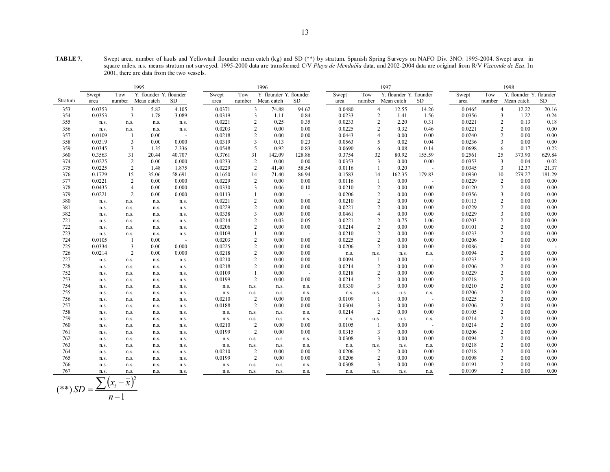**TABLE 7.** Swept area, number of hauls and Yellowtail flounder mean catch (kg) and SD (\*\*) by stratum. Spanish Spring Surveys on NAFO Div. 3NO: 1995-2004. Swept area in square miles. n.s. means stratum not surveyed. 1995-2000 data are transformed C/V *Playa de Menduíña* data, and 2002-2004 data are original from R/V *Vizconde de Eza*. In 2001, there are data from the two vessels.

|         | 1995<br>1996 |                |                         |                          |        |                |                         | 1997   |        |                |                         | 1998   |        |                |                         |        |
|---------|--------------|----------------|-------------------------|--------------------------|--------|----------------|-------------------------|--------|--------|----------------|-------------------------|--------|--------|----------------|-------------------------|--------|
|         | Swept        | Tow            | Y. flounder Y. flounder |                          | Swept  | Tow            | Y. flounder Y. flounder |        | Swept  | Tow            | Y. flounder Y. flounder |        | Swept  | Tow            | Y. flounder Y. flounder |        |
| Stratum | area         | number         | Mean catch              | SD.                      | area   | number         | Mean catch              | SD.    | area   | number         | Mean catch              | SD.    | area   | number         | Mean catch              | SD     |
| 353     | 0.0353       | 3              | 5.82                    | 4.105                    | 0.0371 | 3              | 74.88                   | 94.62  | 0.0480 |                | $\overline{4}$<br>12.55 | 14.26  | 0.0465 |                | 12.22<br>$\overline{4}$ | 20.16  |
| 354     | 0.0353       | 3              | 1.78                    | 3.089                    | 0.0319 | 3              | 1.11                    | 0.84   | 0.0233 | $\overline{2}$ | 1.41                    | 1.56   | 0.0356 | 3              | 1.22                    | 0.24   |
| 355     | n.s.         | n.s.           | n.s.                    | n.s.                     | 0.0221 | $\overline{2}$ | 0.25                    | 0.35   | 0.0233 | $\overline{2}$ | 2.20                    | 0.31   | 0.0221 |                | $\overline{c}$<br>0.13  | 0.18   |
| 356     | n.s.         | n.s.           | n.s.                    | n.s.                     | 0.0203 | 2              | 0.00                    | 0.00   | 0.0225 | $\overline{2}$ | 0.32                    | 0.46   | 0.0221 |                | 2<br>0.00               | 0.00   |
| 357     | 0.0109       | $\overline{1}$ | 0.00                    | $\overline{\phantom{a}}$ | 0.0218 | 2              | 0.00                    | 0.00   | 0.0443 | $\overline{4}$ | 0.00                    | 0.00   | 0.0240 |                | 0.00<br>2               | 0.00   |
| 358     | 0.0319       | 3              | 0.00                    | 0.000                    | 0.0319 | 3              | 0.13                    | 0.23   | 0.0563 | 5              | 0.02                    | 0.04   | 0.0236 |                | 0.00<br>3               | 0.00   |
| 359     | 0.0345       | 3              | 1.35                    | 2.336                    | 0.0548 | 5              | 0.92                    | 0.83   | 0.0690 | 6              | 0.08                    | 0.14   | 0.0698 | 6              | 0.17                    | 0.22   |
| 360     | 0.3563       | 31             | 20.44                   | 40.707                   | 0.3761 | 31             | 142.09                  | 128.86 | 0.3754 | 32             | 80.92                   | 155.59 | 0.2561 | 25             | 373.90                  | 629.84 |
| 374     | 0.0225       | $\overline{c}$ | 0.00                    | 0.000                    | 0.0233 | $\overline{2}$ | 0.00                    | 0.00   | 0.0353 | $\overline{3}$ | 0.00                    | 0.00   | 0.0353 | 3              | 0.04                    | 0.02   |
| 375     | 0.0225       | $\overline{c}$ | 1.48                    | 1.875                    | 0.0229 | 2              | 41.40                   | 58.54  | 0.0116 | $\overline{1}$ | 0.20                    |        | 0.0345 | 3              | 12.37                   | 21.37  |
| 376     | 0.1729       | 15             | 35.06                   | 58.691                   | 0.1650 | 14             | 71.40                   | 86.94  | 0.1583 | 14             | 162.35                  | 179.83 | 0.0930 | 10             | 279.27                  | 181.29 |
| 377     | 0.0221       | $\overline{c}$ | 0.00                    | 0.000                    | 0.0229 | 2              | 0.00                    | 0.00   | 0.0116 | $\overline{1}$ | 0.00                    |        | 0.0229 | $\overline{2}$ | 0.00                    | 0.00   |
| 378     | 0.0435       | $\overline{4}$ | 0.00                    | 0.000                    | 0.0330 | 3              | 0.06                    | 0.10   | 0.0210 | $\overline{2}$ | 0.00                    | 0.00   | 0.0120 |                | $\overline{2}$<br>0.00  | 0.00   |
| 379     | 0.0221       | $\overline{c}$ | 0.00                    | 0.000                    | 0.0113 |                | 0.00                    |        | 0.0206 | $\overline{2}$ | 0.00                    | 0.00   | 0.0356 | 3              | 0.00                    | 0.00   |
| 380     | n.s.         | n.s.           | n.s.                    | n.s.                     | 0.0221 | $\overline{2}$ | 0.00                    | 0.00   | 0.0210 | $\overline{2}$ | 0.00                    | 0.00   | 0.0113 |                | $\overline{c}$<br>0.00  | 0.00   |
| 381     | n.s.         | n.s.           | n.s.                    | n.s.                     | 0.0229 | 2              | 0.00                    | 0.00   | 0.0221 | $\overline{2}$ | 0.00                    | 0.00   | 0.0229 |                | $\overline{c}$<br>0.00  | 0.00   |
| 382     | n.s.         | n.s.           | n.s.                    | n.s.                     | 0.0338 | 3              | 0.00                    | 0.00   | 0.0461 | $\overline{4}$ | 0.00                    | 0.00   | 0.0229 |                | 3<br>0.00               | 0.00   |
| 721     | n.s.         | n.s.           | n.s.                    | n.s.                     | 0.0214 | $\overline{2}$ | 0.03                    | 0.05   | 0.0221 | $\overline{2}$ | 0.75                    | 1.06   | 0.0203 |                | $\overline{c}$<br>0.00  | 0.00   |
| 722     | n.s.         | n.s.           | n.s.                    | n.s.                     | 0.0206 | 2              | 0.00                    | 0.00   | 0.0214 | $\overline{2}$ | 0.00                    | 0.00   | 0.0101 |                | 2<br>0.00               | 0.00   |
| 723     | n.s.         | n.s.           | n.s.                    | n.s.                     | 0.0109 |                | 0.00                    |        | 0.0210 | $\overline{2}$ | 0.00                    | 0.00   | 0.0233 |                | 2<br>0.00               | 0.00   |
| 724     | 0.0105       | -1             | 0.00                    | $\sim$                   | 0.0203 | $\overline{2}$ | 0.00                    | 0.00   | 0.0225 | $\overline{2}$ | 0.00                    | 0.00   | 0.0206 |                | 2<br>0.00               | 0.00   |
| 725     | 0.0334       | 3              | 0.00                    | 0.000                    | 0.0225 | 2              | 0.00                    | 0.00   | 0.0206 | $\overline{2}$ | 0.00                    | 0.00   | 0.0086 |                | 0.00                    |        |
| 726     | 0.0214       | 2              | 0.00                    | 0.000                    | 0.0218 | $\overline{2}$ | 0.00                    | 0.00   | n.s.   | n.s.           | n.s.                    | n.s.   | 0.0094 |                | 2<br>0.00               | 0.00   |
| 727     | n.s.         | n.s.           | n.s.                    | n.s.                     | 0.0210 | $\overline{2}$ | 0.00                    | 0.00   | 0.0094 |                | 0.00                    |        | 0.0233 |                | $\overline{c}$<br>0.00  | 0.00   |
| 728     | n.s.         | n.s.           | n.s.                    | n.s.                     | 0.0218 | 2              | 0.00                    | 0.00   | 0.0214 | $\overline{2}$ | 0.00                    | 0.00   | 0.0206 |                | 2<br>0.00               | 0.00   |
| 752     | n.s.         | n.s.           | n.s.                    | n.s.                     | 0.0109 |                | 0.00                    |        | 0.0218 | $\overline{2}$ | 0.00                    | 0.00   | 0.0229 |                | 2<br>0.00               | 0.00   |
| 753     | n.s.         | n.s.           | n.s.                    | n.s.                     | 0.0199 | 2              | 0.00                    | 0.00   | 0.0214 | $\overline{2}$ | 0.00                    | 0.00   | 0.0218 |                | 2<br>0.00               | 0.00   |
| 754     | n.s.         | n.s.           | n.s.                    | n.s.                     | n.s.   | n.s.           | n.s.                    | n.s.   | 0.0330 | $\overline{3}$ | 0.00                    | 0.00   | 0.0210 |                | 2<br>0.00               | 0.00   |
| 755     | n.s.         | n.s.           | n.s.                    | n.s.                     | n.s.   | n.s.           | n.s.                    | n.s.   | n.s.   | n.s.           | n.s.                    | n.s.   | 0.0206 |                | 2<br>0.00               | 0.00   |
| 756     | n.s.         | n.s.           | n.s.                    | n.s.                     | 0.0210 | 2              | 0.00                    | 0.00   | 0.0109 | $\overline{1}$ | 0.00                    |        | 0.0225 |                | $\overline{c}$<br>0.00  | 0.00   |
| 757     | n.s.         | n.s.           | n.s.                    | n.s.                     | 0.0188 | 2              | 0.00                    | 0.00   | 0.0304 | 3              | 0.00                    | 0.00   | 0.0206 |                | 2<br>0.00               | 0.00   |
| 758     | n.s.         | n.s.           | n.s.                    | n.s.                     | n.s.   | n.s.           | n.s.                    | n.s.   | 0.0214 | $\overline{2}$ | 0.00                    | 0.00   | 0.0105 |                | 2<br>0.00               | 0.00   |
| 759     | n.s.         | n.s.           | n.s.                    | n.s.                     | n.s.   | n.s.           | n.s.                    | n.s.   | n.s.   | n.s.           | n.s.                    | n.s.   | 0.0214 |                | $\overline{c}$<br>0.00  | 0.00   |
| 760     | n.s.         | n.s.           | n.s.                    | n.s.                     | 0.0210 | 2              | 0.00                    | 0.00   | 0.0105 | $\overline{1}$ | 0.00                    |        | 0.0214 |                | 2<br>0.00               | 0.00   |
| 761     | n.s.         | n.s.           | n.s.                    | n.s.                     | 0.0199 | 2              | 0.00                    | 0.00   | 0.0315 | 3              | 0.00                    | 0.00   | 0.0206 |                | 2<br>0.00               | 0.00   |
| 762     | n.s.         | n.s.           | n.s.                    | n.s.                     | n.s.   | n.s.           | n.s.                    | n.s.   | 0.0308 | 3              | 0.00                    | 0.00   | 0.0094 |                | 2<br>0.00               | 0.00   |
| 763     | n.s.         | n.s.           | n.s.                    | n.s.                     | n.s.   | n.s.           | n.s.                    | n.s.   | n.s.   | n.s.           | n.s.                    | n.s.   | 0.0218 |                | 2<br>0.00               | 0.00   |
| 764     | n.s.         | n.s.           | n.s.                    | n.s.                     | 0.0210 | 2              | 0.00                    | 0.00   | 0.0206 | $\overline{2}$ | 0.00                    | 0.00   | 0.0218 |                | 2<br>0.00               | 0.00   |
| 765     | n.s.         | n.s.           | n.s.                    | n.s.                     | 0.0199 | $\overline{2}$ | 0.00                    | 0.00   | 0.0206 | $\overline{2}$ | 0.00                    | 0.00   | 0.0098 |                | 2<br>0.00               | 0.00   |
| 766     | n.s.         | n.s.           | n.s.                    | n.s.                     | n.s.   | n.s.           | n.s.                    | n.s.   | 0.0308 | 3              | 0.00                    | 0.00   | 0.0191 |                | $\overline{c}$<br>0.00  | 0.00   |
| 767     | n.s.         | n.s.           | n.s.<br>$\sim$ $\sim$   | n.s.                     | n.s.   | n.s.           | n.s.                    | n.s.   | n.s.   | n.s.           | n.s.                    | n.s.   | 0.0109 |                | 2<br>0.00               | 0.00   |

$$
(**) SD = \frac{\sum (x_i - \overline{x})^2}{n - 1}
$$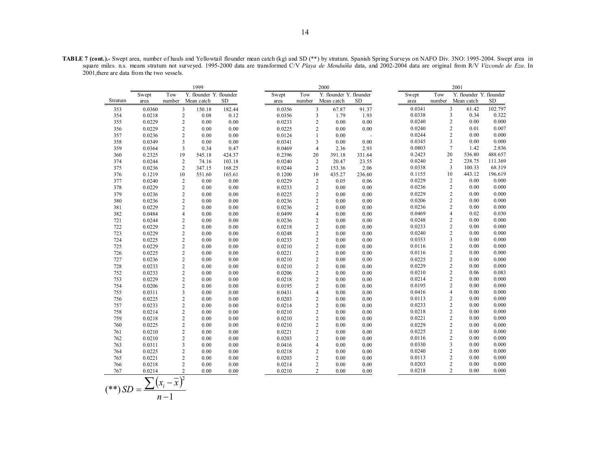**TABLE 7 (cont.).-** Swept area, number of hauls and Yellowtail flounder mean catch (kg) and SD (\*\*) by stratum. Spanish Spring Surveys on NAFO Div. 3NO: 1995-2004. Swept area in square miles. n.s. means stratum not surveyed. 1995-2000 data are transformed C/V *Playa de Menduíña* data, and 2002-2004 data are original from R/V *Vizconde de Eza*. In 2001,there are data from the two vessels.

|         |        |        | 1999                     |           |        |                         | 2000                    |           |       |        |                | 2001                    |           |
|---------|--------|--------|--------------------------|-----------|--------|-------------------------|-------------------------|-----------|-------|--------|----------------|-------------------------|-----------|
|         | Swept  | Tow    | Y. flounder Y. flounder  |           | Swept  | Tow                     | Y. flounder Y. flounder |           | Swept |        | Tow            | Y. flounder Y. flounder |           |
| Stratum | area   | number | Mean catch               | <b>SD</b> | area   | number                  | Mean catch              | <b>SD</b> | area  |        | number         | Mean catch              | <b>SD</b> |
| 353     | 0.0360 |        | 3<br>150.18              | 182.44    | 0.0356 | 3                       | 67.87                   | 91.37     |       | 0.0341 | $\overline{3}$ | 61.42                   | 102.797   |
| 354     | 0.0218 |        | $\overline{2}$<br>0.08   | 0.12      | 0.0356 | $\overline{\mathbf{3}}$ | 1.79                    | 1.93      |       | 0.0338 | 3              | 0.34                    | 0.322     |
| 355     | 0.0229 |        | $\overline{c}$<br>0.00   | 0.00      | 0.0233 | $\overline{c}$          | 0.00                    | 0.00      |       | 0.0240 | $\overline{c}$ | 0.00                    | 0.000     |
| 356     | 0.0229 |        | $\overline{c}$<br>0.00   | 0.00      | 0.0225 | $\overline{2}$          | 0.00                    | 0.00      |       | 0.0240 | $\overline{c}$ | 0.01                    | 0.007     |
| 357     | 0.0236 |        | $\overline{c}$<br>0.00   | 0.00      | 0.0124 | $\mathbf{1}$            | 0.00                    | $\sim$    |       | 0.0244 | $\overline{c}$ | 0.00                    | 0.000     |
| 358     | 0.0349 |        | 3<br>0.00                | 0.00      | 0.0341 | 3                       | 0.00                    | 0.00      |       | 0.0345 | 3              | 0.00                    | 0.000     |
| 359     | 0.0364 |        | $\overline{3}$<br>0.34   | 0.47      | 0.0469 | $\overline{4}$          | 2.36                    | 2.93      |       | 0.0803 | $\overline{7}$ | 1.42                    | 2.836     |
| 360     | 0.2325 | 19     | 545.18                   | 424.37    | 0.2396 | 20                      | 391.18                  | 331.64    |       | 0.2423 | 20             | 536.80                  | 488.657   |
| 374     | 0.0244 |        | $\overline{c}$<br>74.16  | 103.18    | 0.0240 | $\overline{2}$          | 20.47                   | 23.55     |       | 0.0240 | $\overline{2}$ | 238.75                  | 111.369   |
| 375     | 0.0236 |        | $\overline{c}$<br>347.15 | 168.25    | 0.0244 | 2                       | 153.36                  | 2.06      |       | 0.0338 | 3              | 100.33                  | 68.319    |
| 376     | 0.1219 | 10     | 551.60                   | 165.61    | 0.1200 | 10                      | 435.27                  | 236.60    |       | 0.1155 | 10             | 443.12                  | 196.619   |
| 377     | 0.0240 |        | $\overline{c}$<br>0.00   | 0.00      | 0.0229 | $\overline{c}$          | 0.05                    | 0.06      |       | 0.0229 | $\overline{c}$ | 0.00                    | 0.000     |
| 378     | 0.0229 |        | $\overline{c}$<br>0.00   | 0.00      | 0.0233 | $\overline{2}$          | 0.00                    | 0.00      |       | 0.0236 | $\overline{c}$ | 0.00                    | 0.000     |
| 379     | 0.0236 |        | $\overline{c}$<br>0.00   | 0.00      | 0.0225 | $\sqrt{2}$              | 0.00                    | 0.00      |       | 0.0229 | $\overline{c}$ | 0.00                    | 0.000     |
| 380     | 0.0236 |        | $\overline{c}$<br>0.00   | 0.00      | 0.0236 | $\overline{2}$          | 0.00                    | 0.00      |       | 0.0206 | $\overline{c}$ | 0.00                    | 0.000     |
| 381     | 0.0229 |        | $\overline{2}$<br>0.00   | 0.00      | 0.0236 | $\overline{2}$          | 0.00                    | 0.00      |       | 0.0236 | $\overline{2}$ | 0.00                    | 0.000     |
| 382     | 0.0484 |        | 4<br>0.00                | 0.00      | 0.0499 | $\overline{4}$          | 0.00                    | 0.00      |       | 0.0469 | $\overline{4}$ | 0.02                    | 0.030     |
| 721     | 0.0244 |        | $\overline{c}$<br>0.00   | 0.00      | 0.0236 | $\overline{2}$          | 0.00                    | 0.00      |       | 0.0248 | $\overline{2}$ | 0.00                    | 0.000     |
| 722     | 0.0229 |        | $\overline{c}$<br>0.00   | 0.00      | 0.0218 | $\overline{2}$          | 0.00                    | 0.00      |       | 0.0233 | $\overline{c}$ | 0.00                    | 0.000     |
| 723     | 0.0229 |        | $\overline{c}$<br>0.00   | 0.00      | 0.0248 | $\overline{c}$          | 0.00                    | 0.00      |       | 0.0240 | $\overline{c}$ | 0.00                    | 0.000     |
| 724     | 0.0225 |        | $\overline{c}$<br>0.00   | 0.00      | 0.0233 | $\overline{2}$          | 0.00                    | 0.00      |       | 0.0353 | 3              | 0.00                    | 0.000     |
| 725     | 0.0229 |        | $\overline{c}$<br>0.00   | 0.00      | 0.0210 | $\overline{2}$          | 0.00                    | 0.00      |       | 0.0116 | $\overline{c}$ | 0.00                    | 0.000     |
| 726     | 0.0225 |        | $\overline{c}$<br>0.00   | 0.00      | 0.0221 | $\overline{c}$          | 0.00                    | 0.00      |       | 0.0116 | $\overline{c}$ | 0.00                    | 0.000     |
| 727     | 0.0236 |        | $\overline{c}$<br>0.00   | 0.00      | 0.0210 | $\overline{2}$          | 0.00                    | 0.00      |       | 0.0225 | $\overline{c}$ | 0.00                    | 0.000     |
| 728     | 0.0233 |        | $\overline{c}$<br>0.00   | 0.00      | 0.0210 | $\overline{c}$          | 0.00                    | 0.00      |       | 0.0229 | $\overline{2}$ | 0.00                    | 0.000     |
| 752     | 0.0233 |        | $\overline{c}$<br>0.00   | 0.00      | 0.0206 | $\overline{2}$          | 0.00                    | 0.00      |       | 0.0210 | $\overline{c}$ | 0.06                    | 0.083     |
| 753     | 0.0229 |        | $\overline{c}$<br>0.00   | 0.00      | 0.0218 | $\overline{2}$          | 0.00                    | 0.00      |       | 0.0214 | $\overline{2}$ | 0.00                    | 0.000     |
| 754     | 0.0206 |        | $\overline{c}$<br>0.00   | 0.00      | 0.0195 | $\overline{2}$          | 0.00                    | 0.00      |       | 0.0195 | $\overline{2}$ | 0.00                    | 0.000     |
| 755     | 0.0311 |        | 3<br>0.00                | 0.00      | 0.0431 | $\overline{4}$          | 0.00                    | 0.00      |       | 0.0416 | $\overline{4}$ | 0.00                    | 0.000     |
| 756     | 0.0225 |        | $\overline{c}$<br>0.00   | 0.00      | 0.0203 | $\overline{c}$          | 0.00                    | 0.00      |       | 0.0113 | $\overline{c}$ | 0.00                    | 0.000     |
| 757     | 0.0233 |        | $\overline{c}$<br>0.00   | 0.00      | 0.0214 | $\overline{c}$          | 0.00                    | 0.00      |       | 0.0233 | $\overline{c}$ | 0.00                    | 0.000     |
| 758     | 0.0214 |        | $\overline{c}$<br>0.00   | 0.00      | 0.0210 | $\overline{2}$          | 0.00                    | 0.00      |       | 0.0218 | 2              | 0.00                    | 0.000     |
| 759     | 0.0218 |        | $\overline{2}$<br>0.00   | 0.00      | 0.0210 | $\overline{2}$          | 0.00                    | 0.00      |       | 0.0221 | $\overline{2}$ | 0.00                    | 0.000     |
| 760     | 0.0225 |        | $\overline{c}$<br>0.00   | 0.00      | 0.0210 | $\overline{c}$          | 0.00                    | 0.00      |       | 0.0229 | $\overline{c}$ | 0.00                    | 0.000     |
| 761     | 0.0210 |        | $\overline{c}$<br>0.00   | 0.00      | 0.0221 | $\overline{2}$          | 0.00                    | 0.00      |       | 0.0225 | $\overline{c}$ | 0.00                    | 0.000     |
| 762     | 0.0210 |        | $\overline{c}$<br>0.00   | 0.00      | 0.0203 | $\overline{2}$          | 0.00                    | 0.00      |       | 0.0116 | $\overline{c}$ | 0.00                    | 0.000     |
| 763     | 0.0311 |        | 3<br>0.00                | 0.00      | 0.0416 | $\overline{4}$          | 0.00                    | 0.00      |       | 0.0330 | 3              | 0.00                    | 0.000     |
| 764     | 0.0225 |        | $\overline{c}$<br>0.00   | 0.00      | 0.0218 | $\overline{2}$          | 0.00                    | 0.00      |       | 0.0240 | 2              | 0.00                    | 0.000     |
| 765     | 0.0221 |        | $\overline{c}$<br>0.00   | 0.00      | 0.0203 | $\overline{c}$          | 0.00                    | 0.00      |       | 0.0113 | $\overline{c}$ | 0.00                    | 0.000     |
| 766     | 0.0218 |        | $\overline{c}$<br>0.00   | 0.00      | 0.0214 | $\overline{2}$          | 0.00                    | 0.00      |       | 0.0203 | $\overline{2}$ | 0.00                    | 0.000     |
| 767     | 0.0214 |        | $\overline{c}$<br>0.00   | 0.00      | 0.0210 | $\overline{2}$          | 0.00                    | 0.00      |       | 0.0218 | $\overline{2}$ | 0.00                    | 0.000     |

$$
(**) SD = \frac{\sum (x_i - \overline{x})^2}{n-1}
$$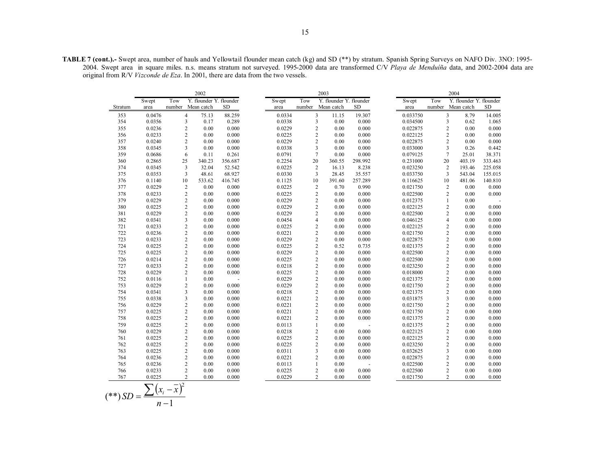15

**TABLE 7 (cont.).-** Swept area, number of hauls and Yellowtail flounder mean catch (kg) and SD (\*\*) by stratum. Spanish Spring Surveys on NAFO Div. 3NO: 1995- 2004. Swept area in square miles. n.s. means stratum not surveyed. 1995-2000 data are transformed C/V *Playa de Menduíña* data, and 2002-2004 data are original from R/V *Vizconde de Eza*. In 2001, there are data from the two vessels.

|         | 2002                     |               |                                 |           |  | 2003   |        |                         |        |                         |  | 2004     |        |                                 |           |  |
|---------|--------------------------|---------------|---------------------------------|-----------|--|--------|--------|-------------------------|--------|-------------------------|--|----------|--------|---------------------------------|-----------|--|
|         | Swept                    | Tow           | Y. flounder Y. flounder         |           |  | Swept  | Tow    |                         |        | Y. flounder Y. flounder |  | Swept    | Tow    | Y. flounder Y. flounder         |           |  |
| Stratum | area                     |               | number Mean catch               | <b>SD</b> |  | area   | number | Mean catch              |        | <b>SD</b>               |  | area     | number | Mean catch                      | <b>SD</b> |  |
| 353     | 0.0476                   |               | $\overline{4}$<br>75.13         | 88.259    |  | 0.0334 |        | $\mathfrak{Z}$          | 11.15  | 19.307                  |  | 0.033750 |        | $\overline{\mathbf{3}}$<br>8.79 | 14.005    |  |
| 354     | 0.0356                   |               | $\overline{3}$<br>0.17          | 0.289     |  | 0.0338 |        | $\overline{3}$          | 0.00   | 0.000                   |  | 0.034500 |        | $\overline{3}$<br>0.62          | 1.065     |  |
| 355     | 0.0236                   |               | $\overline{2}$<br>0.00          | 0.000     |  | 0.0229 |        | $\sqrt{2}$              | 0.00   | 0.000                   |  | 0.022875 |        | $\overline{c}$<br>0.00          | 0.000     |  |
| 356     | 0.0233                   |               | $\overline{2}$<br>0.00          | 0.000     |  | 0.0225 |        | $\overline{c}$          | 0.00   | 0.000                   |  | 0.022125 |        | $\overline{2}$<br>0.00          | 0.000     |  |
| 357     | 0.0240                   |               | $\overline{2}$<br>0.00          | 0.000     |  | 0.0229 |        | $\overline{c}$          | 0.00   | 0.000                   |  | 0.022875 |        | $\overline{2}$<br>0.00          | 0.000     |  |
| 358     | 0.0345                   |               | $\overline{3}$<br>0.00          | 0.000     |  | 0.0338 |        | $\overline{\mathbf{3}}$ | 0.00   | 0.000                   |  | 0.033000 |        | 3<br>0.26                       | 0.442     |  |
| 359     | 0.0686                   |               | 6<br>0.11                       | 0.261     |  | 0.0791 |        | $\overline{7}$          | 0.00   | 0.000                   |  | 0.079125 |        | $\overline{7}$<br>25.01         | 38.371    |  |
| 360     | 0.2865                   | 25            | 340.23                          | 356.687   |  | 0.2254 | 20     |                         | 360.55 | 298.992                 |  | 0.231000 | 20     | 403.19                          | 333.463   |  |
| 374     | 0.0345                   |               | $\overline{3}$<br>32.04         | 52.542    |  | 0.0225 |        | $\sqrt{2}$              | 16.13  | 8.238                   |  | 0.023250 |        | $\overline{2}$<br>193.46        | 225.058   |  |
| 375     | 0.0353                   |               | 3<br>48.61                      | 68.927    |  | 0.0330 |        | 3                       | 28.45  | 35.557                  |  | 0.033750 |        | 3<br>543.04                     | 155.015   |  |
| 376     | 0.1140                   |               | 10<br>533.62                    | 416.745   |  | 0.1125 | 10     |                         | 391.60 | 257.289                 |  | 0.116625 | 10     | 481.06                          | 140.810   |  |
| 377     | 0.0229                   |               | $\overline{2}$<br>0.00          | 0.000     |  | 0.0225 |        | $\sqrt{2}$              | 0.70   | 0.990                   |  | 0.021750 |        | $\overline{c}$<br>0.00          | 0.000     |  |
| 378     | 0.0233                   |               | $\overline{2}$<br>0.00          | 0.000     |  | 0.0225 |        | $\sqrt{2}$              | 0.00   | 0.000                   |  | 0.022500 |        | $\overline{c}$<br>0.00          | 0.000     |  |
| 379     | 0.0229                   |               | $\overline{2}$<br>0.00          | 0.000     |  | 0.0229 |        | $\overline{2}$          | 0.00   | 0.000                   |  | 0.012375 |        | $\mathbf{1}$<br>0.00            |           |  |
| 380     | 0.0225                   |               | $\overline{2}$<br>0.00          | 0.000     |  | 0.0229 |        | $\overline{2}$          | 0.00   | 0.000                   |  | 0.022125 |        | $\overline{c}$<br>0.00          | 0.000     |  |
| 381     | 0.0229                   |               | $\overline{2}$<br>0.00          | 0.000     |  | 0.0229 |        | $\overline{c}$          | 0.00   | 0.000                   |  | 0.022500 |        | $\overline{2}$<br>0.00          | 0.000     |  |
| 382     | 0.0341                   |               | $\overline{3}$<br>0.00          | 0.000     |  | 0.0454 |        | $\overline{4}$          | 0.00   | 0.000                   |  | 0.046125 |        | $\overline{4}$<br>0.00          | 0.000     |  |
| 721     | 0.0233                   |               | $\overline{2}$<br>0.00          | 0.000     |  | 0.0225 |        | $\overline{c}$          | 0.00   | 0.000                   |  | 0.022125 |        | $\overline{c}$<br>0.00          | 0.000     |  |
| 722     | 0.0236                   |               | $\overline{2}$<br>0.00          | 0.000     |  | 0.0221 |        | $\sqrt{2}$              | 0.00   | 0.000                   |  | 0.021750 |        | $\overline{c}$<br>0.00          | 0.000     |  |
| 723     | 0.0233                   |               | $\overline{2}$<br>0.00          | 0.000     |  | 0.0229 |        | $\sqrt{2}$              | 0.00   | 0.000                   |  | 0.022875 |        | $\overline{2}$<br>0.00          | 0.000     |  |
| 724     | 0.0225                   |               | $\overline{2}$<br>0.00          | 0.000     |  | 0.0225 |        | $\sqrt{2}$              | 0.52   | 0.735                   |  | 0.021375 |        | $\overline{c}$<br>0.00          | 0.000     |  |
| 725     | 0.0225                   |               | $\overline{2}$<br>0.00          | 0.000     |  | 0.0229 |        | $\boldsymbol{2}$        | 0.00   | 0.000                   |  | 0.022500 |        | $\overline{c}$<br>0.00          | 0.000     |  |
| 726     | 0.0214                   |               | $\overline{2}$<br>0.00          | 0.000     |  | 0.0225 |        | $\sqrt{2}$              | 0.00   | 0.000                   |  | 0.022500 |        | $\overline{2}$<br>0.00          | 0.000     |  |
| 727     | 0.0233                   |               | $\overline{2}$<br>0.00          | 0.000     |  | 0.0218 |        | $\sqrt{2}$              | 0.00   | 0.000                   |  | 0.023250 |        | $\overline{c}$<br>0.00          | 0.000     |  |
| 728     | 0.0229                   |               | $\overline{2}$<br>0.00          | 0.000     |  | 0.0225 |        | $\boldsymbol{2}$        | 0.00   | 0.000                   |  | 0.018000 |        | $\overline{c}$<br>0.00          | 0.000     |  |
| 752     | 0.0116                   |               | $\mathbf{1}$<br>0.00            |           |  | 0.0229 |        | $\sqrt{2}$              | 0.00   | 0.000                   |  | 0.021375 |        | $\overline{2}$<br>0.00          | 0.000     |  |
| 753     | 0.0229                   |               | $\overline{2}$<br>0.00          | 0.000     |  | 0.0229 |        | $\sqrt{2}$              | 0.00   | 0.000                   |  | 0.021750 |        | $\overline{c}$<br>0.00          | 0.000     |  |
| 754     | 0.0341                   |               | $\overline{\mathbf{3}}$<br>0.00 | 0.000     |  | 0.0218 |        | $\overline{c}$          | 0.00   | 0.000                   |  | 0.021375 |        | $\overline{c}$<br>0.00          | 0.000     |  |
| 755     | 0.0338                   |               | $\overline{3}$<br>0.00          | 0.000     |  | 0.0221 |        | $\sqrt{2}$              | 0.00   | 0.000                   |  | 0.031875 |        | 3<br>0.00                       | 0.000     |  |
| 756     | 0.0229                   |               | $\overline{2}$<br>0.00          | 0.000     |  | 0.0221 |        | $\overline{2}$          | 0.00   | 0.000                   |  | 0.021750 |        | $\overline{c}$<br>0.00          | 0.000     |  |
| 757     | 0.0225                   |               | $\overline{2}$<br>0.00          | 0.000     |  | 0.0221 |        | $\overline{c}$          | 0.00   | 0.000                   |  | 0.021750 |        | $\overline{c}$<br>0.00          | 0.000     |  |
| 758     | 0.0225                   |               | $\overline{c}$<br>0.00          | 0.000     |  | 0.0221 |        | $\overline{2}$          | 0.00   | 0.000                   |  | 0.021375 |        | $\overline{2}$<br>0.00          | 0.000     |  |
| 759     | 0.0225                   |               | $\overline{2}$<br>0.00          | 0.000     |  | 0.0113 |        | $\mathbf{1}$            | 0.00   |                         |  | 0.021375 |        | $\overline{c}$<br>0.00          | 0.000     |  |
| 760     | 0.0229                   |               | $\overline{2}$<br>0.00          | 0.000     |  | 0.0218 |        | $\overline{c}$          | 0.00   | 0.000                   |  | 0.022125 |        | $\overline{2}$<br>0.00          | 0.000     |  |
| 761     | 0.0225                   |               | $\overline{c}$<br>0.00          | 0.000     |  | 0.0225 |        | $\overline{2}$          | 0.00   | 0.000                   |  | 0.022125 |        | $\overline{2}$<br>0.00          | 0.000     |  |
| 762     | 0.0225                   |               | $\overline{2}$<br>0.00          | 0.000     |  | 0.0225 |        | $\overline{c}$          | 0.00   | 0.000                   |  | 0.023250 |        | $\overline{c}$<br>0.00          | 0.000     |  |
| 763     | 0.0225                   |               | $\overline{2}$<br>0.00          | 0.000     |  | 0.0311 |        | 3                       | 0.00   | 0.000                   |  | 0.032625 |        | 3<br>0.00                       | 0.000     |  |
| 764     | 0.0236                   |               | $\overline{2}$<br>0.00          | 0.000     |  | 0.0221 |        | $\overline{2}$          | 0.00   | 0.000                   |  | 0.022875 |        | $\overline{2}$<br>0.00          | 0.000     |  |
| 765     | 0.0236                   |               | $\overline{2}$<br>0.00          | 0.000     |  | 0.0113 |        | $\mathbf{1}$            | 0.00   |                         |  | 0.022500 |        | $\overline{2}$<br>0.00          | 0.000     |  |
| 766     | 0.0233                   |               | $\overline{2}$<br>0.00          | 0.000     |  | 0.0225 |        | $\overline{c}$          | 0.00   | 0.000                   |  | 0.022500 |        | $\overline{2}$<br>0.00          | 0.000     |  |
| 767     | 0.0225                   |               | $\overline{2}$<br>0.00          | 0.000     |  | 0.0229 |        | $\overline{2}$          | 0.00   | 0.000                   |  | 0.021750 |        | $\overline{2}$<br>0.00          | 0.000     |  |
|         | $\overline{\phantom{0}}$ | $\rightarrow$ |                                 |           |  |        |        |                         |        |                         |  |          |        |                                 |           |  |

$$
(**) SD = \frac{\sum (x_i - \overline{x})^2}{n-1}
$$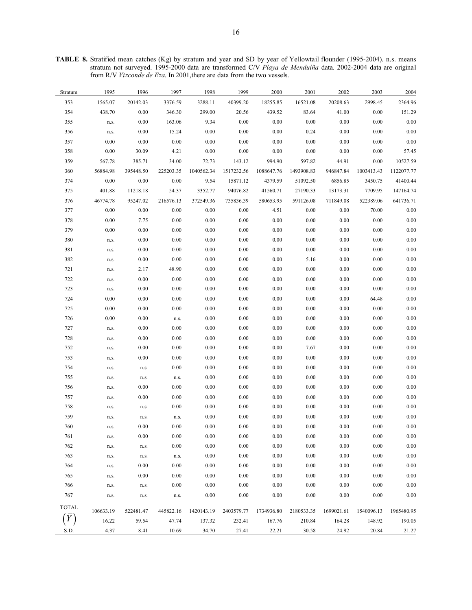**TABLE 8.** Stratified mean catches (Kg) by stratum and year and SD by year of Yellowtail flounder (1995-2004). n.s. means stratum not surveyed. 1995-2000 data are transformed C/V *Playa de Menduíña* data. 2002-2004 data are original from R/V Vizconde de Eza. In 2001, there are data from the two vessels.

| Stratum      | 1995      | 1996      | 1997      | 1998       | 1999       | 2000       | 2001       | 2002       | 2003       | 2004       |
|--------------|-----------|-----------|-----------|------------|------------|------------|------------|------------|------------|------------|
| 353          | 1565.07   | 20142.03  | 3376.59   | 3288.11    | 40399.20   | 18255.85   | 16521.08   | 20208.63   | 2998.45    | 2364.96    |
| 354          | 438.70    | 0.00      | 346.30    | 299.00     | 20.56      | 439.52     | 83.64      | 41.00      | 0.00       | 151.29     |
| 355          | n.s.      | 0.00      | 163.06    | 9.34       | 0.00       | 0.00       | 0.00       | 0.00       | 0.00       | 0.00       |
| 356          | n.s.      | 0.00      | 15.24     | 0.00       | 0.00       | 0.00       | 0.24       | 0.00       | 0.00       | 0.00       |
| 357          | 0.00      | 0.00      | $0.00\,$  | 0.00       | 0.00       | 0.00       | 0.00       | 0.00       | 0.00       | 0.00       |
| 358          | 0.00      | 30.09     | 4.21      | 0.00       | 0.00       | 0.00       | 0.00       | 0.00       | 0.00       | 57.45      |
| 359          | 567.78    | 385.71    | 34.00     | 72.73      | 143.12     | 994.90     | 597.82     | 44.91      | 0.00       | 10527.59   |
| 360          | 56884.98  | 395448.50 | 225203.35 | 1040562.34 | 1517232.56 | 1088647.76 | 1493908.83 | 946847.84  | 1003413.43 | 1122077.77 |
| 374          | 0.00      | 0.00      | 0.00      | 9.54       | 15871.12   | 4379.59    | 51092.50   | 6856.85    | 3450.75    | 41400.44   |
| 375          | 401.88    | 11218.18  | 54.37     | 3352.77    | 94076.82   | 41560.71   | 27190.33   | 13173.31   | 7709.95    | 147164.74  |
| 376          | 46774.78  | 95247.02  | 216576.13 | 372549.36  | 735836.39  | 580653.95  | 591126.08  | 711849.08  | 522389.06  | 641736.71  |
| 377          | 0.00      | 0.00      | 0.00      | 0.00       | 0.00       | 4.51       | 0.00       | 0.00       | 70.00      | 0.00       |
| 378          | 0.00      | 7.75      | 0.00      | 0.00       | 0.00       | 0.00       | 0.00       | 0.00       | 0.00       | 0.00       |
| 379          | 0.00      | 0.00      | 0.00      | 0.00       | 0.00       | 0.00       | 0.00       | 0.00       | 0.00       | 0.00       |
| 380          | n.s.      | 0.00      | 0.00      | 0.00       | 0.00       | 0.00       | 0.00       | 0.00       | 0.00       | 0.00       |
| 381          | n.s.      | 0.00      | 0.00      | 0.00       | 0.00       | 0.00       | 0.00       | 0.00       | 0.00       | 0.00       |
| 382          | n.s.      | 0.00      | 0.00      | 0.00       | 0.00       | 0.00       | 5.16       | 0.00       | 0.00       | 0.00       |
| 721          | n.s.      | 2.17      | 48.90     | 0.00       | 0.00       | 0.00       | 0.00       | 0.00       | 0.00       | 0.00       |
| 722          | n.s.      | 0.00      | 0.00      | 0.00       | 0.00       | 0.00       | 0.00       | 0.00       | 0.00       | 0.00       |
| 723          | n.s.      | 0.00      | 0.00      | 0.00       | 0.00       | 0.00       | 0.00       | 0.00       | 0.00       | 0.00       |
| 724          | 0.00      | 0.00      | 0.00      | 0.00       | 0.00       | $0.00\,$   | 0.00       | 0.00       | 64.48      | 0.00       |
| 725          | 0.00      | 0.00      | 0.00      | 0.00       | 0.00       | 0.00       | 0.00       | 0.00       | 0.00       | 0.00       |
| 726          | 0.00      | 0.00      | n.s.      | 0.00       | 0.00       | 0.00       | 0.00       | 0.00       | 0.00       | 0.00       |
| 727          | n.s.      | 0.00      | 0.00      | 0.00       | 0.00       | 0.00       | 0.00       | 0.00       | 0.00       | 0.00       |
| 728          | n.s.      | 0.00      | 0.00      | 0.00       | 0.00       | 0.00       | 0.00       | 0.00       | 0.00       | 0.00       |
| 752          | n.s.      | 0.00      | 0.00      | 0.00       | 0.00       | 0.00       | 7.67       | 0.00       | 0.00       | 0.00       |
| 753          | n.s.      | 0.00      | 0.00      | 0.00       | 0.00       | 0.00       | 0.00       | 0.00       | 0.00       | 0.00       |
| 754          | n.s.      | n.s.      | 0.00      | 0.00       | 0.00       | 0.00       | 0.00       | 0.00       | 0.00       | 0.00       |
| 755          | n.s.      | n.s.      | n.s.      | 0.00       | 0.00       | 0.00       | 0.00       | 0.00       | 0.00       | 0.00       |
| 756          | n.s.      | 0.00      | 0.00      | 0.00       | 0.00       | 0.00       | 0.00       | 0.00       | 0.00       | 0.00       |
| 757          | n.s.      | 0.00      | 0.00      | 0.00       | 0.00       | 0.00       | 0.00       | 0.00       | 0.00       | 0.00       |
| 758          | n.s.      | n.s.      | 0.00      | 0.00       | 0.00       | 0.00       | 0.00       | 0.00       | 0.00       | $0.00\,$   |
| 759          | n.s.      | n.s.      | n.s.      | 0.00       | 0.00       | 0.00       | 0.00       | 0.00       | 0.00       | 0.00       |
| 760          | n.s.      | 0.00      | 0.00      | 0.00       | 0.00       | 0.00       | 0.00       | 0.00       | 0.00       | 0.00       |
| 761          | n.s.      | $0.00\,$  | $0.00\,$  | $0.00\,$   | $0.00\,$   | $0.00\,$   | $0.00\,$   | $0.00\,$   | $0.00\,$   | $0.00\,$   |
| 762          | n.s.      | n.s.      | 0.00      | 0.00       | 0.00       | 0.00       | 0.00       | 0.00       | 0.00       | 0.00       |
| 763          | n.s.      | n.s.      | n.s.      | $0.00\,$   | $0.00\,$   | 0.00       | 0.00       | 0.00       | $0.00\,$   | 0.00       |
| 764          | n.s.      | 0.00      | 0.00      | 0.00       | 0.00       | 0.00       | 0.00       | 0.00       | 0.00       | 0.00       |
| 765          | n.s.      | 0.00      | 0.00      | 0.00       | 0.00       | 0.00       | 0.00       | 0.00       | 0.00       | 0.00       |
| 766          | n.s.      | n.s.      | 0.00      | 0.00       | 0.00       | 0.00       | 0.00       | 0.00       | 0.00       | 0.00       |
| 767          | n.s.      | n.s.      | n.s.      | 0.00       | 0.00       | 0.00       | 0.00       | 0.00       | 0.00       | 0.00       |
| <b>TOTAL</b> | 106633.19 | 522481.47 | 445822.16 | 1420143.19 | 2403579.77 | 1734936.80 | 2180533.35 | 1699021.61 | 1540096.13 | 1965480.95 |
| $(\bar{Y})$  | 16.22     | 59.54     | 47.74     | 137.32     | 232.41     | 167.76     | 210.84     | 164.28     | 148.92     | 190.05     |
| S.D.         | 4.37      | 8.41      | 10.69     | 34.70      | 27.41      | 22.21      | 30.58      | 24.92      | 20.84      | 21.27      |
|              |           |           |           |            |            |            |            |            |            |            |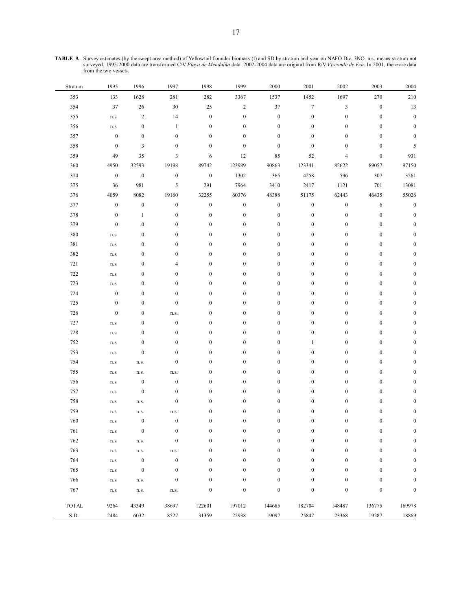| <b>TABLE 9.</b> Survey estimates (by the swept area method) of Yellowtail flounder biomass (t) and SD by stratum and year on NAFO Div. 3NO. n.s. means stratum not |
|--------------------------------------------------------------------------------------------------------------------------------------------------------------------|
| surveyed. 1995-2000 data are transformed C/V Playa de Menduíña data. 2002-2004 data are original from R/V Vizconde de Eza. In 2001, there are data                 |
| from the two vessels.                                                                                                                                              |

| Stratum                     | 1995             | 1996             | 1997             | 1998             | 1999             | 2000             | 2001             | 2002             | 2003             | 2004             |
|-----------------------------|------------------|------------------|------------------|------------------|------------------|------------------|------------------|------------------|------------------|------------------|
| 353                         | 133              | 1628             | 281              | 282              | 3367             | 1537             | 1452             | 1697             | $270\,$          | $210\,$          |
| 354                         | 37               | 26               | $30\,$           | 25               | $\sqrt{2}$       | $37\,$           | $\boldsymbol{7}$ | $\mathfrak{Z}$   | $\boldsymbol{0}$ | $13\,$           |
| 355                         | n.s.             | $\sqrt{2}$       | 14               | $\boldsymbol{0}$ | $\boldsymbol{0}$ | $\boldsymbol{0}$ | $\boldsymbol{0}$ | $\boldsymbol{0}$ | $\boldsymbol{0}$ | $\boldsymbol{0}$ |
| 356                         | n.s.             | $\boldsymbol{0}$ | $\mathbf{1}$     | $\boldsymbol{0}$ | $\boldsymbol{0}$ | $\boldsymbol{0}$ | $\boldsymbol{0}$ | $\boldsymbol{0}$ | $\boldsymbol{0}$ | $\boldsymbol{0}$ |
| 357                         | $\boldsymbol{0}$ | $\boldsymbol{0}$ | $\boldsymbol{0}$ | $\boldsymbol{0}$ | $\boldsymbol{0}$ | $\boldsymbol{0}$ | $\boldsymbol{0}$ | $\boldsymbol{0}$ | $\boldsymbol{0}$ | $\boldsymbol{0}$ |
| 358                         | $\boldsymbol{0}$ | 3                | $\boldsymbol{0}$ | $\boldsymbol{0}$ | $\boldsymbol{0}$ | $\boldsymbol{0}$ | $\boldsymbol{0}$ | $\boldsymbol{0}$ | $\boldsymbol{0}$ | 5                |
| 359                         | 49               | 35               | 3                | 6                | 12               | 85               | 52               | 4                | $\boldsymbol{0}$ | 931              |
| 360                         | 4950             | 32593            | 19198            | 89742            | 123989           | 90863            | 123341           | 82622            | 89057            | 97150            |
| 374                         | $\boldsymbol{0}$ | $\boldsymbol{0}$ | $\boldsymbol{0}$ | $\boldsymbol{0}$ | 1302             | 365              | 4258             | 596              | 307              | 3561             |
| 375                         | 36               | 981              | 5                | 291              | 7964             | 3410             | 2417             | 1121             | 701              | 13081            |
| 376                         | 4059             | 8082             | 19160            | 32255            | 60376            | 48388            | 51175            | 62443            | 46435            | 55026            |
| 377                         | $\boldsymbol{0}$ | $\boldsymbol{0}$ | $\boldsymbol{0}$ | $\boldsymbol{0}$ | $\boldsymbol{0}$ | $\boldsymbol{0}$ | $\boldsymbol{0}$ | $\boldsymbol{0}$ | 6                | $\boldsymbol{0}$ |
| 378                         | $\boldsymbol{0}$ | $\mathbf{1}$     | $\boldsymbol{0}$ | $\boldsymbol{0}$ | $\boldsymbol{0}$ | $\boldsymbol{0}$ | $\boldsymbol{0}$ | $\boldsymbol{0}$ | $\boldsymbol{0}$ | $\boldsymbol{0}$ |
| 379                         | $\boldsymbol{0}$ | $\boldsymbol{0}$ | $\boldsymbol{0}$ | $\boldsymbol{0}$ | $\boldsymbol{0}$ | $\boldsymbol{0}$ | $\boldsymbol{0}$ | $\boldsymbol{0}$ | $\boldsymbol{0}$ | $\boldsymbol{0}$ |
| 380                         | n.s.             | $\boldsymbol{0}$ | $\boldsymbol{0}$ | $\boldsymbol{0}$ | $\boldsymbol{0}$ | $\boldsymbol{0}$ | $\boldsymbol{0}$ | $\boldsymbol{0}$ | $\boldsymbol{0}$ | $\boldsymbol{0}$ |
| 381                         | n.s.             | $\boldsymbol{0}$ | $\boldsymbol{0}$ | $\boldsymbol{0}$ | $\boldsymbol{0}$ | $\boldsymbol{0}$ | $\boldsymbol{0}$ | $\boldsymbol{0}$ | $\boldsymbol{0}$ | $\boldsymbol{0}$ |
| 382                         | n.s.             | $\boldsymbol{0}$ | $\boldsymbol{0}$ | $\boldsymbol{0}$ | $\boldsymbol{0}$ | $\boldsymbol{0}$ | $\boldsymbol{0}$ | $\boldsymbol{0}$ | $\boldsymbol{0}$ | $\boldsymbol{0}$ |
| 721                         | n.s.             | $\boldsymbol{0}$ | $\overline{4}$   | $\boldsymbol{0}$ | $\boldsymbol{0}$ | $\boldsymbol{0}$ | $\boldsymbol{0}$ | $\boldsymbol{0}$ | $\boldsymbol{0}$ | $\boldsymbol{0}$ |
| 722                         | n.s.             | $\boldsymbol{0}$ | $\boldsymbol{0}$ | $\boldsymbol{0}$ | $\boldsymbol{0}$ | $\boldsymbol{0}$ | $\boldsymbol{0}$ | $\boldsymbol{0}$ | $\boldsymbol{0}$ | $\boldsymbol{0}$ |
| 723                         | n.s.             | $\boldsymbol{0}$ | $\boldsymbol{0}$ | $\boldsymbol{0}$ | $\boldsymbol{0}$ | $\boldsymbol{0}$ | $\boldsymbol{0}$ | $\boldsymbol{0}$ | $\boldsymbol{0}$ | $\boldsymbol{0}$ |
| 724                         | $\boldsymbol{0}$ | $\boldsymbol{0}$ | $\boldsymbol{0}$ | $\boldsymbol{0}$ | $\boldsymbol{0}$ | $\boldsymbol{0}$ | $\boldsymbol{0}$ | $\boldsymbol{0}$ | $\boldsymbol{0}$ | 0                |
| 725                         | $\boldsymbol{0}$ | $\boldsymbol{0}$ | $\boldsymbol{0}$ | $\boldsymbol{0}$ | $\boldsymbol{0}$ | $\boldsymbol{0}$ | $\boldsymbol{0}$ | $\boldsymbol{0}$ | $\boldsymbol{0}$ | $\boldsymbol{0}$ |
| 726                         | $\boldsymbol{0}$ | $\boldsymbol{0}$ | n.s.             | $\boldsymbol{0}$ | $\boldsymbol{0}$ | $\boldsymbol{0}$ | $\boldsymbol{0}$ | $\boldsymbol{0}$ | $\boldsymbol{0}$ | $\boldsymbol{0}$ |
| 727                         | n.s.             | $\boldsymbol{0}$ | $\boldsymbol{0}$ | $\boldsymbol{0}$ | $\boldsymbol{0}$ | $\boldsymbol{0}$ | $\boldsymbol{0}$ | $\boldsymbol{0}$ | $\boldsymbol{0}$ | $\boldsymbol{0}$ |
| 728                         | n.s.             | $\boldsymbol{0}$ | $\boldsymbol{0}$ | $\boldsymbol{0}$ | $\boldsymbol{0}$ | $\boldsymbol{0}$ | $\boldsymbol{0}$ | $\boldsymbol{0}$ | $\boldsymbol{0}$ | $\boldsymbol{0}$ |
| 752                         | n.s.             | $\boldsymbol{0}$ | $\boldsymbol{0}$ | $\boldsymbol{0}$ | $\boldsymbol{0}$ | $\boldsymbol{0}$ | $\mathbf{1}$     | $\boldsymbol{0}$ | $\boldsymbol{0}$ | $\boldsymbol{0}$ |
| 753                         | n.s.             | $\boldsymbol{0}$ | $\boldsymbol{0}$ | $\boldsymbol{0}$ | $\boldsymbol{0}$ | $\boldsymbol{0}$ | $\boldsymbol{0}$ | $\boldsymbol{0}$ | $\boldsymbol{0}$ | $\boldsymbol{0}$ |
| 754                         | n.s.             | n.s.             | $\boldsymbol{0}$ | $\boldsymbol{0}$ | $\boldsymbol{0}$ | $\boldsymbol{0}$ | $\boldsymbol{0}$ | $\boldsymbol{0}$ | $\boldsymbol{0}$ | $\boldsymbol{0}$ |
| 755                         | n.s.             | n.s.             | $\rm{n.s.}$      | $\boldsymbol{0}$ | $\boldsymbol{0}$ | $\boldsymbol{0}$ | $\boldsymbol{0}$ | $\boldsymbol{0}$ | $\boldsymbol{0}$ | $\boldsymbol{0}$ |
| 756                         | n.s.             | $\boldsymbol{0}$ | $\boldsymbol{0}$ | $\boldsymbol{0}$ | $\boldsymbol{0}$ | $\boldsymbol{0}$ | $\boldsymbol{0}$ | $\boldsymbol{0}$ | $\boldsymbol{0}$ | $\boldsymbol{0}$ |
| 757                         | n.s.             | $\boldsymbol{0}$ | $\boldsymbol{0}$ | $\boldsymbol{0}$ | $\boldsymbol{0}$ | $\boldsymbol{0}$ | $\boldsymbol{0}$ | $\boldsymbol{0}$ | $\boldsymbol{0}$ | $\boldsymbol{0}$ |
| 758                         | n.s.             | n.s.             | $\boldsymbol{0}$ | $\boldsymbol{0}$ | $\boldsymbol{0}$ | $\boldsymbol{0}$ | $\boldsymbol{0}$ | $\boldsymbol{0}$ | $\boldsymbol{0}$ | $\boldsymbol{0}$ |
| 759                         | n.s.             | n.s.             | n.s.             | $\boldsymbol{0}$ | $\boldsymbol{0}$ | $\boldsymbol{0}$ | $\boldsymbol{0}$ | $\boldsymbol{0}$ | $\boldsymbol{0}$ | $\boldsymbol{0}$ |
| 760                         | n.s.             | $\boldsymbol{0}$ | $\boldsymbol{0}$ | $\boldsymbol{0}$ | $\boldsymbol{0}$ | $\boldsymbol{0}$ | $\boldsymbol{0}$ | $\boldsymbol{0}$ | $\boldsymbol{0}$ | $\boldsymbol{0}$ |
| 761                         | n.s.             | $\boldsymbol{0}$ | $\boldsymbol{0}$ | $\boldsymbol{0}$ | $\boldsymbol{0}$ | $\boldsymbol{0}$ | $\boldsymbol{0}$ | $\boldsymbol{0}$ | $\boldsymbol{0}$ | 0                |
| 762                         | n.s.             | n.s.             | $\mathbf{0}$     | $\boldsymbol{0}$ | $\mathbf{0}$     | $\boldsymbol{0}$ | $\mathbf{0}$     | $\boldsymbol{0}$ | $\mathbf{0}$     | $\boldsymbol{0}$ |
| 763                         | n.s.             | n.s.             | n.s.             | $\boldsymbol{0}$ | $\boldsymbol{0}$ | $\boldsymbol{0}$ | $\boldsymbol{0}$ | $\boldsymbol{0}$ | $\boldsymbol{0}$ | $\boldsymbol{0}$ |
| 764                         | n.s.             | $\boldsymbol{0}$ | $\boldsymbol{0}$ | $\boldsymbol{0}$ | $\boldsymbol{0}$ | $\boldsymbol{0}$ | $\boldsymbol{0}$ | $\boldsymbol{0}$ | $\boldsymbol{0}$ | $\boldsymbol{0}$ |
| 765                         | n.s.             | $\boldsymbol{0}$ | $\boldsymbol{0}$ | $\boldsymbol{0}$ | $\boldsymbol{0}$ | $\boldsymbol{0}$ | $\boldsymbol{0}$ | $\boldsymbol{0}$ | $\boldsymbol{0}$ | $\boldsymbol{0}$ |
| 766                         | n.s.             | n.s.             | $\boldsymbol{0}$ | $\boldsymbol{0}$ | $\boldsymbol{0}$ | $\boldsymbol{0}$ | $\boldsymbol{0}$ | $\boldsymbol{0}$ | $\boldsymbol{0}$ | $\boldsymbol{0}$ |
| 767                         | n.s.             | n.s.             | n.s.             | $\boldsymbol{0}$ | $\boldsymbol{0}$ | $\boldsymbol{0}$ | $\boldsymbol{0}$ | $\boldsymbol{0}$ | $\boldsymbol{0}$ | $\boldsymbol{0}$ |
| $\ensuremath{\text{TOTAL}}$ | 9264             | 43349            | 38697            | 122601           | 197012           | 144685           | 182704           | 148487           | 136775           | 169978           |
| S.D.                        | 2484             | 6032             | 8527             | 31359            | 22938            | 19097            | 25847            | 23368            | 19287            | 18869            |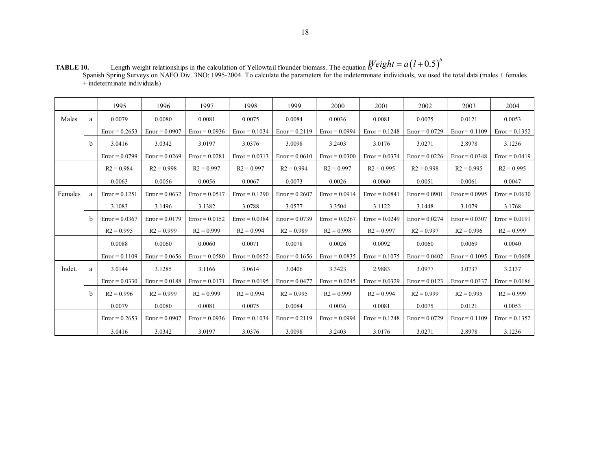|         |   | 1995             | 1996             | 1997             | 1998             | 1999             | 2000             | 2001             | 2002             | 2003             | 2004             |
|---------|---|------------------|------------------|------------------|------------------|------------------|------------------|------------------|------------------|------------------|------------------|
| Males   | a | 0.0079           | 0.0080           | 0.0081           | 0.0075           | 0.0084           | 0.0036           | 0.0081           | 0.0075           | 0.0121           | 0.0053           |
|         |   | $Error = 0.2653$ | $Error = 0.0907$ | $Error = 0.0936$ | $Error = 0.1034$ | $Error = 0.2119$ | $Error = 0.0994$ | $Error = 0.1248$ | $Error = 0.0729$ | $Error = 0.1109$ | $Error = 0.1352$ |
|         | h | 3.0416           | 3.0342           | 3.0197           | 3.0376           | 3.0098           | 3.2403           | 3.0176           | 3.0271           | 2.8978           | 3.1236           |
|         |   | $Error = 0.0799$ | $Error = 0.0269$ | $Error = 0.0281$ | $Error = 0.0313$ | $Error = 0.0610$ | $Error = 0.0300$ | $Error = 0.0374$ | $Error = 0.0226$ | $Error = 0.0348$ | $Error = 0.0419$ |
|         |   | $R2 = 0.984$     | $R2 = 0.998$     | $R2 = 0.997$     | $R2 = 0.997$     | $R2 = 0.994$     | $R2 = 0.997$     | $R2 = 0.995$     | $R2 = 0.998$     | $R2 = 0.995$     | $R2 = 0.995$     |
|         |   | 0.0063           | 0.0056           | 0.0056           | 0.0067           | 0.0073           | 0.0026           | 0.0060           | 0.0051           | 0.0061           | 0.0047           |
| Females | a | $Error = 0.1251$ | $Error = 0.0632$ | $Error = 0.0517$ | $Error = 0.1290$ | $Error = 0.2607$ | $Error = 0.0914$ | $Error = 0.0841$ | $Error = 0.0901$ | $Error = 0.0995$ | $Error = 0.0630$ |
|         |   | 3.1083           | 3.1496           | 3.1382           | 3.0788           | 3.0577           | 3.3504           | 3.1122           | 3.1448           | 3.1079           | 3.1768           |
|         | h | $Error = 0.0367$ | $Error = 0.0179$ | $Error = 0.0152$ | $Error = 0.0384$ | $Error = 0.0739$ | $Error = 0.0267$ | $Error = 0.0249$ | $Error = 0.0274$ | $Error = 0.0307$ | $Error = 0.0191$ |
|         |   | $R2 = 0.995$     | $R2 = 0.999$     | $R2 = 0.999$     | $R2 = 0.994$     | $R2 = 0.989$     | $R2 = 0.998$     | $R2 = 0.997$     | $R2 = 0.997$     | $R2 = 0.996$     | $R2 = 0.999$     |
|         |   | 0.0088           | 0.0060           | 0.0060           | 0.0071           | 0.0078           | 0.0026           | 0.0092           | 0.0060           | 0.0069           | 0.0040           |
|         |   | $Error = 0.1109$ | $Error = 0.0656$ | $Error = 0.0580$ | $Error = 0.0652$ | $Error = 0.1656$ | $Error = 0.0835$ | $Error = 0.1075$ | $Error = 0.0402$ | $Error = 0.1095$ | $Error = 0.0608$ |
| Indet.  | a | 3.0144           | 3.1285           | 3.1166           | 3.0614           | 3.0406           | 3.3423           | 2.9883           | 3.0977           | 3.0737           | 3.2137           |
|         |   | $Error = 0.0330$ | $Error = 0.0188$ | $Error = 0.0171$ | $Error = 0.0195$ | $Error = 0.0477$ | $Error = 0.0245$ | $Error = 0.0329$ | $Error = 0.0123$ | $Error = 0.0337$ | $Error = 0.0186$ |
|         | b | $R2 = 0.996$     | $R2 = 0.999$     | $R2 = 0.999$     | $R2 = 0.994$     | $R2 = 0.995$     | $R2 = 0.999$     | $R2 = 0.994$     | $R2 = 0.999$     | $R2 = 0.995$     | $R2 = 0.999$     |
|         |   | 0.0079           | 0.0080           | 0.0081           | 0.0075           | 0.0084           | 0.0036           | 0.0081           | 0.0075           | 0.0121           | 0.0053           |
|         |   | $Error = 0.2653$ | $Error = 0.0907$ | $Error = 0.0936$ | $Error = 0.1034$ | $Error = 0.2119$ | $Error = 0.0994$ | $Error = 0.1248$ | $Error = 0.0729$ | $Error = 0.1109$ | $Error = 0.1352$ |
|         |   | 3.0416           | 3.0342           | 3.0197           | 3.0376           | 3.0098           | 3.2403           | 3.0176           | 3.0271           | 2.8978           | 3.1236           |

**TABLE 10.** Length weight relationships in the calculation of Yellowtail flounder biomass. The equation is Spanish Spring Surveys on NAFO Div. 3NO: 1995-2004. To calculate the parameters for the indeterminate individuals, we used the total data (males + females  $+$  indeterminate individuals)  $Weight = a(l + 0.5)^b$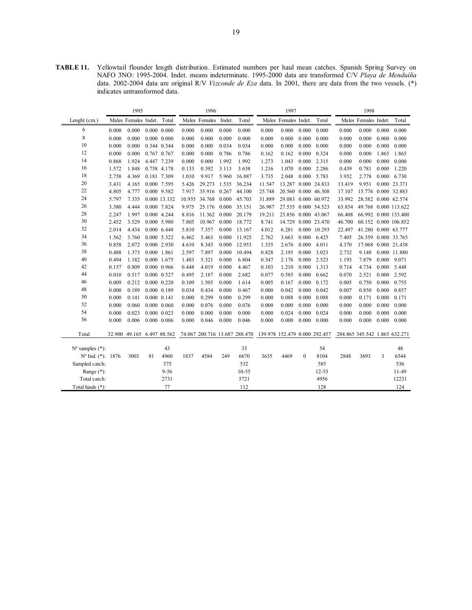**TABLE 11.** Yellowtail flounder length distribution. Estimated numbers per haul mean catches. Spanish Spring Survey on NAFO 3NO: 1995-2004. Indet. means indeterminate. 1995-2000 data are transformed C/V *Playa de Menduíña*  data. 2002-2004 data are original R/V *Vizconde de Eza* data. In 2001, there are data from the two vessels. (\*) indicates untransformed data.

|                             |       | 1995                       |    |                     |       | 1996                 |       |                                                             |        | 1997                 |              |              |                               | 1998                 |       |                      |
|-----------------------------|-------|----------------------------|----|---------------------|-------|----------------------|-------|-------------------------------------------------------------|--------|----------------------|--------------|--------------|-------------------------------|----------------------|-------|----------------------|
| Lenght $(cm.)$              |       | Males Females Indet. Total |    |                     |       | Males Females Indet. |       | Total                                                       |        | Males Females Indet. |              | Total        |                               | Males Females Indet. |       | Total                |
| 6                           | 0.000 | 0.000                      |    | $0.000 \quad 0.000$ | 0.000 | 0.000                | 0.000 | 0.000                                                       | 0.000  | 0.000                | 0.000        | 0.000        | 0.000                         | 0.000                | 0.000 | 0.000                |
| 8                           | 0.000 | 0.000                      |    | $0.000 \quad 0.000$ | 0.000 | 0.000                | 0.000 | 0.000                                                       | 0.000  | 0.000                | 0.000        | 0.000        | 0.000                         | 0.000                | 0.000 | 0.000                |
| 10                          | 0.000 | 0.000                      |    | 0.344 0.344         | 0.000 | 0.000                | 0.034 | 0.034                                                       | 0.000  | 0.000                | 0.000        | 0.000        | 0.000                         | 0.000                | 0.000 | 0.000                |
| 12                          | 0.000 | 0.000                      |    | 0.767 0.767         | 0.000 | 0.000                | 0.786 | 0.786                                                       | 0.162  | 0.162                | 0.000        | 0.324        | 0.000                         | 0.000                | 1.865 | 1.865                |
| 14                          | 0.868 | 1.924                      |    | 4.447 7.239         | 0.000 | 0.000                | 1.992 | 1.992                                                       | 1.273  | 1.043                | 0.000        | 2.315        | 0.000                         | 0.000                | 0.000 | 0.000                |
| 16                          | 1.572 | 1.848                      |    | 0.758 4.178         | 0.133 | 0.392                | 3.113 | 3.638                                                       | 1.216  | 1.070                |              | 0.000 2.286  | 0.439                         | 0.781                | 0.000 | 1.220                |
| 18                          | 2.758 | 4.369                      |    | 0.181 7.309         | 1.010 | 9.917                | 5.960 | 16.887                                                      | 3.735  | 2.048                |              | 0.000 5.783  | 3.952                         | 2.778                |       | $0.000 \quad 6.730$  |
| 20                          | 3.431 | 4.165                      |    | 0.000 7.595         | 5.426 | 29.273               | 1.535 | 36.234                                                      | 11.547 | 13.287               |              | 0.000 24.833 | 13.419                        | 9.951                |       | 0.000 23.371         |
| 22                          | 4.805 | 4.777                      |    | 0.000 9.582         | 7.917 | 35.916               | 0.267 | 44.100                                                      | 25.748 | 20.560 0.000 46.308  |              |              | 17.107                        | 15.776 0.000 32.883  |       |                      |
| 24                          | 5.797 | 7.335                      |    | 0.000 13.132        |       | 10.935 34.768        | 0.000 | 45.703                                                      | 31.889 | 29.083 0.000 60.972  |              |              | 33.992                        | 28.582 0.000 62.574  |       |                      |
| 26                          | 3.380 | 4.444                      |    | 0.000 7.824         | 9.975 | 25.176               | 0.000 | 35.151                                                      | 26.987 | 27.535 0.000 54.523  |              |              | 63.854                        |                      |       | 49.768 0.000 113.622 |
| 28                          | 2.247 | 1.997                      |    | 0.000 4.244         | 8.816 | 11.362               | 0.000 | 20.179                                                      | 19.211 | 23.856 0.000 43.067  |              |              | 66.408                        |                      |       | 66.992 0.000 133.400 |
| 30                          | 2.452 | 3.529                      |    | 0.000 5.980         | 7.805 | 10.967               | 0.000 | 18.772                                                      | 8.741  | 14.729               |              | 0.000 23.470 | 46.700                        |                      |       | 60.152 0.000 106.852 |
| 32                          | 2.014 | 4.434                      |    | 0.000 6.448         | 5.810 | 7.357                | 0.000 | 13.167                                                      | 4.012  | 6.281                |              | 0.000 10.293 | 22.497                        | 41.280 0.000 63.777  |       |                      |
| 34                          | 1.562 | 3.760                      |    | 0.000 5.322         | 6.462 | 5.463                | 0.000 | 11.925                                                      | 2.762  | 3.663                | 0.000        | 6.425        | 7.405                         |                      |       | 26.359 0.000 33.765  |
| 36                          | 0.858 | 2.072                      |    | 0.000 2.930         | 4.610 | 8.343                | 0.000 | 12.953                                                      | 1.335  | 2.676                | 0.000        | 4.011        | 4.370                         |                      |       | 17.068 0.000 21.438  |
| 38                          | 0.488 | 1.373                      |    | 0.000 1.861         | 2.597 | 7.897                | 0.000 | 10.494                                                      | 0.828  | 2.195                | 0.000        | 3.023        | 2.732                         | 9.148                |       | 0.000 11.880         |
| 40                          | 0.494 | 1.182                      |    | 0.000 1.675         | 1.483 | 5.321                | 0.000 | 6.804                                                       | 0.347  | 2.176                | 0.000        | 2.523        | 1.193                         | 7.879                | 0.000 | 9.071                |
| 42                          | 0.157 | 0.809                      |    | 0.000 0.966         | 0.448 | 4.019                | 0.000 | 4.467                                                       | 0.103  | 1.210                | 0.000        | 1.313        | 0.714                         | 4.734                | 0.000 | 5.448                |
| 44                          | 0.010 | 0.517                      |    | 0.000 0.527         | 0.495 | 2.187                | 0.000 | 2.682                                                       | 0.077  | 0.585                | 0.000        | 0.662        | 0.070                         | 2.521                | 0.000 | 2.592                |
| 46                          | 0.009 | 0.212                      |    | $0.000 \quad 0.220$ | 0.109 | 1.505                | 0.000 | 1.614                                                       | 0.005  | 0.167                | 0.000        | 0.172        | 0.005                         | 0.750                | 0.000 | 0.755                |
| 48                          | 0.000 | 0.189                      |    | $0.000$ $0.189$     | 0.034 | 0.434                | 0.000 | 0.467                                                       | 0.000  | 0.042                | 0.000        | 0.042        | 0.007                         | 0.850                | 0.000 | 0.857                |
| 50                          | 0.000 | 0.141                      |    | $0.000 \quad 0.141$ | 0.000 | 0.299                | 0.000 | 0.299                                                       | 0.000  | 0.088                | 0.000        | 0.088        | 0.000                         | 0.171                | 0.000 | 0.171                |
| 52                          | 0.000 | 0.060                      |    | $0.000 \quad 0.060$ | 0.000 | 0.076                | 0.000 | 0.076                                                       | 0.000  | 0.000                | 0.000        | 0.000        | 0.000                         | 0.000                | 0.000 | 0.000                |
| 54                          | 0.000 | 0.023                      |    | $0.000 \quad 0.023$ | 0.000 | 0.000                | 0.000 | 0.000                                                       | 0.000  | 0.024                | 0.000        | 0.024        | 0.000                         | 0.000                | 0.000 | 0.000                |
| 56                          | 0.000 | 0.006                      |    | $0.000 \quad 0.006$ | 0.000 | 0.046                | 0.000 | 0.046                                                       | 0.000  | 0.000                | 0.000        | 0.000        | 0.000                         | 0.000                | 0.000 | 0.000                |
| Total                       |       | 32.900 49.165 6.497 88.562 |    |                     |       |                      |       | 74.067 200.716 13.687 288.470 139.978 152.479 0.000 292.457 |        |                      |              |              | 284.865 345.542 1.865 632.271 |                      |       |                      |
| $N^{\circ}$ samples $(*)$ : |       |                            |    | 43                  |       |                      |       | 33                                                          |        |                      |              | 54           |                               |                      |       | 48                   |
| $N^{\circ}$ Ind. (*): 1876  |       | 3003                       | 81 | 4960                | 1837  | 4584                 | 249   | 6670                                                        | 3635   | 4469                 | $\mathbf{0}$ | 8104         | 2848                          | 3693                 | 3     | 6544                 |
| Sampled catch:              |       |                            |    | 375                 |       |                      |       | 532                                                         |        |                      |              | 585          |                               |                      |       | 536                  |
| Range $(*)$ :               |       |                            |    | $9 - 56$            |       |                      |       | $10 - 55$                                                   |        |                      |              | $12 - 53$    |                               |                      |       | 11-49                |
| Total catch:                |       |                            |    | 2731                |       |                      |       | 5721                                                        |        |                      |              | 4956         |                               |                      |       | 12231                |
| Total hauls (*):            |       |                            |    | 77                  |       |                      |       | 112                                                         |        |                      |              | 128          |                               |                      |       | 124                  |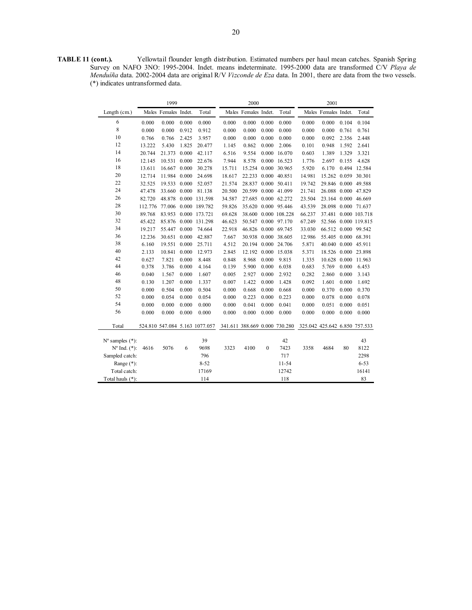**TABLE 11 (cont.).** Yellowtail flounder length distribution. Estimated numbers per haul mean catches. Spanish Spring Survey on NAFO 3NO: 1995-2004. Indet. means indeterminate. 1995-2000 data are transformed C/V *Playa de Menduíña* data. 2002-2004 data are original R/V *Vizconde de Eza* data. In 2001, there are data from the two vessels. (\*) indicates untransformed data.

|                                                         |         | 1999                 |       |                                |                                                             | 2000                 |              |                      |        | 2001                 |       |                      |
|---------------------------------------------------------|---------|----------------------|-------|--------------------------------|-------------------------------------------------------------|----------------------|--------------|----------------------|--------|----------------------|-------|----------------------|
| Length (cm.)                                            |         | Males Females Indet. |       | Total                          |                                                             | Males Females Indet. |              | Total                |        | Males Females Indet. |       | Total                |
| 6                                                       | 0.000   | 0.000                | 0.000 | 0.000                          | 0.000                                                       | 0.000                | 0.000        | 0.000                | 0.000  | 0.000                | 0.104 | 0.104                |
| 8                                                       | 0.000   | 0.000                | 0.912 | 0.912                          | 0.000                                                       | 0.000                | 0.000        | 0.000                | 0.000  | 0.000                | 0.761 | 0.761                |
| 10                                                      | 0.766   | 0.766                | 2.425 | 3.957                          | 0.000                                                       | 0.000                | 0.000        | 0.000                | 0.000  | 0.092                | 2.356 | 2.448                |
| 12                                                      | 13.222  | 5.430                | 1.825 | 20.477                         | 1.145                                                       | 0.862                | 0.000        | 2.006                | 0.101  | 0.948                | 1.592 | 2.641                |
| 14                                                      | 20.744  | 21.373               | 0.000 | 42.117                         | 6.516                                                       | 9.554                | 0.000        | 16.070               | 0.603  | 1.389                | 1.329 | 3.321                |
| 16                                                      | 12.145  | 10.531               | 0.000 | 22.676                         | 7.944                                                       | 8.578                | 0.000        | 16.523               | 1.776  | 2.697                | 0.155 | 4.628                |
| 18                                                      | 13.611  | 16.667               | 0.000 | 30.278                         | 15.711                                                      |                      |              | 15.254 0.000 30.965  | 5.920  | 6.170                |       | 0.494 12.584         |
| 20                                                      | 12.714  | 11.984 0.000         |       | 24.698                         | 18.617                                                      | 22.233 0.000 40.851  |              |                      | 14.981 | 15.262 0.059 30.301  |       |                      |
| 22                                                      | 32.525  | 19.533 0.000         |       | 52.057                         | 21.574                                                      | 28.837 0.000 50.411  |              |                      | 19.742 | 29.846 0.000 49.588  |       |                      |
| 24                                                      | 47.478  | 33.660               | 0.000 | 81.138                         | 20.500                                                      |                      |              | 20.599 0.000 41.099  | 21.741 |                      |       | 26.088 0.000 47.829  |
| 26                                                      | 82.720  | 48.878               |       | 0.000 131.598                  | 34.587                                                      |                      |              | 27.685 0.000 62.272  | 23.504 |                      |       | 23.164 0.000 46.669  |
| 28                                                      | 112.776 | 77.006               |       | 0.000 189.782                  | 59.826                                                      |                      |              | 35.620 0.000 95.446  | 43.539 |                      |       | 28.098 0.000 71.637  |
| 30                                                      | 89.768  | 83.953               |       | 0.000 173.721                  | 69.628                                                      |                      |              | 38.600 0.000 108.228 | 66.237 |                      |       | 37.481 0.000 103.718 |
| 32                                                      | 45.422  | 85.876               |       | 0.000 131.298                  | 46.623                                                      |                      |              | 50.547 0.000 97.170  | 67.249 |                      |       | 52.566 0.000 119.815 |
| 34                                                      | 19.217  | 55.447               | 0.000 | 74.664                         | 22.918                                                      |                      |              | 46.826 0.000 69.745  | 33.030 |                      |       | 66.512 0.000 99.542  |
| 36                                                      | 12.236  | 30.651               | 0.000 | 42.887                         | 7.667                                                       |                      |              | 30.938 0.000 38.605  | 12.986 | 55.405 0.000 68.391  |       |                      |
| 38                                                      | 6.160   | 19.551               | 0.000 | 25.711                         | 4.512                                                       |                      |              | 20.194 0.000 24.706  | 5.871  | 40.040 0.000 45.911  |       |                      |
| 40                                                      | 2.133   | 10.841               | 0.000 | 12.973                         | 2.845                                                       |                      |              | 12.192 0.000 15.038  | 5.371  |                      |       | 18.526 0.000 23.898  |
| 42                                                      | 0.627   | 7.821                | 0.000 | 8.448                          | 0.848                                                       | 8.968                | 0.000        | 9.815                | 1.335  |                      |       | 10.628 0.000 11.963  |
| 44                                                      | 0.378   | 3.786                | 0.000 | 4.164                          | 0.139                                                       | 5.900                | 0.000        | 6.038                | 0.683  | 5.769                | 0.000 | 6.453                |
| 46                                                      | 0.040   | 1.567                | 0.000 | 1.607                          | 0.005                                                       | 2.927                | 0.000        | 2.932                | 0.282  | 2.860                | 0.000 | 3.143                |
| 48                                                      | 0.130   | 1.207                | 0.000 | 1.337                          | 0.007                                                       | 1.422                | 0.000        | 1.428                | 0.092  | 1.601                | 0.000 | 1.692                |
| 50                                                      | 0.000   | 0.504                | 0.000 | 0.504                          | 0.000                                                       | 0.668                | 0.000        | 0.668                | 0.000  | 0.370                | 0.000 | 0.370                |
| 52                                                      | 0.000   | 0.054                | 0.000 | 0.054                          | 0.000                                                       | 0.223                | 0.000        | 0.223                | 0.000  | 0.078                | 0.000 | 0.078                |
| 54                                                      | 0.000   | 0.000                | 0.000 | 0.000                          | 0.000                                                       | 0.041                | 0.000        | 0.041                | 0.000  | 0.051                | 0.000 | 0.051                |
| 56                                                      | 0.000   | 0.000                | 0.000 | 0.000                          | 0.000                                                       | 0.000                | 0.000        | 0.000                | 0.000  | 0.000                | 0.000 | 0.000                |
| Total                                                   |         |                      |       | 524.810 547.084 5.163 1077.057 | 341.611 388.669 0.000 730.280 325.042 425.642 6.850 757.533 |                      |              |                      |        |                      |       |                      |
|                                                         |         |                      |       | 39                             |                                                             |                      |              | 42                   |        |                      |       | 43                   |
| $N^{\circ}$ samples $(*)$ :<br>$N^{\circ}$ Ind. $(*)$ : | 4616    | 5076                 | 6     | 9698                           | 3323                                                        | 4100                 | $\mathbf{0}$ | 7423                 | 3358   | 4684                 | 80    | 8122                 |
| Sampled catch:                                          |         |                      |       | 796                            |                                                             |                      |              | 717                  |        |                      |       | 2298                 |
| Range $(*)$ :                                           |         |                      |       | $8 - 52$                       |                                                             |                      |              | $11 - 54$            |        |                      |       | $6 - 53$             |
| Total catch:                                            |         |                      |       | 17169                          |                                                             |                      |              | 12742                |        |                      |       | 16141                |
| Total hauls (*):                                        |         |                      |       | 114                            |                                                             |                      |              | 118                  |        |                      |       | 83                   |
|                                                         |         |                      |       |                                |                                                             |                      |              |                      |        |                      |       |                      |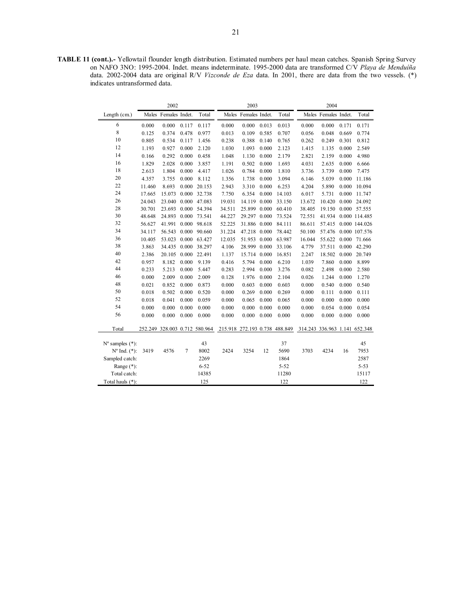**TABLE 11 (cont.).-** Yellowtail flounder length distribution. Estimated numbers per haul mean catches. Spanish Spring Survey on NAFO 3NO: 1995-2004. Indet. means indeterminate. 1995-2000 data are transformed C/V *Playa de Menduíña*  data. 2002-2004 data are original R/V *Vizconde de Eza* data. In 2001, there are data from the two vessels. (\*) indicates untransformed data.

|                             |        | 2002                 |       |                               |                               | 2003                 |       |          | 2004                          |                      |       |               |  |
|-----------------------------|--------|----------------------|-------|-------------------------------|-------------------------------|----------------------|-------|----------|-------------------------------|----------------------|-------|---------------|--|
| Length $(cm.)$              |        | Males Females Indet. |       | Total                         |                               | Males Females Indet. |       | Total    |                               | Males Females Indet. |       | Total         |  |
| 6                           | 0.000  | 0.000                | 0.117 | 0.117                         | 0.000                         | 0.000                | 0.013 | 0.013    | 0.000                         | 0.000                | 0.171 | 0.171         |  |
| 8                           | 0.125  | 0.374                | 0.478 | 0.977                         | 0.013                         | 0.109                | 0.585 | 0.707    | 0.056                         | 0.048                | 0.669 | 0.774         |  |
| 10                          | 0.805  | 0.534                | 0.117 | 1.456                         | 0.238                         | 0.388                | 0.140 | 0.765    | 0.262                         | 0.249                | 0.301 | 0.812         |  |
| 12                          | 1.193  | 0.927                | 0.000 | 2.120                         | 1.030                         | 1.093                | 0.000 | 2.123    | 1.415                         | 1.135                | 0.000 | 2.549         |  |
| 14                          | 0.166  | 0.292                | 0.000 | 0.458                         | 1.048                         | 1.130                | 0.000 | 2.179    | 2.821                         | 2.159                | 0.000 | 4.980         |  |
| 16                          | 1.829  | 2.028                | 0.000 | 3.857                         | 1.191                         | 0.502                | 0.000 | 1.693    | 4.031                         | 2.635                | 0.000 | 6.666         |  |
| 18                          | 2.613  | 1.804                | 0.000 | 4.417                         | 1.026                         | 0.784                | 0.000 | 1.810    | 3.736                         | 3.739                | 0.000 | 7.475         |  |
| 20                          | 4.357  | 3.755                | 0.000 | 8.112                         | 1.356                         | 1.738                | 0.000 | 3.094    | 6.146                         | 5.039                | 0.000 | 11.186        |  |
| 22                          | 11.460 | 8.693                | 0.000 | 20.153                        | 2.943                         | 3.310                | 0.000 | 6.253    | 4.204                         | 5.890                | 0.000 | 10.094        |  |
| 24                          | 17.665 | 15.073               | 0.000 | 32.738                        | 7.750                         | 6.354                | 0.000 | 14.103   | 6.017                         | 5.731                | 0.000 | 11.747        |  |
| 26                          | 24.043 | 23.040               | 0.000 | 47.083                        | 19.031                        | 14.119               | 0.000 | 33.150   | 13.672                        | 10.420               | 0.000 | 24.092        |  |
| 28                          | 30.701 | 23.693               | 0.000 | 54.394                        | 34.511                        | 25.899 0.000         |       | 60.410   | 38.405                        | 19.150               |       | 0.000 57.555  |  |
| 30                          | 48.648 | 24.893               | 0.000 | 73.541                        | 44.227                        | 29.297 0.000         |       | 73.524   | 72.551                        | 41.934               |       | 0.000 114.485 |  |
| 32                          | 56.627 | 41.991               | 0.000 | 98.618                        | 52.225                        | 31.886 0.000         |       | 84.111   | 86.611                        | 57.415               |       | 0.000 144.026 |  |
| 34                          | 34.117 | 56.543               | 0.000 | 90.660                        | 31.224                        | 47.218 0.000         |       | 78.442   | 50.100                        | 57.476               |       | 0.000 107.576 |  |
| 36                          | 10.405 | 53.023               | 0.000 | 63.427                        | 12.035                        | 51.953 0.000         |       | 63.987   | 16.044                        | 55.622               | 0.000 | 71.666        |  |
| 38                          | 3.863  | 34.435               | 0.000 | 38.297                        | 4.106                         | 28.999 0.000         |       | 33.106   | 4.779                         | 37.511               | 0.000 | 42.290        |  |
| 40                          | 2.386  | 20.105               | 0.000 | 22.491                        | 1.137                         | 15.714               | 0.000 | 16.851   | 2.247                         | 18.502               | 0.000 | 20.749        |  |
| 42                          | 0.957  | 8.182                | 0.000 | 9.139                         | 0.416                         | 5.794                | 0.000 | 6.210    | 1.039                         | 7.860                | 0.000 | 8.899         |  |
| 44                          | 0.233  | 5.213                | 0.000 | 5.447                         | 0.283                         | 2.994                | 0.000 | 3.276    | 0.082                         | 2.498                | 0.000 | 2.580         |  |
| 46                          | 0.000  | 2.009                | 0.000 | 2.009                         | 0.128                         | 1.976                | 0.000 | 2.104    | 0.026                         | 1.244                | 0.000 | 1.270         |  |
| 48                          | 0.021  | 0.852                | 0.000 | 0.873                         | 0.000                         | 0.603                | 0.000 | 0.603    | 0.000                         | 0.540                | 0.000 | 0.540         |  |
| 50                          | 0.018  | 0.502                | 0.000 | 0.520                         | 0.000                         | 0.269                | 0.000 | 0.269    | 0.000                         | 0.111                | 0.000 | 0.111         |  |
| 52                          | 0.018  | 0.041                | 0.000 | 0.059                         | 0.000                         | 0.065                | 0.000 | 0.065    | 0.000                         | 0.000                | 0.000 | 0.000         |  |
| 54                          | 0.000  | 0.000                | 0.000 | 0.000                         | 0.000                         | 0.000                | 0.000 | 0.000    | 0.000                         | 0.054                | 0.000 | 0.054         |  |
| 56                          | 0.000  | 0.000                | 0.000 | 0.000                         | 0.000                         | 0.000                | 0.000 | 0.000    | 0.000                         | 0.000                | 0.000 | 0.000         |  |
| Total                       |        |                      |       | 252.249 328.003 0.712 580.964 | 215.918 272.193 0.738 488.849 |                      |       |          | 314.243 336.963 1.141 652.348 |                      |       |               |  |
| $N^{\circ}$ samples $(*)$ : |        |                      |       | 43                            |                               |                      |       | 37       |                               |                      |       | 45            |  |
| $N^{\circ}$ Ind. $(*)$ :    | 3419   | 4576                 | 7     | 8002                          | 2424                          | 3254                 | 12    | 5690     | 3703                          | 4234                 | 16    | 7953          |  |
| Sampled catch:              |        |                      |       | 2269                          |                               |                      |       | 1864     |                               |                      |       | 2587          |  |
| Range $(*)$ :               |        |                      |       | $6 - 52$                      |                               |                      |       | $5 - 52$ |                               |                      |       | $5 - 53$      |  |
| Total catch:                |        |                      |       | 14385                         |                               |                      |       | 11280    |                               |                      |       | 15117         |  |
| Total hauls (*):            |        |                      |       | 125                           |                               |                      |       | 122      |                               |                      |       | 122           |  |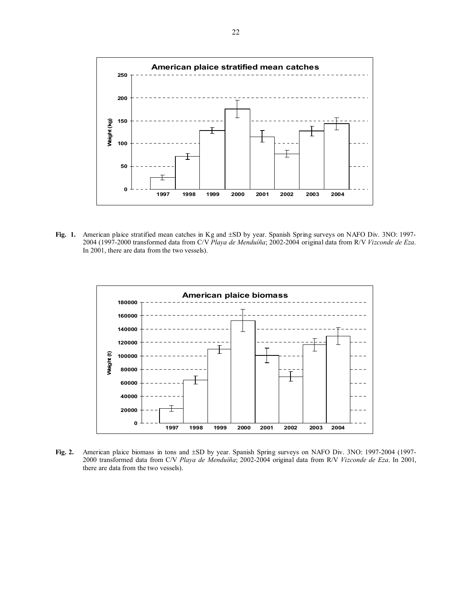

**Fig. 1.** American plaice stratified mean catches in Kg and ±SD by year. Spanish Spring surveys on NAFO Div. 3NO: 1997- 2004 (1997-2000 transformed data from C/V *Playa de Menduíña*; 2002-2004 original data from R/V *Vizconde de Eza*. In 2001, there are data from the two vessels).



**Fig. 2.** American plaice biomass in tons and ±SD by year. Spanish Spring surveys on NAFO Div. 3NO: 1997-2004 (1997- 2000 transformed data from C/V *Playa de Menduíña*; 2002-2004 original data from R/V *Vizconde de Eza*. In 2001, there are data from the two vessels).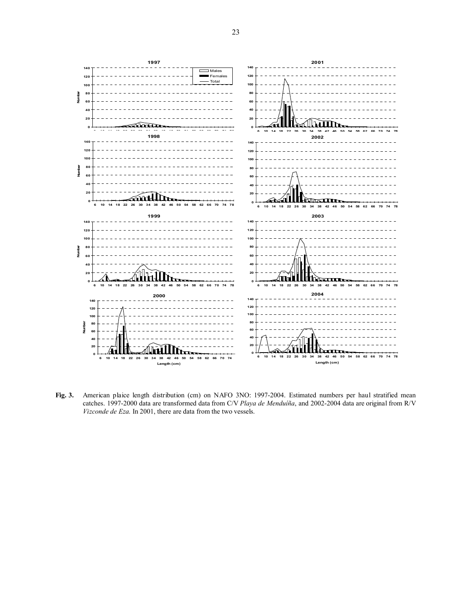

**Fig. 3.** American plaice length distribution (cm) on NAFO 3NO: 1997-2004. Estimated numbers per haul stratified mean catches. 1997-2000 data are transformed data from C/V *Playa de Menduíña*, and 2002-2004 data are original from R/V *Vizconde de Eza*. In 2001, there are data from the two vessels.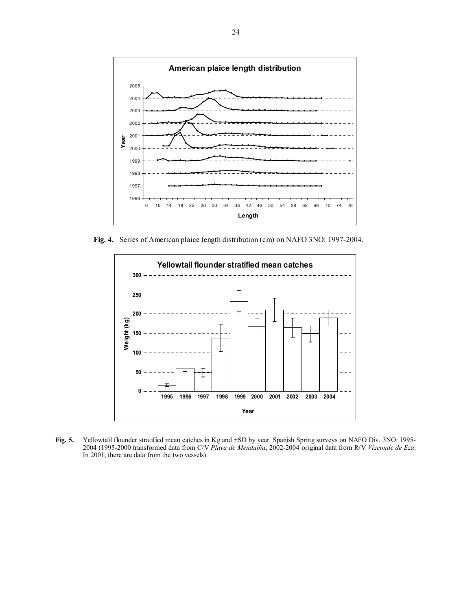

**Fig. 4.** Series of American plaice length distribution (cm) on NAFO 3NO: 1997-2004.



**Fig. 5.** Yellowtail flounder stratified mean catches in Kg and ±SD by year. Spanish Spring surveys on NAFO Div. 3NO: 1995- 2004 (1995-2000 transformed data from C/V *Playa de Menduíña*; 2002-2004 original data from R/V *Vizconde de Eza*. In 2001, there are data from the two vessels).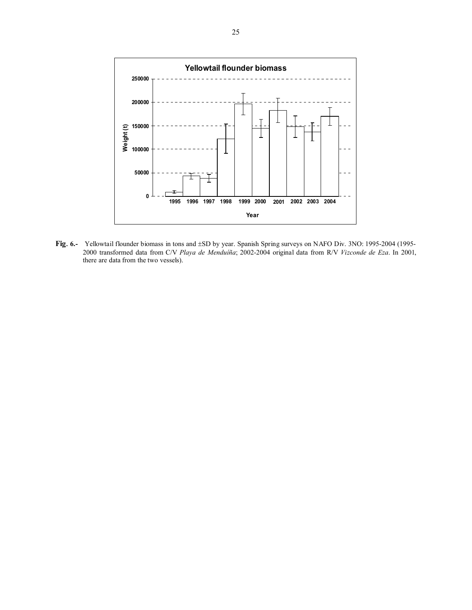

**Fig**. **6.-** Yellowtail flounder biomass in tons and ±SD by year. Spanish Spring surveys on NAFO Div. 3NO: 1995-2004 (1995- 2000 transformed data from C/V *Playa de Menduíña*; 2002-2004 original data from R/V *Vizconde de Eza*. In 2001, there are data from the two vessels).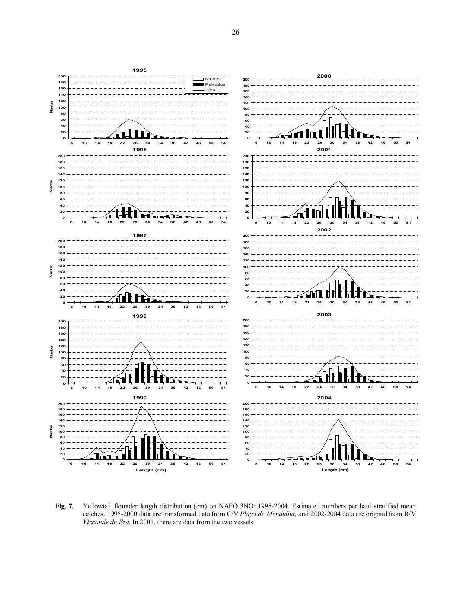

**Fig. 7.** Yellowtail flounder length distribution (cm) on NAFO 3NO: 1995-2004. Estimated numbers per haul stratified mean catches. 1995-2000 data are transformed data from C/V *Playa de Menduíña*, and 2002-2004 data are original from R/V *Vizconde de Eza*. In 2001, there are data from the two vessels